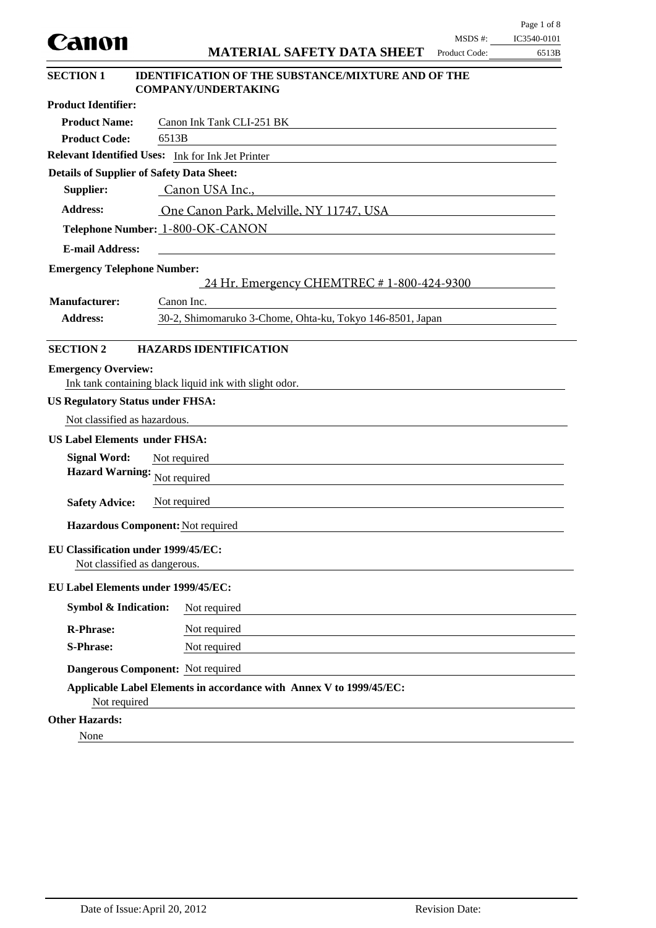| Canon                                                               |                                                                                         | MSDS #:       | IC3540-0101 |
|---------------------------------------------------------------------|-----------------------------------------------------------------------------------------|---------------|-------------|
|                                                                     | <b>MATERIAL SAFETY DATA SHEET</b>                                                       | Product Code: | 6513B       |
| <b>SECTION 1</b>                                                    | <b>IDENTIFICATION OF THE SUBSTANCE/MIXTURE AND OF THE</b><br><b>COMPANY/UNDERTAKING</b> |               |             |
| <b>Product Identifier:</b>                                          |                                                                                         |               |             |
| <b>Product Name:</b>                                                | Canon Ink Tank CLI-251 BK                                                               |               |             |
| <b>Product Code:</b>                                                | 6513B                                                                                   |               |             |
|                                                                     | Relevant Identified Uses: Ink for Ink Jet Printer                                       |               |             |
| <b>Details of Supplier of Safety Data Sheet:</b>                    |                                                                                         |               |             |
| Supplier:                                                           | Canon USA Inc.,                                                                         |               |             |
| <b>Address:</b>                                                     | One Canon Park, Melville, NY 11747, USA                                                 |               |             |
|                                                                     | Telephone Number: 1-800-OK-CANON                                                        |               |             |
| <b>E-mail Address:</b>                                              |                                                                                         |               |             |
| <b>Emergency Telephone Number:</b>                                  |                                                                                         |               |             |
|                                                                     | 24 Hr. Emergency CHEMTREC # 1-800-424-9300                                              |               |             |
| <b>Manufacturer:</b>                                                | Canon Inc.                                                                              |               |             |
| <b>Address:</b>                                                     | 30-2, Shimomaruko 3-Chome, Ohta-ku, Tokyo 146-8501, Japan                               |               |             |
|                                                                     |                                                                                         |               |             |
| <b>SECTION 2</b>                                                    | <b>HAZARDS IDENTIFICATION</b>                                                           |               |             |
| <b>Emergency Overview:</b>                                          |                                                                                         |               |             |
|                                                                     | Ink tank containing black liquid ink with slight odor.                                  |               |             |
| <b>US Regulatory Status under FHSA:</b>                             |                                                                                         |               |             |
| Not classified as hazardous.                                        |                                                                                         |               |             |
| <b>US Label Elements under FHSA:</b>                                |                                                                                         |               |             |
| <b>Signal Word:</b>                                                 | Not required                                                                            |               |             |
| <b>Hazard Warning:</b>                                              | Not required                                                                            |               |             |
| <b>Safety Advice:</b>                                               | Not required                                                                            |               |             |
|                                                                     |                                                                                         |               |             |
|                                                                     | Hazardous Component: Not required                                                       |               |             |
| EU Classification under 1999/45/EC:<br>Not classified as dangerous. |                                                                                         |               |             |
| EU Label Elements under 1999/45/EC:                                 |                                                                                         |               |             |
| <b>Symbol &amp; Indication:</b>                                     | Not required                                                                            |               |             |
| <b>R-Phrase:</b>                                                    | Not required                                                                            |               |             |
| <b>S-Phrase:</b>                                                    | Not required                                                                            |               |             |
|                                                                     | Dangerous Component: Not required                                                       |               |             |
| Not required                                                        | Applicable Label Elements in accordance with Annex V to 1999/45/EC:                     |               |             |
| <b>Other Hazards:</b>                                               |                                                                                         |               |             |
| None                                                                |                                                                                         |               |             |

Page 1 of 8

 $\overline{\phantom{0}}$  $\overline{\phantom{0}}$ 

 $\mathcal{L}$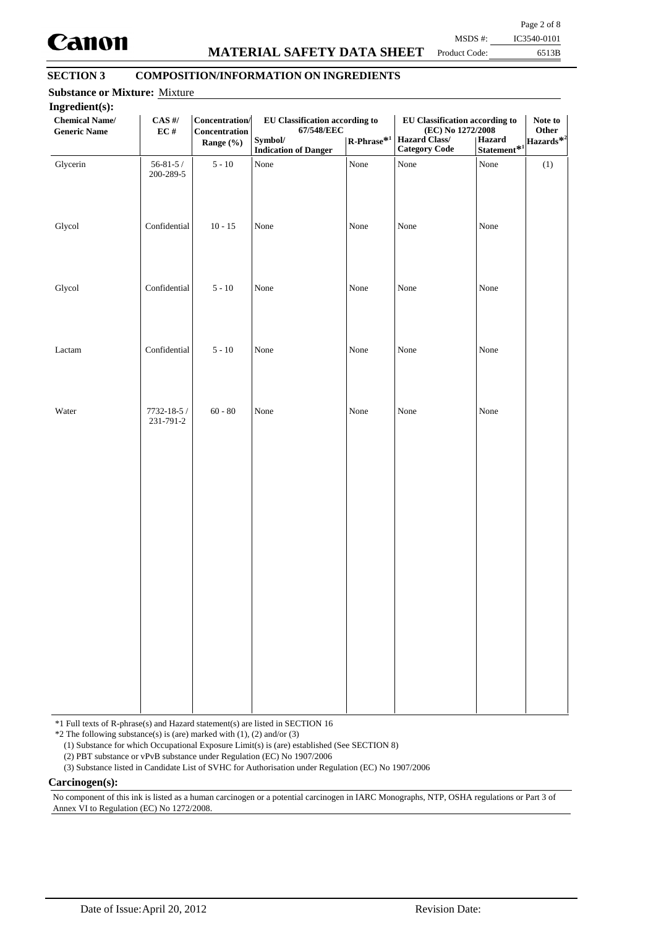

## **MATERIAL SAFETY DATA SHEET**

Page 2 of 8 MSDS #: IC3540-0101

Product Code:

6513B

## **SECTION 3 COMPOSITION/INFORMATION ON INGREDIENTS**

| <b>Chemical Name/</b><br><b>Generic Name</b> | $\mathbf{CAS}$ #/<br>$\mathbf{EC}$ # | Concentration/<br>Concentration<br>Range (%) | EU Classification according to<br>67/548/EEC<br>Symbol/<br><b>Indication of Danger</b> | $\mathsf{R}\text{-Phrase}^{*1}$ | <b>EU Classification according to</b><br>(EC) No 1272/2008<br><b>Hazard Class/</b><br><b>Category Code</b> | Hazard<br>Statement $\!{\ast}_1$ | Note to<br>Other<br> Hazards $^{\textcolor{red}{\ast2}}$ |
|----------------------------------------------|--------------------------------------|----------------------------------------------|----------------------------------------------------------------------------------------|---------------------------------|------------------------------------------------------------------------------------------------------------|----------------------------------|----------------------------------------------------------|
| Glycerin                                     | $56 - 81 - 5/$<br>200-289-5          | $5 - 10$                                     | None                                                                                   | None                            | None                                                                                                       | None                             | (1)                                                      |
| Glycol                                       | Confidential                         | $10 - 15$                                    | None                                                                                   | None                            | None                                                                                                       | None                             |                                                          |
| Glycol                                       | Confidential                         | $5 - 10$                                     | None                                                                                   | None                            | None                                                                                                       | None                             |                                                          |
| Lactam                                       | Confidential                         | $5 - 10$                                     | None                                                                                   | None                            | None                                                                                                       | None                             |                                                          |
| Water                                        | 7732-18-5 /<br>231-791-2             | $60 - 80$                                    | None                                                                                   | None                            | None                                                                                                       | None                             |                                                          |
|                                              |                                      |                                              |                                                                                        |                                 |                                                                                                            |                                  |                                                          |
|                                              |                                      |                                              |                                                                                        |                                 |                                                                                                            |                                  |                                                          |
|                                              |                                      |                                              |                                                                                        |                                 |                                                                                                            |                                  |                                                          |
|                                              |                                      |                                              |                                                                                        |                                 |                                                                                                            |                                  |                                                          |

\*1 Full texts of R-phrase(s) and Hazard statement(s) are listed in SECTION 16

 $*2$  The following substance(s) is (are) marked with (1), (2) and/or (3)

(1) Substance for which Occupational Exposure Limit(s) is (are) established (See SECTION 8)

(2) PBT substance or vPvB substance under Regulation (EC) No 1907/2006

(3) Substance listed in Candidate List of SVHC for Authorisation under Regulation (EC) No 1907/2006

**Carcinogen(s):**

No component of this ink is listed as a human carcinogen or a potential carcinogen in IARC Monographs, NTP, OSHA regulations or Part 3 of Annex VI to Regulation (EC) No 1272/2008.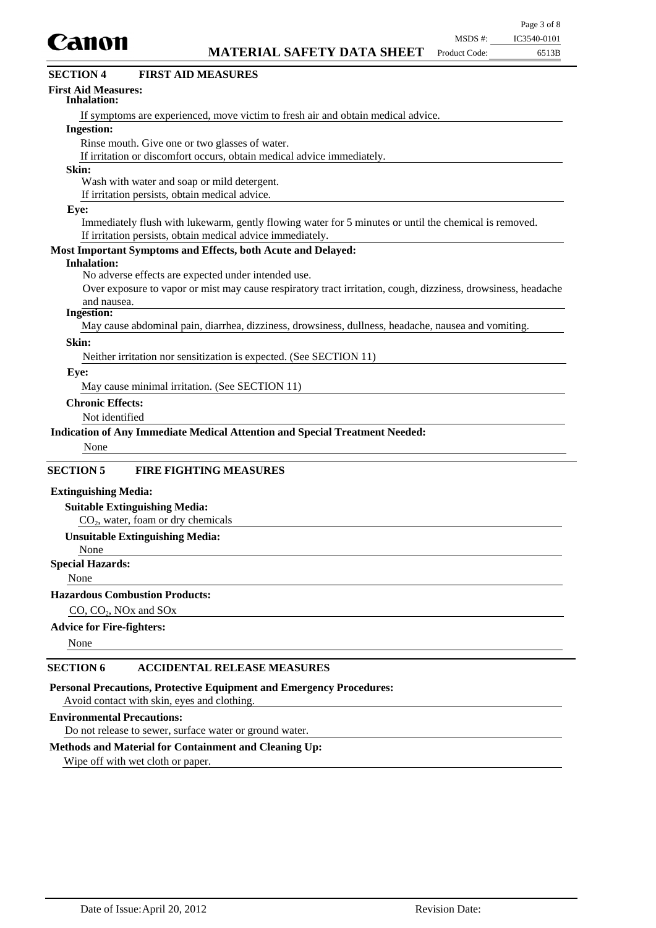

| <b>SECTION 4</b><br><b>FIRST AID MEASURES</b>                                                                              |
|----------------------------------------------------------------------------------------------------------------------------|
| <b>First Aid Measures:</b><br>Inhalation:                                                                                  |
| If symptoms are experienced, move victim to fresh air and obtain medical advice.                                           |
| <b>Ingestion:</b>                                                                                                          |
| Rinse mouth. Give one or two glasses of water.                                                                             |
| If irritation or discomfort occurs, obtain medical advice immediately.                                                     |
| Skin:                                                                                                                      |
| Wash with water and soap or mild detergent.                                                                                |
| If irritation persists, obtain medical advice.                                                                             |
| Eye:                                                                                                                       |
| Immediately flush with lukewarm, gently flowing water for 5 minutes or until the chemical is removed.                      |
| If irritation persists, obtain medical advice immediately.<br>Most Important Symptoms and Effects, both Acute and Delayed: |
| <b>Inhalation:</b>                                                                                                         |
| No adverse effects are expected under intended use.                                                                        |
| Over exposure to vapor or mist may cause respiratory tract irritation, cough, dizziness, drowsiness, headache              |
| and nausea.                                                                                                                |
| <b>Ingestion:</b>                                                                                                          |
| May cause abdominal pain, diarrhea, dizziness, drowsiness, dullness, headache, nausea and vomiting.                        |
| Skin:                                                                                                                      |
| Neither irritation nor sensitization is expected. (See SECTION 11)                                                         |
| Eye:                                                                                                                       |
| May cause minimal irritation. (See SECTION 11)                                                                             |
| <b>Chronic Effects:</b>                                                                                                    |
| Not identified                                                                                                             |
| Indication of Any Immediate Medical Attention and Special Treatment Needed:                                                |
| None                                                                                                                       |
|                                                                                                                            |
| <b>SECTION 5</b><br><b>FIRE FIGHTING MEASURES</b>                                                                          |
| <b>Extinguishing Media:</b>                                                                                                |
| <b>Suitable Extinguishing Media:</b>                                                                                       |
| CO <sub>2</sub> , water, foam or dry chemicals                                                                             |
| <b>Unsuitable Extinguishing Media:</b>                                                                                     |
| None                                                                                                                       |
| <b>Special Hazards:</b>                                                                                                    |
| None                                                                                                                       |
| <b>Hazardous Combustion Products:</b>                                                                                      |
| $CO$ , $CO2$ , NOx and SOx                                                                                                 |
| <b>Advice for Fire-fighters:</b>                                                                                           |
|                                                                                                                            |

None

### **SECTION 6 ACCIDENTAL RELEASE MEASURES**

**Personal Precautions, Protective Equipment and Emergency Procedures:**

Avoid contact with skin, eyes and clothing.

#### **Environmental Precautions:**

Do not release to sewer, surface water or ground water.

#### **Methods and Material for Containment and Cleaning Up:**

Wipe off with wet cloth or paper.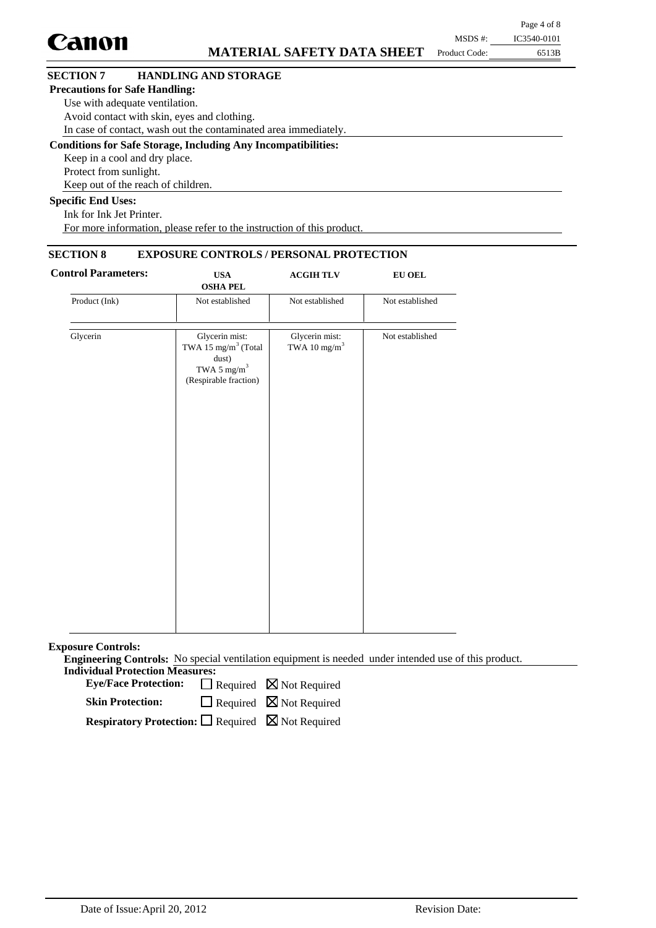|                                       |                                                                      |               | $1.45$ $0.01$ |
|---------------------------------------|----------------------------------------------------------------------|---------------|---------------|
| <b>Canon</b>                          |                                                                      | MSDS #:       | IC3540-0101   |
|                                       | <b>MATERIAL SAFETY DATA SHEET</b>                                    | Product Code: | 6513B         |
| <b>SECTION 7</b>                      | <b>HANDLING AND STORAGE</b>                                          |               |               |
| <b>Precautions for Safe Handling:</b> |                                                                      |               |               |
|                                       | Use with adequate ventilation.                                       |               |               |
|                                       | Avoid contact with skin, eyes and clothing.                          |               |               |
|                                       | In case of contact, wash out the contaminated area immediately.      |               |               |
|                                       | <b>Conditions for Safe Storage, Including Any Incompatibilities:</b> |               |               |
|                                       | Keep in a cool and dry place.                                        |               |               |
| Protect from sunlight.                |                                                                      |               |               |
|                                       | Keep out of the reach of children.                                   |               |               |
| <b>Specific End Uses:</b>             |                                                                      |               |               |
|                                       |                                                                      |               |               |

 $P<sub>9.99</sub> A of 8$ 

Ink for Ink Jet Printer. For more information, please refer to the instruction of this product.

## **SECTION 8 EXPOSURE CONTROLS / PERSONAL PROTECTION**

| <b>Control Parameters:</b> | <b>USA</b><br><b>OSHA PEL</b>                                                                                  | <b>ACGIHTLV</b>                            | <b>EU OEL</b>   |  |
|----------------------------|----------------------------------------------------------------------------------------------------------------|--------------------------------------------|-----------------|--|
| Product (Ink)              | Not established                                                                                                | Not established                            | Not established |  |
| Glycerin                   | Glycerin mist:<br>TWA 15 mg/m <sup>3</sup> (Total<br>dust)<br>TWA 5 mg/m <sup>3</sup><br>(Respirable fraction) | Glycerin mist:<br>TWA 10 mg/m <sup>3</sup> | Not established |  |
|                            |                                                                                                                |                                            |                 |  |
|                            |                                                                                                                |                                            |                 |  |

**Exposure Controls:**

**Engineering Controls:** No special ventilation equipment is needed under intended use of this product. **Individual Protection Measures:**

Eye/Face Protection:  $\Box$  Required  $\boxtimes$  Not Required

 $\Box$  Required  $\boxtimes$  Not Required **Skin Protection:**

**Respiratory Protection:** □ Required ⊠ Not Required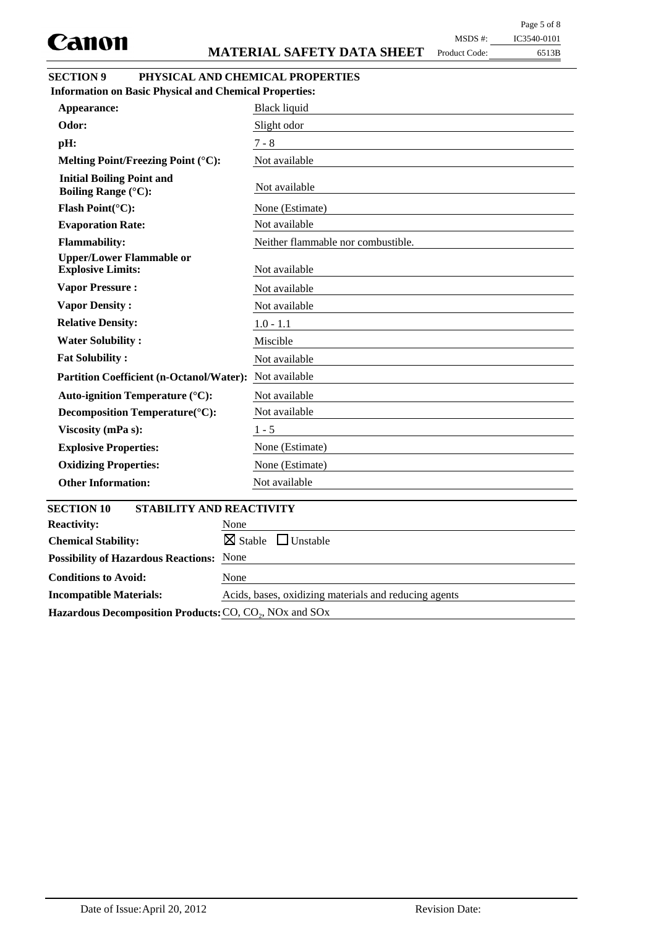Product Code:

## 6513B MSDS #: IC3540-0101

| <b>SECTION 9</b> | PHYSICAL AND CHEMICAL PROPERTIES |
|------------------|----------------------------------|
|                  |                                  |

| <b>Information on Basic Physical and Chemical Properties:</b>  |                                       |
|----------------------------------------------------------------|---------------------------------------|
| Appearance:                                                    | <b>Black liquid</b>                   |
| Odor:                                                          | Slight odor                           |
| pH:                                                            | $7 - 8$                               |
| Melting Point/Freezing Point (°C):                             | Not available                         |
| <b>Initial Boiling Point and</b><br><b>Boiling Range (°C):</b> | Not available                         |
| Flash Point(°C):                                               | None (Estimate)                       |
| <b>Evaporation Rate:</b>                                       | Not available                         |
| <b>Flammability:</b>                                           | Neither flammable nor combustible.    |
| <b>Upper/Lower Flammable or</b><br><b>Explosive Limits:</b>    | Not available                         |
| <b>Vapor Pressure:</b>                                         | Not available                         |
| <b>Vapor Density:</b>                                          | Not available                         |
| <b>Relative Density:</b>                                       | $1.0 - 1.1$                           |
| <b>Water Solubility:</b>                                       | Miscible                              |
| <b>Fat Solubility:</b>                                         | Not available                         |
| <b>Partition Coefficient (n-Octanol/Water):</b>                | Not available                         |
| <b>Auto-ignition Temperature (°C):</b>                         | Not available                         |
| Decomposition Temperature(°C):                                 | Not available                         |
| Viscosity (mPa s):                                             | $1 - 5$                               |
| <b>Explosive Properties:</b>                                   | None (Estimate)                       |
| <b>Oxidizing Properties:</b>                                   | None (Estimate)                       |
| <b>Other Information:</b>                                      | Not available                         |
| <b>SECTION 10</b><br><b>STABILITY AND REACTIVITY</b>           |                                       |
| <b>Reactivity:</b>                                             | None                                  |
| <b>Chemical Stability:</b>                                     | $\boxtimes$ Stable<br>$\Box$ Unstable |
| <b>Possibility of Hazardous Reactions:</b>                     | None                                  |
| <b>Conditions to Avoid:</b>                                    | None                                  |

**Incompatible Materials:** Acids, bases, oxidizing materials and reducing agents Hazardous Decomposition Products: CO, CO<sub>2</sub>, NO<sub>x</sub> and SO<sub>x</sub>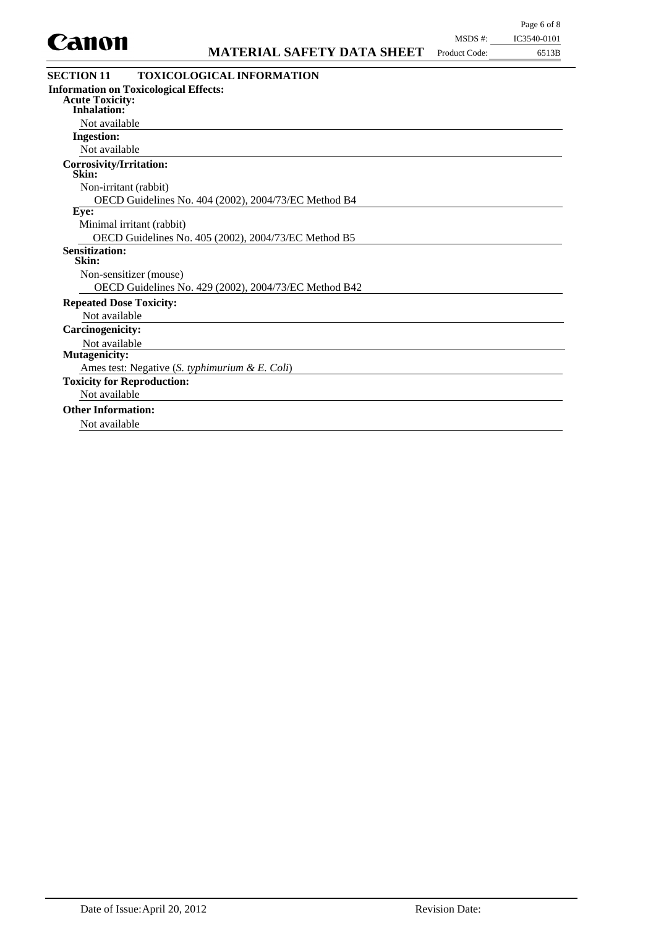

| unvn                                         | <b>MATERIAL SAFETY DATA SHEET</b>                     | Product Code: | 6513B |
|----------------------------------------------|-------------------------------------------------------|---------------|-------|
| <b>SECTION 11</b>                            | <b>TOXICOLOGICAL INFORMATION</b>                      |               |       |
| <b>Information on Toxicological Effects:</b> |                                                       |               |       |
| <b>Acute Toxicity:</b><br><b>Inhalation:</b> |                                                       |               |       |
| Not available                                |                                                       |               |       |
| <b>Ingestion:</b>                            |                                                       |               |       |
| Not available                                |                                                       |               |       |
| <b>Corrosivity/Irritation:</b><br>Skin:      |                                                       |               |       |
| Non-irritant (rabbit)                        |                                                       |               |       |
|                                              | OECD Guidelines No. 404 (2002), 2004/73/EC Method B4  |               |       |
| Eye:                                         |                                                       |               |       |
| Minimal irritant (rabbit)                    |                                                       |               |       |
|                                              | OECD Guidelines No. 405 (2002), 2004/73/EC Method B5  |               |       |
| <b>Sensitization:</b><br>Skin:               |                                                       |               |       |
| Non-sensitizer (mouse)                       |                                                       |               |       |
|                                              | OECD Guidelines No. 429 (2002), 2004/73/EC Method B42 |               |       |
| <b>Repeated Dose Toxicity:</b>               |                                                       |               |       |
| Not available                                |                                                       |               |       |
| <b>Carcinogenicity:</b>                      |                                                       |               |       |
| Not available                                |                                                       |               |       |
| <b>Mutagenicity:</b>                         |                                                       |               |       |
|                                              | Ames test: Negative (S. typhimurium & E. Coli)        |               |       |
| <b>Toxicity for Reproduction:</b>            |                                                       |               |       |
| Not available                                |                                                       |               |       |
| <b>Other Information:</b>                    |                                                       |               |       |
| Not available                                |                                                       |               |       |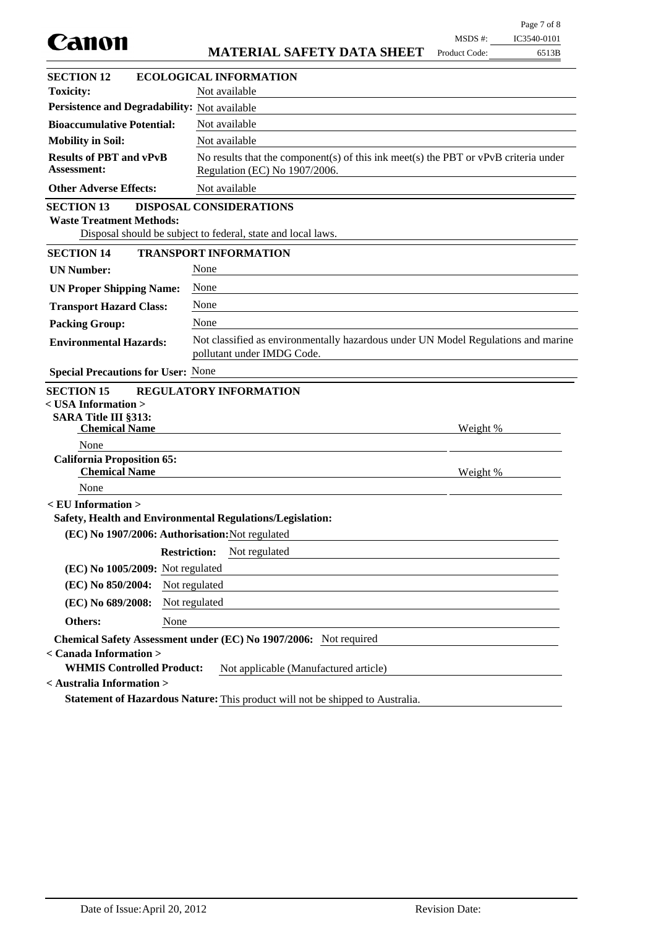| Canon                                                                                 |                     |                                                                                                                        | MSDS #:       | IC3540-0101 |
|---------------------------------------------------------------------------------------|---------------------|------------------------------------------------------------------------------------------------------------------------|---------------|-------------|
|                                                                                       |                     | <b>MATERIAL SAFETY DATA SHEET</b>                                                                                      | Product Code: | 6513B       |
| <b>SECTION 12</b>                                                                     |                     | <b>ECOLOGICAL INFORMATION</b>                                                                                          |               |             |
| <b>Toxicity:</b>                                                                      |                     | Not available                                                                                                          |               |             |
| Persistence and Degradability: Not available                                          |                     |                                                                                                                        |               |             |
| <b>Bioaccumulative Potential:</b>                                                     |                     | Not available                                                                                                          |               |             |
| <b>Mobility in Soil:</b>                                                              |                     | Not available                                                                                                          |               |             |
| <b>Results of PBT and vPvB</b><br><b>Assessment:</b>                                  |                     | No results that the component(s) of this ink meet(s) the PBT or $vPvB$ criteria under<br>Regulation (EC) No 1907/2006. |               |             |
| <b>Other Adverse Effects:</b>                                                         |                     | Not available                                                                                                          |               |             |
| <b>SECTION 13</b><br><b>Waste Treatment Methods:</b>                                  |                     | <b>DISPOSAL CONSIDERATIONS</b><br>Disposal should be subject to federal, state and local laws.                         |               |             |
| <b>SECTION 14</b>                                                                     |                     | <b>TRANSPORT INFORMATION</b>                                                                                           |               |             |
| <b>UN Number:</b>                                                                     | None                |                                                                                                                        |               |             |
| <b>UN Proper Shipping Name:</b>                                                       | None                |                                                                                                                        |               |             |
| <b>Transport Hazard Class:</b>                                                        | None                |                                                                                                                        |               |             |
| <b>Packing Group:</b>                                                                 | None                |                                                                                                                        |               |             |
| <b>Environmental Hazards:</b>                                                         |                     | Not classified as environmentally hazardous under UN Model Regulations and marine<br>pollutant under IMDG Code.        |               |             |
| <b>Special Precautions for User: None</b>                                             |                     |                                                                                                                        |               |             |
| <b>SECTION 15</b>                                                                     |                     | <b>REGULATORY INFORMATION</b>                                                                                          |               |             |
| < USA Information >                                                                   |                     |                                                                                                                        |               |             |
| <b>SARA Title III §313:</b><br><b>Chemical Name</b>                                   |                     |                                                                                                                        | Weight %      |             |
| None                                                                                  |                     |                                                                                                                        |               |             |
| <b>California Proposition 65:</b><br><b>Chemical Name</b>                             |                     |                                                                                                                        | Weight %      |             |
| None                                                                                  |                     |                                                                                                                        |               |             |
| $\le$ EU Information $>$<br>Safety, Health and Environmental Regulations/Legislation: |                     |                                                                                                                        |               |             |
| (EC) No 1907/2006: Authorisation: Not regulated                                       |                     |                                                                                                                        |               |             |
|                                                                                       | <b>Restriction:</b> | Not regulated                                                                                                          |               |             |
| (EC) No 1005/2009: Not regulated                                                      |                     |                                                                                                                        |               |             |
| (EC) No 850/2004:                                                                     | Not regulated       |                                                                                                                        |               |             |
| (EC) No 689/2008:                                                                     | Not regulated       |                                                                                                                        |               |             |
| Others:                                                                               | None                |                                                                                                                        |               |             |
|                                                                                       |                     | Chemical Safety Assessment under (EC) No 1907/2006: Not required                                                       |               |             |
| < Canada Information >                                                                |                     |                                                                                                                        |               |             |
| <b>WHMIS Controlled Product:</b><br>< Australia Information >                         |                     | Not applicable (Manufactured article)                                                                                  |               |             |
|                                                                                       |                     | Statement of Hazardous Nature: This product will not be shipped to Australia.                                          |               |             |
|                                                                                       |                     |                                                                                                                        |               |             |

Page 7 of 8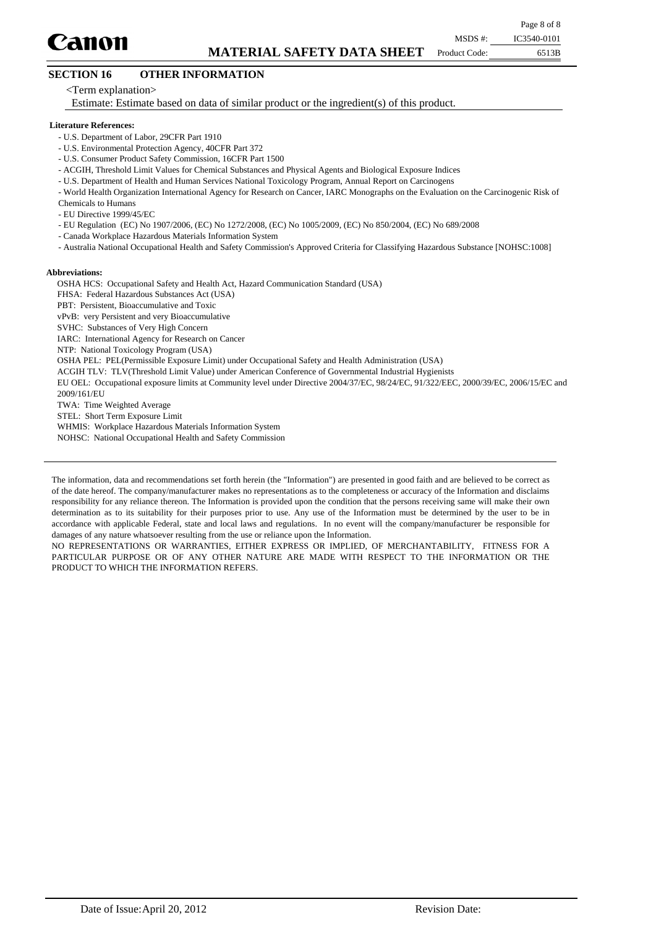

Product Code:

## **SECTION 16 OTHER INFORMATION**

<Term explanation>

Estimate: Estimate based on data of similar product or the ingredient(s) of this product.

#### **Literature References:**

- U.S. Department of Labor, 29CFR Part 1910
- U.S. Environmental Protection Agency, 40CFR Part 372
- U.S. Consumer Product Safety Commission, 16CFR Part 1500
- ACGIH, Threshold Limit Values for Chemical Substances and Physical Agents and Biological Exposure Indices
- U.S. Department of Health and Human Services National Toxicology Program, Annual Report on Carcinogens
- World Health Organization International Agency for Research on Cancer, IARC Monographs on the Evaluation on the Carcinogenic Risk of
- Chemicals to Humans
- EU Directive 1999/45/EC
- EU Regulation (EC) No 1907/2006, (EC) No 1272/2008, (EC) No 1005/2009, (EC) No 850/2004, (EC) No 689/2008
- Canada Workplace Hazardous Materials Information System
- Australia National Occupational Health and Safety Commission's Approved Criteria for Classifying Hazardous Substance [NOHSC:1008]

#### **Abbreviations:**

OSHA HCS: Occupational Safety and Health Act, Hazard Communication Standard (USA)

- FHSA: Federal Hazardous Substances Act (USA)
- PBT: Persistent, Bioaccumulative and Toxic
- vPvB: very Persistent and very Bioaccumulative
- SVHC: Substances of Very High Concern
- IARC: International Agency for Research on Cancer
- NTP: National Toxicology Program (USA)
- OSHA PEL: PEL(Permissible Exposure Limit) under Occupational Safety and Health Administration (USA)
- ACGIH TLV: TLV(Threshold Limit Value) under American Conference of Governmental Industrial Hygienists
- EU OEL: Occupational exposure limits at Community level under Directive 2004/37/EC, 98/24/EC, 91/322/EEC, 2000/39/EC, 2006/15/EC and 2009/161/EU
- TWA: Time Weighted Average
- STEL: Short Term Exposure Limit
- WHMIS: Workplace Hazardous Materials Information System
- NOHSC: National Occupational Health and Safety Commission

NO REPRESENTATIONS OR WARRANTIES, EITHER EXPRESS OR IMPLIED, OF MERCHANTABILITY, FITNESS FOR A PARTICULAR PURPOSE OR OF ANY OTHER NATURE ARE MADE WITH RESPECT TO THE INFORMATION OR THE PRODUCT TO WHICH THE INFORMATION REFERS.

The information, data and recommendations set forth herein (the "Information") are presented in good faith and are believed to be correct as of the date hereof. The company/manufacturer makes no representations as to the completeness or accuracy of the Information and disclaims responsibility for any reliance thereon. The Information is provided upon the condition that the persons receiving same will make their own determination as to its suitability for their purposes prior to use. Any use of the Information must be determined by the user to be in accordance with applicable Federal, state and local laws and regulations. In no event will the company/manufacturer be responsible for damages of any nature whatsoever resulting from the use or reliance upon the Information.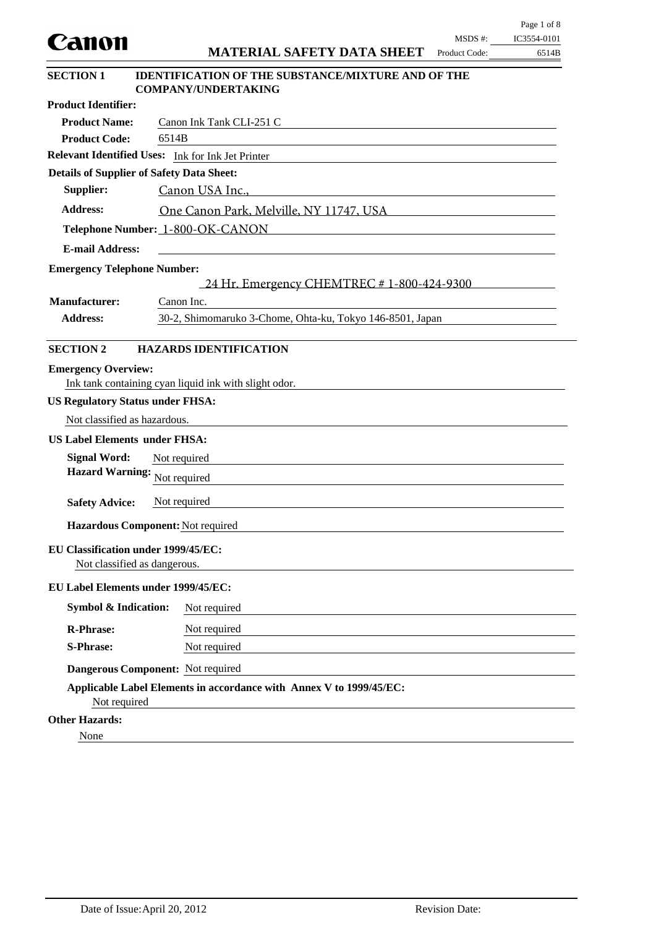|                                                                            | Page 1 of 8                                                                                                                                               |
|----------------------------------------------------------------------------|-----------------------------------------------------------------------------------------------------------------------------------------------------------|
| Canon                                                                      | $MSDS$ #:<br>IC3554-0101<br><b>MATERIAL SAFETY DATA SHEET</b><br>Product Code:                                                                            |
|                                                                            | 6514B                                                                                                                                                     |
| <b>SECTION 1</b>                                                           | <b>IDENTIFICATION OF THE SUBSTANCE/MIXTURE AND OF THE</b><br><b>COMPANY/UNDERTAKING</b>                                                                   |
| <b>Product Identifier:</b>                                                 |                                                                                                                                                           |
| <b>Product Name:</b>                                                       | Canon Ink Tank CLI-251 C                                                                                                                                  |
| <b>Product Code:</b>                                                       | 6514B                                                                                                                                                     |
|                                                                            | Relevant Identified Uses: Ink for Ink Jet Printer                                                                                                         |
| <b>Details of Supplier of Safety Data Sheet:</b>                           |                                                                                                                                                           |
| Supplier:                                                                  | Canon USA Inc.,                                                                                                                                           |
| <b>Address:</b>                                                            | One Canon Park, Melville, NY 11747, USA                                                                                                                   |
|                                                                            | Telephone Number: 1-800-OK-CANON<br><u> 1980 - Johann Barn, mars ann an t-Amhain Aonaich an t-Aonaich an t-Aonaich an t-Aonaich an t-Aonaich an t-Aon</u> |
| <b>E-mail Address:</b>                                                     |                                                                                                                                                           |
| <b>Emergency Telephone Number:</b>                                         |                                                                                                                                                           |
|                                                                            | 24 Hr. Emergency CHEMTREC # 1-800-424-9300                                                                                                                |
| <b>Manufacturer:</b>                                                       | Canon Inc.                                                                                                                                                |
| <b>Address:</b>                                                            | 30-2, Shimomaruko 3-Chome, Ohta-ku, Tokyo 146-8501, Japan                                                                                                 |
|                                                                            |                                                                                                                                                           |
| <b>SECTION 2</b>                                                           | <b>HAZARDS IDENTIFICATION</b>                                                                                                                             |
| <b>Emergency Overview:</b>                                                 | Ink tank containing cyan liquid ink with slight odor.                                                                                                     |
| <b>US Regulatory Status under FHSA:</b>                                    |                                                                                                                                                           |
| Not classified as hazardous.                                               |                                                                                                                                                           |
| <b>US Label Elements under FHSA:</b>                                       |                                                                                                                                                           |
| <b>Signal Word:</b>                                                        | Not required                                                                                                                                              |
| <b>Hazard Warning:</b>                                                     | Not required                                                                                                                                              |
| <b>Safety Advice:</b>                                                      | Not required                                                                                                                                              |
|                                                                            |                                                                                                                                                           |
| Hazardous Component: Not required                                          |                                                                                                                                                           |
| <b>EU Classification under 1999/45/EC:</b><br>Not classified as dangerous. |                                                                                                                                                           |
| EU Label Elements under 1999/45/EC:                                        |                                                                                                                                                           |
| <b>Symbol &amp; Indication:</b>                                            | Not required                                                                                                                                              |
| <b>R-Phrase:</b>                                                           | Not required                                                                                                                                              |
| <b>S-Phrase:</b>                                                           | Not required                                                                                                                                              |
|                                                                            | Dangerous Component: Not required                                                                                                                         |
| Not required                                                               | Applicable Label Elements in accordance with Annex V to 1999/45/EC:                                                                                       |
| <b>Other Hazards:</b>                                                      |                                                                                                                                                           |
| None                                                                       |                                                                                                                                                           |

 $\equiv$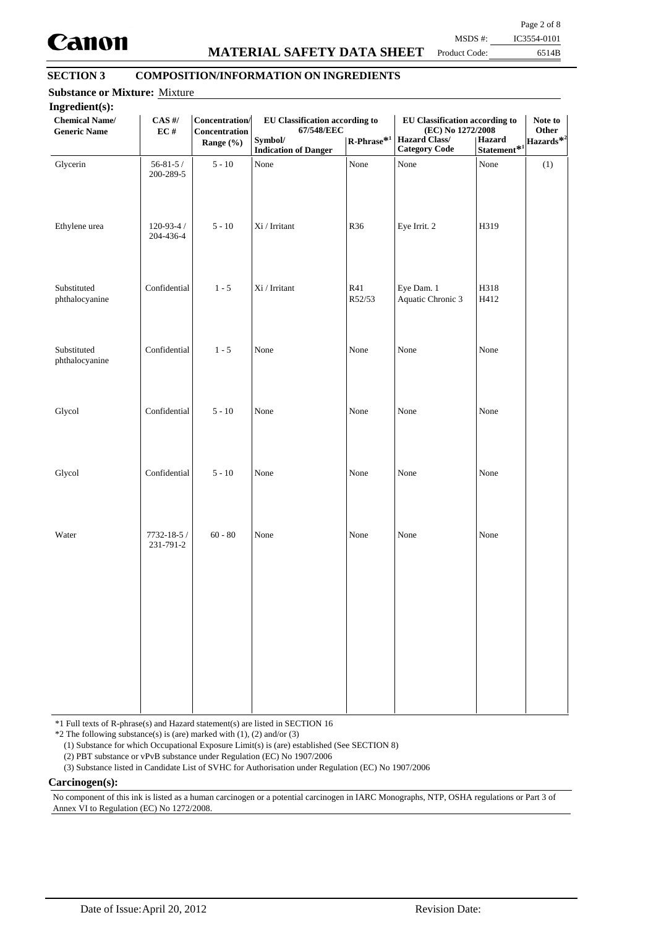

## **MATERIAL SAFETY DATA SHEET**

Page 2 of 8

Product Code:

6514B MSDS #: IC3554-0101

## **SECTION 3 COMPOSITION/INFORMATION ON INGREDIENTS**

| <b>Chemical Name/</b><br><b>Generic Name</b> | $CAS$ #/<br>EC#              | Concentration/<br>Concentration<br>Range (%) | EU Classification according to<br>67/548/EEC<br>Symbol/<br><b>Indication of Danger</b> | $\mathbf{R}\text{-Phrase}^{*1}$ | EU Classification according to<br>(EC) No 1272/2008<br><b>Hazard Class/</b><br><b>Category Code</b> | Hazard<br>Statement <sup>*1</sup> | Note to<br>Other<br>Hazards* <sup>2</sup> |
|----------------------------------------------|------------------------------|----------------------------------------------|----------------------------------------------------------------------------------------|---------------------------------|-----------------------------------------------------------------------------------------------------|-----------------------------------|-------------------------------------------|
| Glycerin                                     | $56 - 81 - 5/$<br>200-289-5  | $5 - 10$                                     | None                                                                                   | None                            | None                                                                                                | None                              | (1)                                       |
| Ethylene urea                                | $120 - 93 - 4/$<br>204-436-4 | $5 - 10$                                     | Xi / Irritant                                                                          | R36                             | Eye Irrit. 2                                                                                        | H319                              |                                           |
| Substituted<br>phthalocyanine                | Confidential                 | $1 - 5$                                      | $\rm{Xi}$ / Irritant                                                                   | R41<br>R52/53                   | Eye Dam. 1<br>Aquatic Chronic 3                                                                     | H318<br>H412                      |                                           |
| Substituted<br>phthalocyanine                | Confidential                 | $1 - 5$                                      | None                                                                                   | None                            | None                                                                                                | None                              |                                           |
| Glycol                                       | Confidential                 | $5 - 10$                                     | None                                                                                   | None                            | None                                                                                                | None                              |                                           |
| Glycol                                       | Confidential                 | $5 - 10$                                     | None                                                                                   | None                            | None                                                                                                | None                              |                                           |
| Water                                        | 7732-18-5 /<br>231-791-2     | $60 - 80$                                    | None                                                                                   | None                            | None                                                                                                | None                              |                                           |
|                                              |                              |                                              |                                                                                        |                                 |                                                                                                     |                                   |                                           |
|                                              |                              |                                              |                                                                                        |                                 |                                                                                                     |                                   |                                           |

\*1 Full texts of R-phrase(s) and Hazard statement(s) are listed in SECTION 16

 $*2$  The following substance(s) is (are) marked with (1), (2) and/or (3)

(1) Substance for which Occupational Exposure Limit(s) is (are) established (See SECTION 8)

(2) PBT substance or vPvB substance under Regulation (EC) No 1907/2006

(3) Substance listed in Candidate List of SVHC for Authorisation under Regulation (EC) No 1907/2006

#### **Carcinogen(s):**

No component of this ink is listed as a human carcinogen or a potential carcinogen in IARC Monographs, NTP, OSHA regulations or Part 3 of Annex VI to Regulation (EC) No 1272/2008.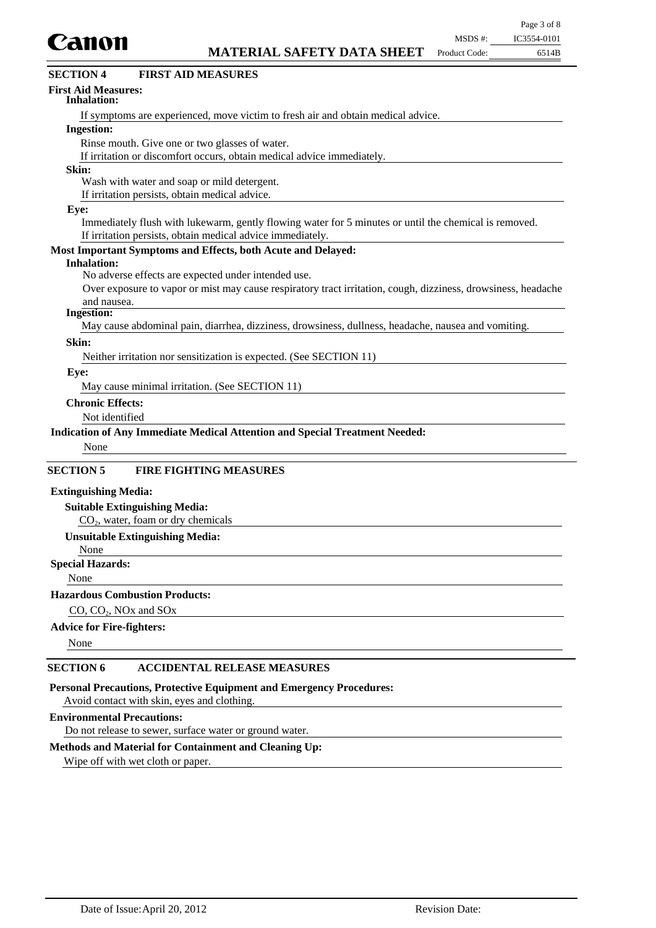

| Canon                                                                                                         | MSDS #:       | IC3554-0101 |
|---------------------------------------------------------------------------------------------------------------|---------------|-------------|
| <b>MATERIAL SAFETY DATA SHEET</b>                                                                             | Product Code: | 6514B       |
| <b>FIRST AID MEASURES</b><br><b>SECTION 4</b>                                                                 |               |             |
| <b>First Aid Measures:</b><br><b>Inhalation:</b>                                                              |               |             |
| If symptoms are experienced, move victim to fresh air and obtain medical advice.                              |               |             |
| <b>Ingestion:</b>                                                                                             |               |             |
| Rinse mouth. Give one or two glasses of water.                                                                |               |             |
| If irritation or discomfort occurs, obtain medical advice immediately.                                        |               |             |
| Skin:                                                                                                         |               |             |
| Wash with water and soap or mild detergent.                                                                   |               |             |
| If irritation persists, obtain medical advice.                                                                |               |             |
| Eye:                                                                                                          |               |             |
| Immediately flush with lukewarm, gently flowing water for 5 minutes or until the chemical is removed.         |               |             |
| If irritation persists, obtain medical advice immediately.                                                    |               |             |
| Most Important Symptoms and Effects, both Acute and Delayed:                                                  |               |             |
| <b>Inhalation:</b>                                                                                            |               |             |
| No adverse effects are expected under intended use.                                                           |               |             |
| Over exposure to vapor or mist may cause respiratory tract irritation, cough, dizziness, drowsiness, headache |               |             |
| and nausea.<br><b>Ingestion:</b>                                                                              |               |             |
| May cause abdominal pain, diarrhea, dizziness, drowsiness, dullness, headache, nausea and vomiting.           |               |             |
| Skin:                                                                                                         |               |             |
| Neither irritation nor sensitization is expected. (See SECTION 11)                                            |               |             |
| Eye:                                                                                                          |               |             |
| May cause minimal irritation. (See SECTION 11)                                                                |               |             |
| <b>Chronic Effects:</b>                                                                                       |               |             |
| Not identified                                                                                                |               |             |
| Indication of Any Immediate Medical Attention and Special Treatment Needed:                                   |               |             |
| None                                                                                                          |               |             |
| <b>SECTION 5</b><br><b>FIRE FIGHTING MEASURES</b>                                                             |               |             |
|                                                                                                               |               |             |
| <b>Extinguishing Media:</b>                                                                                   |               |             |
| <b>Suitable Extinguishing Media:</b><br>CO <sub>2</sub> , water, foam or dry chemicals                        |               |             |
| <b>Unsuitable Extinguishing Media:</b>                                                                        |               |             |
| None                                                                                                          |               |             |
| <b>Special Hazards:</b>                                                                                       |               |             |
| None                                                                                                          |               |             |
|                                                                                                               |               |             |

## **Hazardous Combustion Products:**

CO, CO<sub>2</sub>, NO<sub>x</sub> and SO<sub>x</sub>

## **Advice for Fire-fighters:**

None

### **SECTION 6 ACCIDENTAL RELEASE MEASURES**

**Personal Precautions, Protective Equipment and Emergency Procedures:**

Avoid contact with skin, eyes and clothing.

#### **Environmental Precautions:**

Do not release to sewer, surface water or ground water.

## **Methods and Material for Containment and Cleaning Up:**

Wipe off with wet cloth or paper.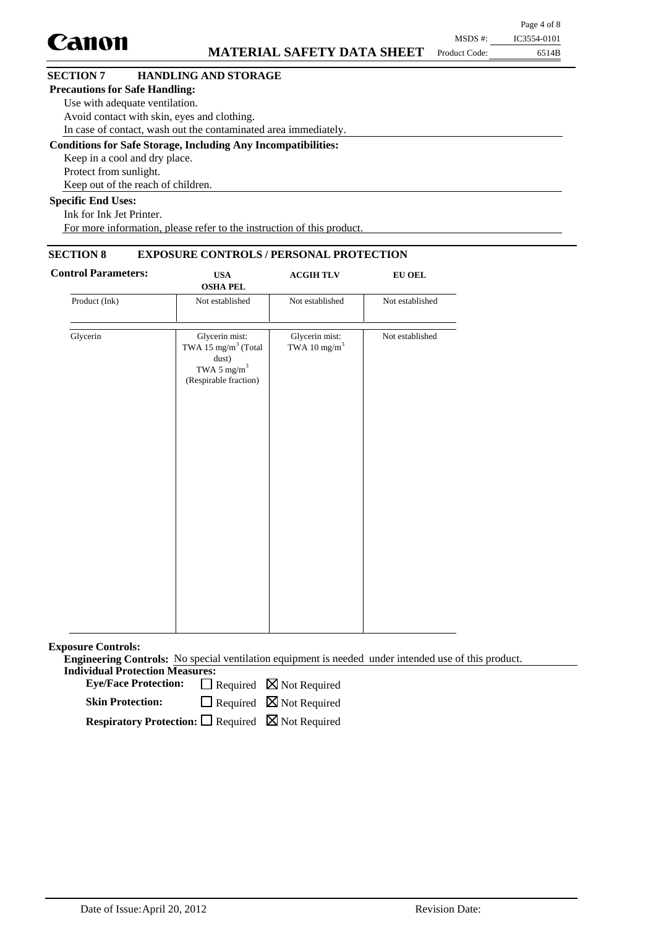|                                       |                                                                      |               | Page 4 of 8 |
|---------------------------------------|----------------------------------------------------------------------|---------------|-------------|
| <b>Canon</b>                          |                                                                      | MSDS #:       | IC3554-0101 |
|                                       | <b>MATERIAL SAFETY DATA SHEET</b>                                    | Product Code: | 6514B       |
| <b>SECTION 7</b>                      | <b>HANDLING AND STORAGE</b>                                          |               |             |
| <b>Precautions for Safe Handling:</b> |                                                                      |               |             |
| Use with adequate ventilation.        |                                                                      |               |             |
|                                       | Avoid contact with skin, eyes and clothing.                          |               |             |
|                                       | In case of contact, wash out the contaminated area immediately.      |               |             |
|                                       | <b>Conditions for Safe Storage, Including Any Incompatibilities:</b> |               |             |
| Keep in a cool and dry place.         |                                                                      |               |             |
| Protect from sunlight.                |                                                                      |               |             |
|                                       | Keep out of the reach of children.                                   |               |             |
| <b>Specific End Uses:</b>             |                                                                      |               |             |
| TIC TITID'S                           |                                                                      |               |             |

Ink for Ink Jet Printer. For more information, please refer to the instruction of this product.

## **SECTION 8 EXPOSURE CONTROLS / PERSONAL PROTECTION**

| <b>Control Parameters:</b> | <b>USA</b><br><b>ACGIH TLV</b><br><b>OSHA PEL</b>                                                              |                                            | <b>EU OEL</b>   |  |  |
|----------------------------|----------------------------------------------------------------------------------------------------------------|--------------------------------------------|-----------------|--|--|
| Product (Ink)              | Not established                                                                                                | Not established                            | Not established |  |  |
| Glycerin                   | Glycerin mist:<br>TWA 15 mg/m <sup>3</sup> (Total<br>dust)<br>TWA 5 mg/m <sup>3</sup><br>(Respirable fraction) | Glycerin mist:<br>TWA 10 mg/m <sup>3</sup> | Not established |  |  |
|                            |                                                                                                                |                                            |                 |  |  |

**Exposure Controls:**

**Engineering Controls:** No special ventilation equipment is needed under intended use of this product. **Individual Protection Measures:**

Eye/Face Protection:  $\Box$  Required  $\boxtimes$  Not Required

 $\Box$  Required  $\boxtimes$  Not Required **Skin Protection:**

**Respiratory Protection:** □ Required ⊠ Not Required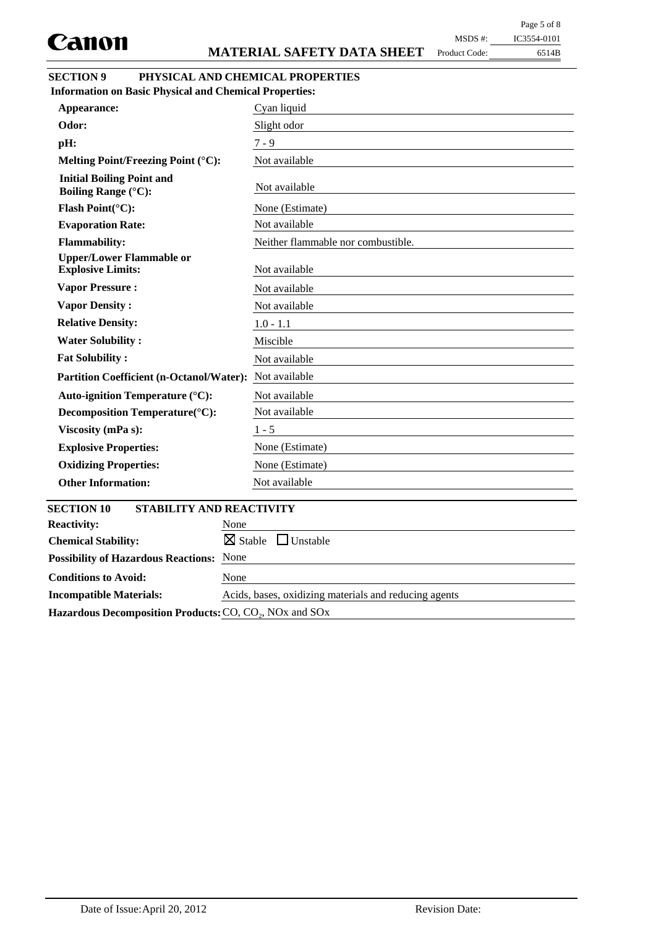MSDS #: Product Code:

| IC3554-0101 |
|-------------|
|-------------|

6514B

| <b>SECTION 9</b> | PHYSICAL AND CHEMICAL PROPERTIES |
|------------------|----------------------------------|
|                  |                                  |

| <b>Information on Basic Physical and Chemical Properties:</b>  |                                       |
|----------------------------------------------------------------|---------------------------------------|
| Appearance:                                                    | Cyan liquid                           |
| Odor:                                                          | Slight odor                           |
| pH:                                                            | $7 - 9$                               |
| Melting Point/Freezing Point (°C):                             | Not available                         |
| <b>Initial Boiling Point and</b><br><b>Boiling Range (°C):</b> | Not available                         |
| Flash Point(°C):                                               | None (Estimate)                       |
| <b>Evaporation Rate:</b>                                       | Not available                         |
| <b>Flammability:</b>                                           | Neither flammable nor combustible.    |
| <b>Upper/Lower Flammable or</b><br><b>Explosive Limits:</b>    | Not available                         |
| <b>Vapor Pressure:</b>                                         | Not available                         |
| <b>Vapor Density:</b>                                          | Not available                         |
| <b>Relative Density:</b>                                       | $1.0 - 1.1$                           |
| <b>Water Solubility:</b>                                       | Miscible                              |
| <b>Fat Solubility:</b>                                         | Not available                         |
| <b>Partition Coefficient (n-Octanol/Water):</b>                | Not available                         |
| Auto-ignition Temperature (°C):                                | Not available                         |
| Decomposition Temperature(°C):                                 | Not available                         |
| Viscosity (mPa s):                                             | $1 - 5$                               |
| <b>Explosive Properties:</b>                                   | None (Estimate)                       |
| <b>Oxidizing Properties:</b>                                   | None (Estimate)                       |
| <b>Other Information:</b>                                      | Not available                         |
| <b>SECTION 10</b><br>STABILITY AND REACTIVITY                  |                                       |
| <b>Reactivity:</b><br>None                                     |                                       |
| <b>Chemical Stability:</b>                                     | $\boxtimes$ Stable<br>$\Box$ Unstable |
| None<br><b>Possibility of Hazardous Reactions:</b>             |                                       |
| <b>Conditions to Avoid:</b><br>None                            |                                       |

Hazardous Decomposition Products: CO, CO<sub>2</sub>, NO<sub>x</sub> and SO<sub>x</sub>

**Incompatible Materials:** Acids, bases, oxidizing materials and reducing agents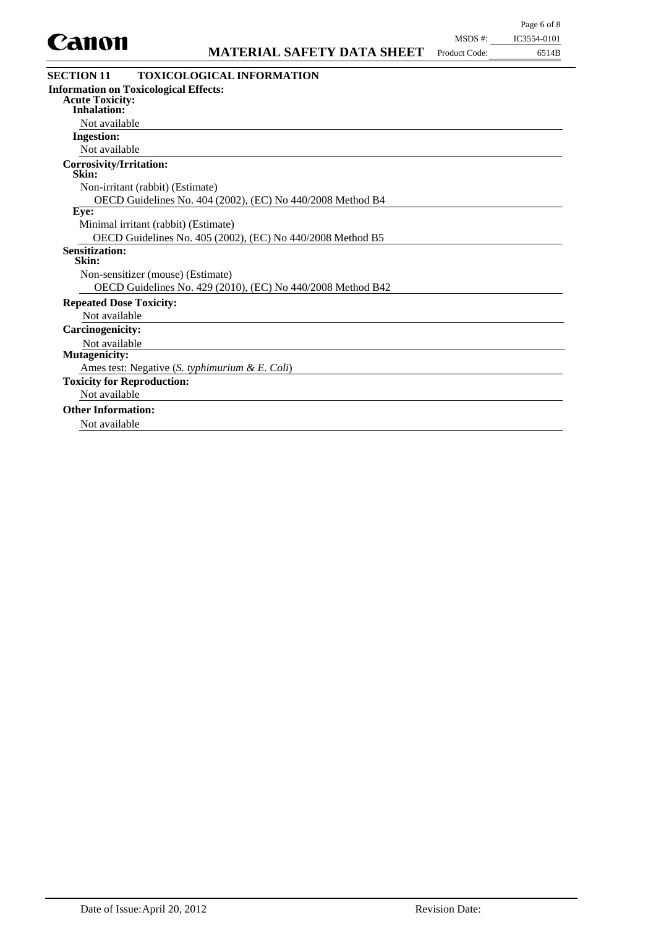

| <b>Canvil</b>                                  | <b>MATERIAL SAFETY DATA SHEET</b>                           | Product Code: | 6514B |
|------------------------------------------------|-------------------------------------------------------------|---------------|-------|
| <b>SECTION 11</b>                              | <b>TOXICOLOGICAL INFORMATION</b>                            |               |       |
| <b>Information on Toxicological Effects:</b>   |                                                             |               |       |
| <b>Acute Toxicity:</b><br><b>Inhalation:</b>   |                                                             |               |       |
| Not available                                  |                                                             |               |       |
| <b>Ingestion:</b>                              |                                                             |               |       |
| Not available                                  |                                                             |               |       |
| Corrosivity/Irritation:<br>Skin:               |                                                             |               |       |
| Non-irritant (rabbit) (Estimate)               |                                                             |               |       |
|                                                | OECD Guidelines No. 404 (2002), (EC) No 440/2008 Method B4  |               |       |
| Eye:                                           |                                                             |               |       |
| Minimal irritant (rabbit) (Estimate)           |                                                             |               |       |
|                                                | OECD Guidelines No. 405 (2002), (EC) No 440/2008 Method B5  |               |       |
| <b>Sensitization:</b><br>Skin:                 |                                                             |               |       |
| Non-sensitizer (mouse) (Estimate)              |                                                             |               |       |
|                                                | OECD Guidelines No. 429 (2010), (EC) No 440/2008 Method B42 |               |       |
| <b>Repeated Dose Toxicity:</b>                 |                                                             |               |       |
| Not available                                  |                                                             |               |       |
| <b>Carcinogenicity:</b>                        |                                                             |               |       |
| Not available                                  |                                                             |               |       |
| <b>Mutagenicity:</b>                           |                                                             |               |       |
| Ames test: Negative (S. typhimurium & E. Coli) |                                                             |               |       |
| <b>Toxicity for Reproduction:</b>              |                                                             |               |       |
| Not available                                  |                                                             |               |       |
| <b>Other Information:</b>                      |                                                             |               |       |
| Not available                                  |                                                             |               |       |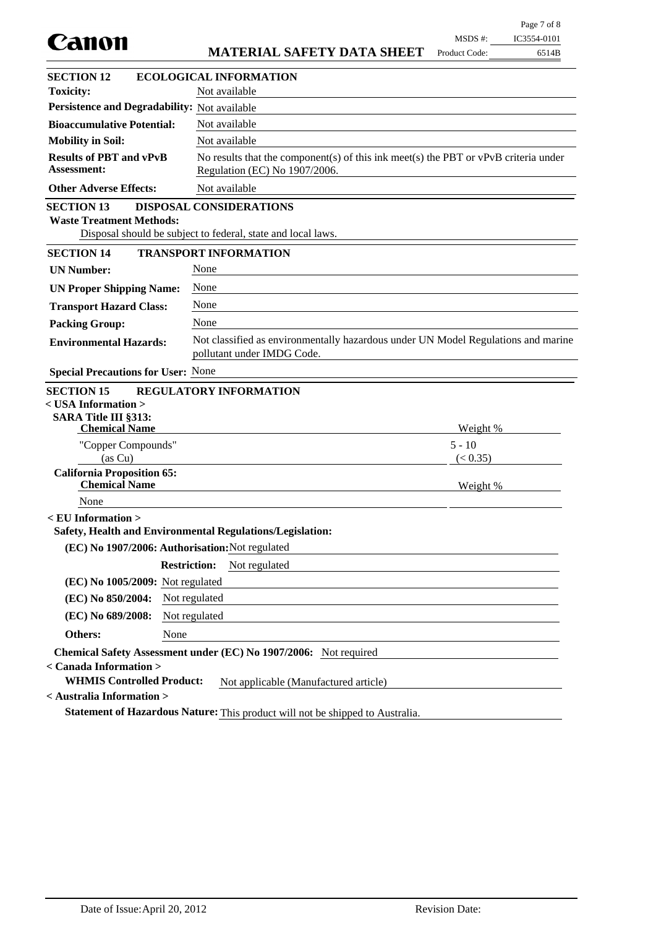| Canon                                                         |                                                                                                                        | MSDS #:       | IC3554-0101 |
|---------------------------------------------------------------|------------------------------------------------------------------------------------------------------------------------|---------------|-------------|
|                                                               | <b>MATERIAL SAFETY DATA SHEET</b>                                                                                      | Product Code: | 6514B       |
| <b>SECTION 12</b>                                             | <b>ECOLOGICAL INFORMATION</b>                                                                                          |               |             |
| <b>Toxicity:</b>                                              | Not available                                                                                                          |               |             |
| Persistence and Degradability: Not available                  |                                                                                                                        |               |             |
| <b>Bioaccumulative Potential:</b>                             | Not available                                                                                                          |               |             |
| <b>Mobility in Soil:</b>                                      | Not available                                                                                                          |               |             |
| <b>Results of PBT and vPvB</b><br><b>Assessment:</b>          | No results that the component(s) of this ink meet(s) the PBT or $vPvB$ criteria under<br>Regulation (EC) No 1907/2006. |               |             |
| <b>Other Adverse Effects:</b>                                 | Not available                                                                                                          |               |             |
| <b>SECTION 13</b><br><b>Waste Treatment Methods:</b>          | DISPOSAL CONSIDERATIONS<br>Disposal should be subject to federal, state and local laws.                                |               |             |
| <b>SECTION 14</b>                                             | <b>TRANSPORT INFORMATION</b>                                                                                           |               |             |
| <b>UN Number:</b>                                             | None                                                                                                                   |               |             |
| <b>UN Proper Shipping Name:</b>                               | None                                                                                                                   |               |             |
| <b>Transport Hazard Class:</b>                                | None                                                                                                                   |               |             |
| <b>Packing Group:</b>                                         | None                                                                                                                   |               |             |
| <b>Environmental Hazards:</b>                                 | Not classified as environmentally hazardous under UN Model Regulations and marine<br>pollutant under IMDG Code.        |               |             |
| <b>Special Precautions for User: None</b>                     |                                                                                                                        |               |             |
| <b>SECTION 15</b>                                             | <b>REGULATORY INFORMATION</b>                                                                                          |               |             |
| $<$ USA Information $>$                                       |                                                                                                                        |               |             |
| SARA Title III §313:<br><b>Chemical Name</b>                  |                                                                                                                        | Weight %      |             |
| "Copper Compounds"                                            |                                                                                                                        | $5 - 10$      |             |
| (as Cu)                                                       |                                                                                                                        | (< 0.35)      |             |
| <b>California Proposition 65:</b><br><b>Chemical Name</b>     |                                                                                                                        | Weight %      |             |
| None                                                          |                                                                                                                        |               |             |
| <eu information=""></eu>                                      |                                                                                                                        |               |             |
|                                                               | Safety, Health and Environmental Regulations/Legislation:                                                              |               |             |
| (EC) No 1907/2006: Authorisation: Not regulated               |                                                                                                                        |               |             |
|                                                               | <b>Restriction:</b><br>Not regulated                                                                                   |               |             |
| (EC) No 1005/2009: Not regulated                              |                                                                                                                        |               |             |
| (EC) No 850/2004:                                             | Not regulated                                                                                                          |               |             |
| (EC) No 689/2008:                                             | Not regulated                                                                                                          |               |             |
| <b>Others:</b><br>None                                        |                                                                                                                        |               |             |
| < Canada Information >                                        | Chemical Safety Assessment under (EC) No 1907/2006: Not required                                                       |               |             |
| <b>WHMIS Controlled Product:</b><br>< Australia Information > | Not applicable (Manufactured article)                                                                                  |               |             |
|                                                               |                                                                                                                        |               |             |
|                                                               | Statement of Hazardous Nature: This product will not be shipped to Australia.                                          |               |             |

Page 7 of 8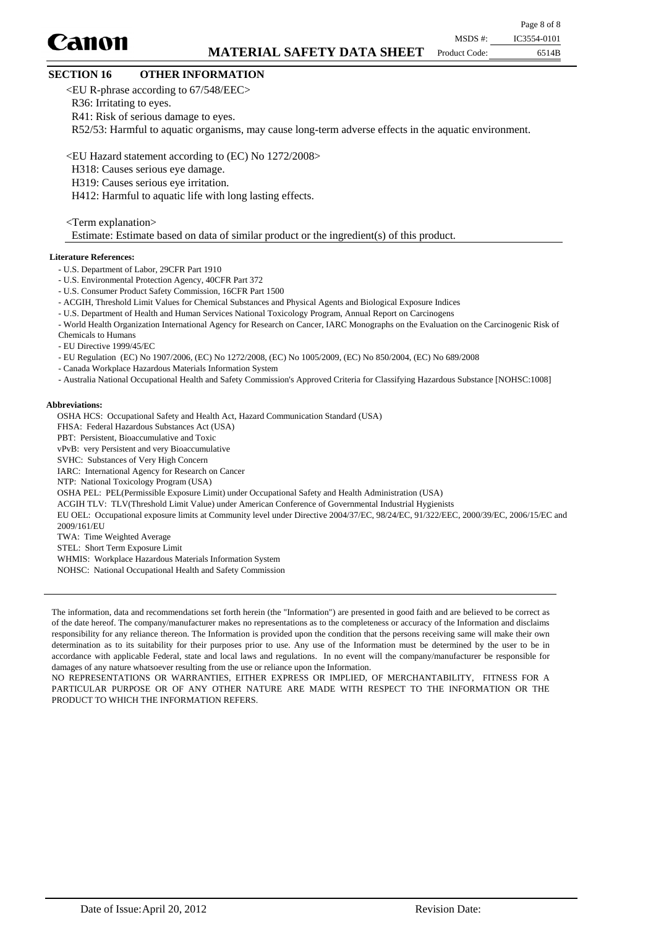# Canon

Page 8 of 8 MSDS #: IC3554-0101

Product Code:

6514B

## **SECTION 16 OTHER INFORMATION**

<EU R-phrase according to 67/548/EEC>

R36: Irritating to eyes.

R41: Risk of serious damage to eyes.

R52/53: Harmful to aquatic organisms, may cause long-term adverse effects in the aquatic environment.

<EU Hazard statement according to (EC) No 1272/2008>

- H318: Causes serious eye damage.
- H319: Causes serious eye irritation.

H412: Harmful to aquatic life with long lasting effects.

<Term explanation>

Estimate: Estimate based on data of similar product or the ingredient(s) of this product.

#### **Literature References:**

- U.S. Department of Labor, 29CFR Part 1910
- U.S. Environmental Protection Agency, 40CFR Part 372
- U.S. Consumer Product Safety Commission, 16CFR Part 1500
- ACGIH, Threshold Limit Values for Chemical Substances and Physical Agents and Biological Exposure Indices
- U.S. Department of Health and Human Services National Toxicology Program, Annual Report on Carcinogens
- World Health Organization International Agency for Research on Cancer, IARC Monographs on the Evaluation on the Carcinogenic Risk of Chemicals to Humans
- EU Directive 1999/45/EC

- EU Regulation (EC) No 1907/2006, (EC) No 1272/2008, (EC) No 1005/2009, (EC) No 850/2004, (EC) No 689/2008

- Canada Workplace Hazardous Materials Information System
- Australia National Occupational Health and Safety Commission's Approved Criteria for Classifying Hazardous Substance [NOHSC:1008]

#### **Abbreviations:**

OSHA HCS: Occupational Safety and Health Act, Hazard Communication Standard (USA)

FHSA: Federal Hazardous Substances Act (USA)

PBT: Persistent, Bioaccumulative and Toxic

vPvB: very Persistent and very Bioaccumulative

SVHC: Substances of Very High Concern

IARC: International Agency for Research on Cancer

- NTP: National Toxicology Program (USA)
- OSHA PEL: PEL(Permissible Exposure Limit) under Occupational Safety and Health Administration (USA)
- ACGIH TLV: TLV(Threshold Limit Value) under American Conference of Governmental Industrial Hygienists

EU OEL: Occupational exposure limits at Community level under Directive 2004/37/EC, 98/24/EC, 91/322/EEC, 2000/39/EC, 2006/15/EC and 2009/161/EU

TWA: Time Weighted Average

STEL: Short Term Exposure Limit

WHMIS: Workplace Hazardous Materials Information System

NOHSC: National Occupational Health and Safety Commission

The information, data and recommendations set forth herein (the "Information") are presented in good faith and are believed to be correct as of the date hereof. The company/manufacturer makes no representations as to the completeness or accuracy of the Information and disclaims responsibility for any reliance thereon. The Information is provided upon the condition that the persons receiving same will make their own determination as to its suitability for their purposes prior to use. Any use of the Information must be determined by the user to be in accordance with applicable Federal, state and local laws and regulations. In no event will the company/manufacturer be responsible for damages of any nature whatsoever resulting from the use or reliance upon the Information.

NO REPRESENTATIONS OR WARRANTIES, EITHER EXPRESS OR IMPLIED, OF MERCHANTABILITY, FITNESS FOR A PARTICULAR PURPOSE OR OF ANY OTHER NATURE ARE MADE WITH RESPECT TO THE INFORMATION OR THE PRODUCT TO WHICH THE INFORMATION REFERS.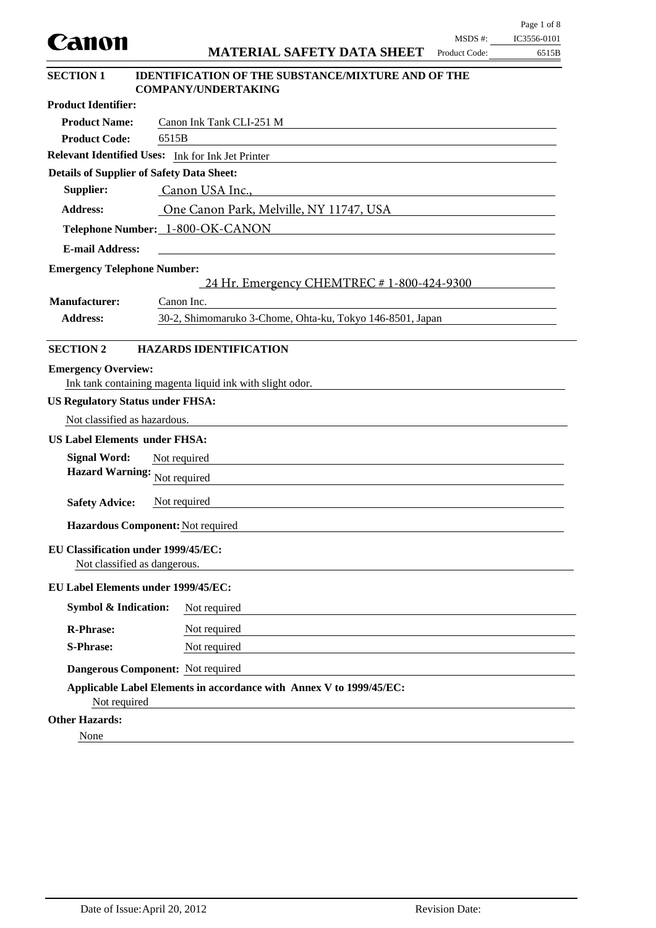| Canon                                            |                                                                                         | MSDS#:        | IC3556-0101 |
|--------------------------------------------------|-----------------------------------------------------------------------------------------|---------------|-------------|
|                                                  | <b>MATERIAL SAFETY DATA SHEET</b>                                                       | Product Code: | 6515B       |
| <b>SECTION 1</b>                                 | <b>IDENTIFICATION OF THE SUBSTANCE/MIXTURE AND OF THE</b><br><b>COMPANY/UNDERTAKING</b> |               |             |
| <b>Product Identifier:</b>                       |                                                                                         |               |             |
| <b>Product Name:</b>                             | Canon Ink Tank CLI-251 M                                                                |               |             |
| <b>Product Code:</b>                             | 6515B                                                                                   |               |             |
|                                                  | Relevant Identified Uses: Ink for Ink Jet Printer                                       |               |             |
| <b>Details of Supplier of Safety Data Sheet:</b> |                                                                                         |               |             |
| Supplier:                                        | Canon USA Inc.,                                                                         |               |             |
| <b>Address:</b>                                  | One Canon Park, Melville, NY 11747, USA                                                 |               |             |
|                                                  | Telephone Number: 1-800-OK-CANON                                                        |               |             |
| <b>E-mail Address:</b>                           |                                                                                         |               |             |
| <b>Emergency Telephone Number:</b>               |                                                                                         |               |             |
|                                                  | 24 Hr. Emergency CHEMTREC # 1-800-424-9300                                              |               |             |
| <b>Manufacturer:</b>                             | Canon Inc.                                                                              |               |             |
| <b>Address:</b>                                  | 30-2, Shimomaruko 3-Chome, Ohta-ku, Tokyo 146-8501, Japan                               |               |             |
|                                                  |                                                                                         |               |             |
| <b>SECTION 2</b>                                 | <b>HAZARDS IDENTIFICATION</b>                                                           |               |             |
| <b>Emergency Overview:</b>                       |                                                                                         |               |             |
|                                                  | Ink tank containing magenta liquid ink with slight odor.                                |               |             |
| <b>US Regulatory Status under FHSA:</b>          |                                                                                         |               |             |
| Not classified as hazardous.                     |                                                                                         |               |             |
| <b>US Label Elements under FHSA:</b>             |                                                                                         |               |             |
| <b>Signal Word:</b>                              | Not required                                                                            |               |             |
| <b>Hazard Warning:</b>                           | Not required                                                                            |               |             |
|                                                  |                                                                                         |               |             |
| <b>Safety Advice:</b>                            | Not required                                                                            |               |             |
|                                                  | Hazardous Component: Not required                                                       |               |             |
| <b>EU Classification under 1999/45/EC:</b>       |                                                                                         |               |             |
| Not classified as dangerous.                     |                                                                                         |               |             |
| EU Label Elements under 1999/45/EC:              |                                                                                         |               |             |
| <b>Symbol &amp; Indication:</b>                  | Not required                                                                            |               |             |
| <b>R-Phrase:</b>                                 | Not required                                                                            |               |             |
| <b>S-Phrase:</b>                                 | Not required                                                                            |               |             |
|                                                  |                                                                                         |               |             |
|                                                  | Dangerous Component: Not required                                                       |               |             |
| Not required                                     | Applicable Label Elements in accordance with Annex V to 1999/45/EC:                     |               |             |
| <b>Other Hazards:</b>                            |                                                                                         |               |             |
| None                                             |                                                                                         |               |             |

Page 1 of 8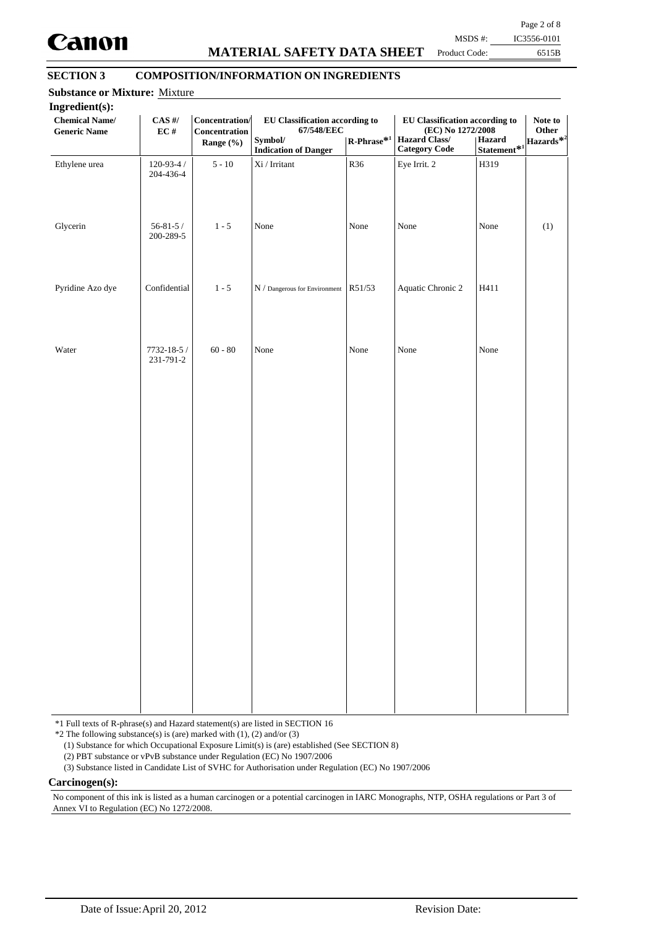

## **MATERIAL SAFETY DATA SHEET**

Page 2 of 8

Product Code:

6515B MSDS #: IC3556-0101

## **SECTION 3 COMPOSITION/INFORMATION ON INGREDIENTS**

| Ingredient(s):<br><b>Chemical Name/</b><br><b>Generic Name</b> | $CAS$ #/<br>EC#               | Concentration/<br>Concentration<br>Range (%) | EU Classification according to<br>67/548/EEC<br>Symbol/<br><b>Indication of Danger</b> | $\mathbf{R}\text{-Phrase}^{*1}$ | EU Classification according to<br>(EC) No 1272/2008<br><b>Hazard Class/</b><br><b>Category Code</b> | Hazard<br>$Statement*1$ | Note to<br>Other<br>Hazards <sup>*2</sup> |
|----------------------------------------------------------------|-------------------------------|----------------------------------------------|----------------------------------------------------------------------------------------|---------------------------------|-----------------------------------------------------------------------------------------------------|-------------------------|-------------------------------------------|
| Ethylene urea                                                  | $120 - 93 - 4 /$<br>204-436-4 | $5 - 10$                                     | $\rm{Xi}$ / Irritant                                                                   | R36                             | Eye Irrit. 2                                                                                        | H319                    |                                           |
| Glycerin                                                       | $56 - 81 - 5/$<br>200-289-5   | $1 - 5$                                      | None                                                                                   | None                            | None                                                                                                | None                    | (1)                                       |
| Pyridine Azo dye                                               | Confidential                  | $1 - 5$                                      | $N /$ Dangerous for Environment R51/53                                                 |                                 | Aquatic Chronic 2                                                                                   | H411                    |                                           |
| Water                                                          | 7732-18-5 /<br>231-791-2      | $60 - 80$                                    | None                                                                                   | None                            | None                                                                                                | None                    |                                           |
|                                                                |                               |                                              |                                                                                        |                                 |                                                                                                     |                         |                                           |
|                                                                |                               |                                              |                                                                                        |                                 |                                                                                                     |                         |                                           |
|                                                                |                               |                                              |                                                                                        |                                 |                                                                                                     |                         |                                           |
|                                                                |                               |                                              |                                                                                        |                                 |                                                                                                     |                         |                                           |
|                                                                |                               |                                              |                                                                                        |                                 |                                                                                                     |                         |                                           |

\*1 Full texts of R-phrase(s) and Hazard statement(s) are listed in SECTION 16

 $*2$  The following substance(s) is (are) marked with (1), (2) and/or (3)

(1) Substance for which Occupational Exposure Limit(s) is (are) established (See SECTION 8)

(2) PBT substance or vPvB substance under Regulation (EC) No 1907/2006

(3) Substance listed in Candidate List of SVHC for Authorisation under Regulation (EC) No 1907/2006

**Carcinogen(s):**

No component of this ink is listed as a human carcinogen or a potential carcinogen in IARC Monographs, NTP, OSHA regulations or Part 3 of Annex VI to Regulation (EC) No 1272/2008.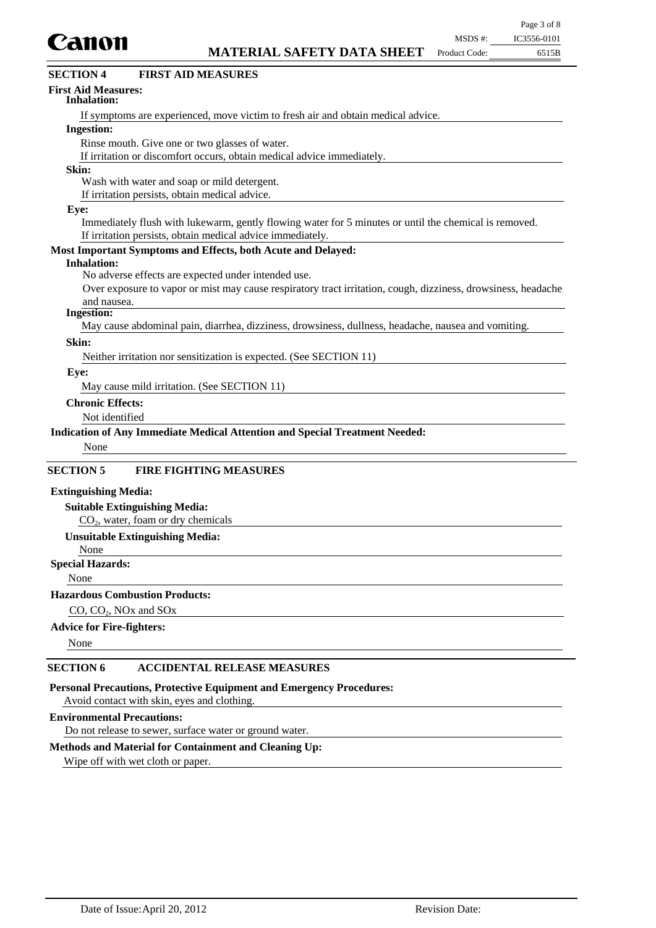

| Canon                                                                                                         | MSDS #:       | IC3556-0101 |
|---------------------------------------------------------------------------------------------------------------|---------------|-------------|
| <b>MATERIAL SAFETY DATA SHEET</b>                                                                             | Product Code: | 6515B       |
| <b>FIRST AID MEASURES</b><br><b>SECTION 4</b>                                                                 |               |             |
| <b>First Aid Measures:</b><br>Inhalation:                                                                     |               |             |
| If symptoms are experienced, move victim to fresh air and obtain medical advice.                              |               |             |
| <b>Ingestion:</b>                                                                                             |               |             |
| Rinse mouth. Give one or two glasses of water.                                                                |               |             |
| If irritation or discomfort occurs, obtain medical advice immediately.                                        |               |             |
| Skin:                                                                                                         |               |             |
| Wash with water and soap or mild detergent.                                                                   |               |             |
| If irritation persists, obtain medical advice.                                                                |               |             |
| Eye:                                                                                                          |               |             |
| Immediately flush with lukewarm, gently flowing water for 5 minutes or until the chemical is removed.         |               |             |
| If irritation persists, obtain medical advice immediately.                                                    |               |             |
| Most Important Symptoms and Effects, both Acute and Delayed:                                                  |               |             |
| <b>Inhalation:</b>                                                                                            |               |             |
| No adverse effects are expected under intended use.                                                           |               |             |
| Over exposure to vapor or mist may cause respiratory tract irritation, cough, dizziness, drowsiness, headache |               |             |
| and nausea.                                                                                                   |               |             |
| <b>Ingestion:</b>                                                                                             |               |             |
| May cause abdominal pain, diarrhea, dizziness, drowsiness, dullness, headache, nausea and vomiting.           |               |             |
| Skin:                                                                                                         |               |             |
| Neither irritation nor sensitization is expected. (See SECTION 11)                                            |               |             |
| Eye:                                                                                                          |               |             |
| May cause mild irritation. (See SECTION 11)                                                                   |               |             |
| <b>Chronic Effects:</b>                                                                                       |               |             |
| Not identified                                                                                                |               |             |
| <b>Indication of Any Immediate Medical Attention and Special Treatment Needed:</b>                            |               |             |
| None                                                                                                          |               |             |
|                                                                                                               |               |             |
| <b>SECTION 5</b><br><b>FIRE FIGHTING MEASURES</b>                                                             |               |             |
| <b>Extinguishing Media:</b>                                                                                   |               |             |
| <b>Suitable Extinguishing Media:</b>                                                                          |               |             |
| CO <sub>2</sub> , water, foam or dry chemicals                                                                |               |             |
| <b>Unsuitable Extinguishing Media:</b>                                                                        |               |             |
| None                                                                                                          |               |             |
|                                                                                                               |               |             |

## **Special Hazards:**

None

#### **Hazardous Combustion Products:**

CO, CO<sub>2</sub>, NO<sub>x</sub> and SO<sub>x</sub>

## **Advice for Fire-fighters:**

None

### **SECTION 6 ACCIDENTAL RELEASE MEASURES**

**Personal Precautions, Protective Equipment and Emergency Procedures:**

Avoid contact with skin, eyes and clothing.

#### **Environmental Precautions:**

Do not release to sewer, surface water or ground water.

### **Methods and Material for Containment and Cleaning Up:**

Wipe off with wet cloth or paper.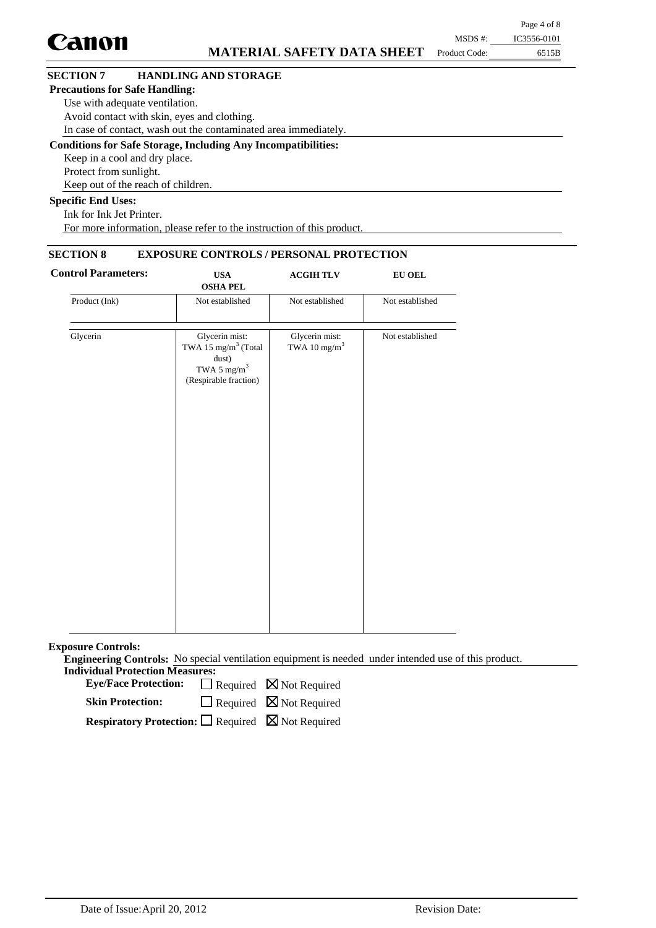|                                       |                                                                      |               | Page 4 of 8 |
|---------------------------------------|----------------------------------------------------------------------|---------------|-------------|
| <b>Canon</b>                          |                                                                      | MSDS #:       | IC3556-0101 |
|                                       | <b>MATERIAL SAFETY DATA SHEET</b>                                    | Product Code: | 6515B       |
| <b>SECTION 7</b>                      | <b>HANDLING AND STORAGE</b>                                          |               |             |
| <b>Precautions for Safe Handling:</b> |                                                                      |               |             |
| Use with adequate ventilation.        |                                                                      |               |             |
|                                       | Avoid contact with skin, eyes and clothing.                          |               |             |
|                                       | In case of contact, wash out the contaminated area immediately.      |               |             |
|                                       | <b>Conditions for Safe Storage, Including Any Incompatibilities:</b> |               |             |
| Keep in a cool and dry place.         |                                                                      |               |             |
| Protect from sunlight.                |                                                                      |               |             |
|                                       | Keep out of the reach of children.                                   |               |             |
| <b>Specific End Uses:</b>             |                                                                      |               |             |

Ink for Ink Jet Printer. For more information, please refer to the instruction of this product.

## **SECTION 8 EXPOSURE CONTROLS / PERSONAL PROTECTION**

| <b>Control Parameters:</b> | <b>USA</b><br><b>OSHA PEL</b>                                                                                  | <b>ACGIHTLV</b>                            | <b>EU OEL</b>   |  |
|----------------------------|----------------------------------------------------------------------------------------------------------------|--------------------------------------------|-----------------|--|
| Product (Ink)              | Not established                                                                                                | Not established                            | Not established |  |
| Glycerin                   | Glycerin mist:<br>TWA 15 mg/m <sup>3</sup> (Total<br>dust)<br>TWA 5 mg/m <sup>3</sup><br>(Respirable fraction) | Glycerin mist:<br>TWA 10 mg/m <sup>3</sup> | Not established |  |
|                            |                                                                                                                |                                            |                 |  |
|                            |                                                                                                                |                                            |                 |  |

**Exposure Controls:**

**Engineering Controls:** No special ventilation equipment is needed under intended use of this product. **Individual Protection Measures:**

Eye/Face Protection:  $\Box$  Required  $\boxtimes$  Not Required

 $\Box$  Required  $\boxtimes$  Not Required **Skin Protection:**

**Respiratory Protection:** □ Required ⊠ Not Required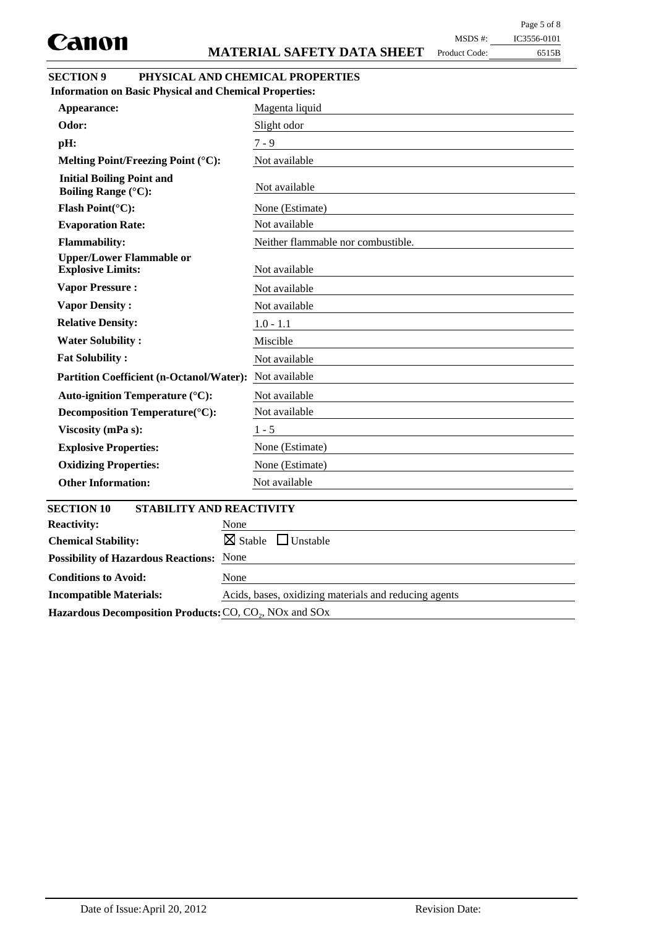Product Code:

| IC3556-0101<br>MSDS #: |
|------------------------|
|------------------------|

6515B

| <b>SECTION 9</b> | PHYSICAL AND CHEMICAL PROPERTIES |
|------------------|----------------------------------|
|                  |                                  |

**Odor:** Slight odor **pH:**  $7 - 9$ **Initial Boiling Point and**<br>**Roiling Pongo** (°C). Not available **Boiling Range (°C): Melting Point/Freezing Point (°C):** Not available **Vapor Pressure :** Not available **Vapor Density :** Not available **Relative Density:** 1.0 - 1.1 **Water Solubility :** Miscible **Fat Solubility :** Not available **Partition Coefficient (n-Octanol/Water):** Not available **Evaporation Rate:** Not available Chemical Stability: Stable □ Unstable **Possibility of Hazardous Reactions:** None **Appearance: Flash Point(°C):** None (Estimate) **Explosive Properties:** None (Estimate) **Oxidizing Properties:** None (Estimate) Magenta liquid Flammability: Neither flammable nor combustible. **Decomposition Temperature(°C):** Not available Not available **Upper/Lower Flammable or Explosive Limits: Auto-ignition Temperature (°C):** Not available **Viscosity (mPa s):** 1 - 5 **SECTION 10 STABILITY AND REACTIVITY Information on Basic Physical and Chemical Properties: Other Information:** Not available **Reactivity:** None

Hazardous Decomposition Products: CO, CO<sub>2</sub>, NO<sub>x</sub> and SO<sub>x</sub>

**Incompatible Materials:** Acids, bases, oxidizing materials and reducing agents

**Conditions to Avoid:** None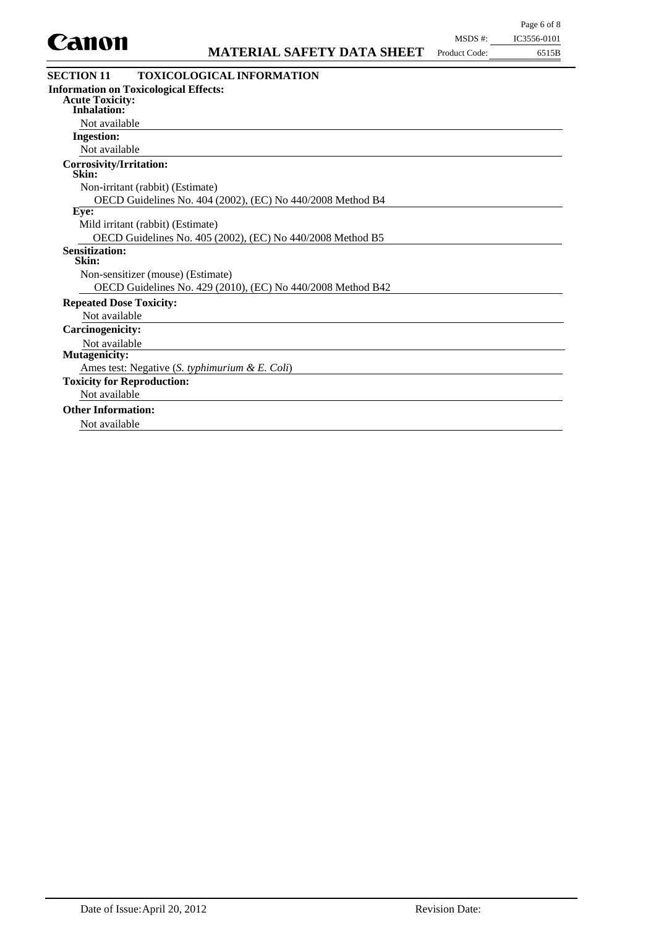

| <b>SECTION 11</b><br><b>TOXICOLOGICAL INFORMATION</b>       |
|-------------------------------------------------------------|
| <b>Information on Toxicological Effects:</b>                |
| <b>Acute Toxicity:</b><br>Inhalation:                       |
|                                                             |
| Not available                                               |
| <b>Ingestion:</b>                                           |
| Not available                                               |
| Corrosivity/Irritation:<br>Skin:                            |
| Non-irritant (rabbit) (Estimate)                            |
| OECD Guidelines No. 404 (2002), (EC) No 440/2008 Method B4  |
| Eve:                                                        |
| Mild irritant (rabbit) (Estimate)                           |
| OECD Guidelines No. 405 (2002), (EC) No 440/2008 Method B5  |
| <b>Sensitization:</b><br>Skin:                              |
| Non-sensitizer (mouse) (Estimate)                           |
| OECD Guidelines No. 429 (2010), (EC) No 440/2008 Method B42 |
| <b>Repeated Dose Toxicity:</b>                              |
| Not available                                               |
| <b>Carcinogenicity:</b>                                     |
| Not available                                               |
| <b>Mutagenicity:</b>                                        |
| Ames test: Negative (S. typhimurium & E. Coli)              |
| <b>Toxicity for Reproduction:</b>                           |
| Not available                                               |
| <b>Other Information:</b>                                   |
| Not available                                               |
|                                                             |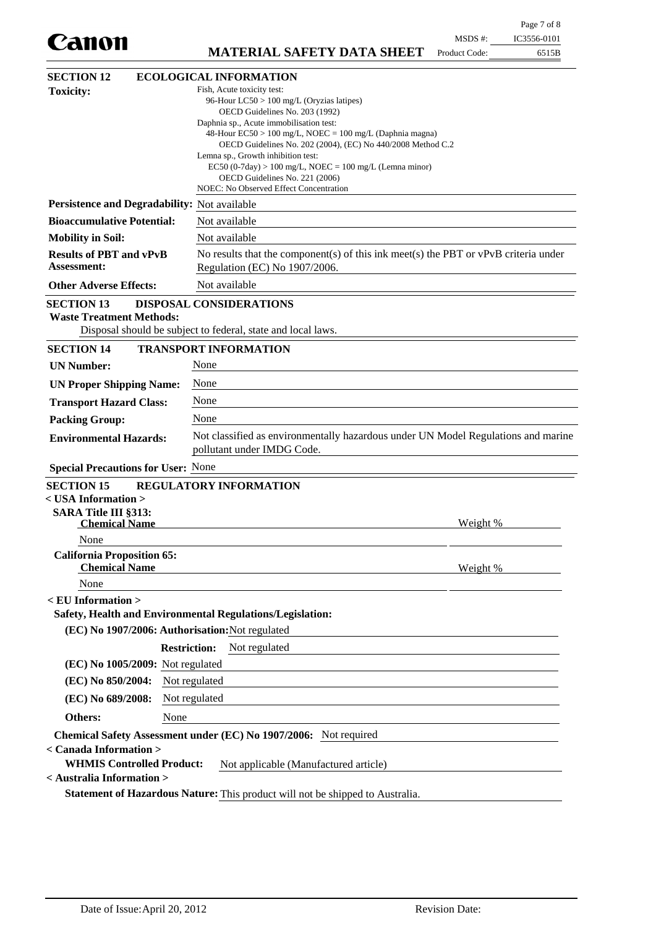|                                                                                                  |                                                                                                                                                                                                                                                                                                                                                                                                                                                                   |               | Page 7 of 8 |
|--------------------------------------------------------------------------------------------------|-------------------------------------------------------------------------------------------------------------------------------------------------------------------------------------------------------------------------------------------------------------------------------------------------------------------------------------------------------------------------------------------------------------------------------------------------------------------|---------------|-------------|
| Canon                                                                                            |                                                                                                                                                                                                                                                                                                                                                                                                                                                                   | MSDS #:       | IC3556-0101 |
|                                                                                                  | <b>MATERIAL SAFETY DATA SHEET</b>                                                                                                                                                                                                                                                                                                                                                                                                                                 | Product Code: | 6515B       |
| <b>SECTION 12</b>                                                                                | <b>ECOLOGICAL INFORMATION</b>                                                                                                                                                                                                                                                                                                                                                                                                                                     |               |             |
| <b>Toxicity:</b>                                                                                 | Fish, Acute toxicity test:<br>96-Hour LC50 > 100 mg/L (Oryzias latipes)<br>OECD Guidelines No. 203 (1992)<br>Daphnia sp., Acute immobilisation test:<br>48-Hour $EC50 > 100$ mg/L, NOEC = 100 mg/L (Daphnia magna)<br>OECD Guidelines No. 202 (2004), (EC) No 440/2008 Method C.2<br>Lemna sp., Growth inhibition test:<br>$EC50 (0-7day) > 100 mg/L$ , NOEC = 100 mg/L (Lemna minor)<br>OECD Guidelines No. 221 (2006)<br>NOEC: No Observed Effect Concentration |               |             |
| Persistence and Degradability: Not available                                                     |                                                                                                                                                                                                                                                                                                                                                                                                                                                                   |               |             |
| <b>Bioaccumulative Potential:</b>                                                                | Not available                                                                                                                                                                                                                                                                                                                                                                                                                                                     |               |             |
| <b>Mobility in Soil:</b>                                                                         | Not available                                                                                                                                                                                                                                                                                                                                                                                                                                                     |               |             |
| <b>Results of PBT and vPvB</b><br><b>Assessment:</b>                                             | No results that the component(s) of this ink meet(s) the PBT or $vPvB$ criteria under<br>Regulation (EC) No 1907/2006.                                                                                                                                                                                                                                                                                                                                            |               |             |
| <b>Other Adverse Effects:</b>                                                                    | Not available                                                                                                                                                                                                                                                                                                                                                                                                                                                     |               |             |
| <b>SECTION 13</b><br><b>Waste Treatment Methods:</b>                                             | <b>DISPOSAL CONSIDERATIONS</b><br>Disposal should be subject to federal, state and local laws.                                                                                                                                                                                                                                                                                                                                                                    |               |             |
| <b>SECTION 14</b>                                                                                | <b>TRANSPORT INFORMATION</b>                                                                                                                                                                                                                                                                                                                                                                                                                                      |               |             |
| <b>UN Number:</b>                                                                                | None                                                                                                                                                                                                                                                                                                                                                                                                                                                              |               |             |
| <b>UN Proper Shipping Name:</b>                                                                  | None                                                                                                                                                                                                                                                                                                                                                                                                                                                              |               |             |
| <b>Transport Hazard Class:</b>                                                                   | None                                                                                                                                                                                                                                                                                                                                                                                                                                                              |               |             |
| <b>Packing Group:</b>                                                                            | None                                                                                                                                                                                                                                                                                                                                                                                                                                                              |               |             |
| <b>Environmental Hazards:</b>                                                                    | Not classified as environmentally hazardous under UN Model Regulations and marine<br>pollutant under IMDG Code.                                                                                                                                                                                                                                                                                                                                                   |               |             |
| <b>Special Precautions for User: None</b>                                                        |                                                                                                                                                                                                                                                                                                                                                                                                                                                                   |               |             |
| <b>SECTION 15</b><br>< USA Information ><br>SARA Title III §313:<br><b>Chemical Name</b><br>None | <b>REGULATORY INFORMATION</b>                                                                                                                                                                                                                                                                                                                                                                                                                                     | Weight %      |             |
| <b>California Proposition 65:</b><br><b>Chemical Name</b>                                        |                                                                                                                                                                                                                                                                                                                                                                                                                                                                   | Weight %      |             |
| None                                                                                             |                                                                                                                                                                                                                                                                                                                                                                                                                                                                   |               |             |
| $<$ EU Information $>$                                                                           | Safety, Health and Environmental Regulations/Legislation:                                                                                                                                                                                                                                                                                                                                                                                                         |               |             |
| (EC) No 1907/2006: Authorisation: Not regulated                                                  |                                                                                                                                                                                                                                                                                                                                                                                                                                                                   |               |             |
|                                                                                                  | <b>Restriction:</b><br>Not regulated                                                                                                                                                                                                                                                                                                                                                                                                                              |               |             |
| $(EC)$ No 1005/2009: Not regulated                                                               |                                                                                                                                                                                                                                                                                                                                                                                                                                                                   |               |             |
| (EC) No 850/2004:                                                                                | Not regulated                                                                                                                                                                                                                                                                                                                                                                                                                                                     |               |             |
| (EC) No 689/2008:                                                                                | Not regulated                                                                                                                                                                                                                                                                                                                                                                                                                                                     |               |             |
| Others:<br>None                                                                                  |                                                                                                                                                                                                                                                                                                                                                                                                                                                                   |               |             |
|                                                                                                  | Chemical Safety Assessment under (EC) No 1907/2006: Not required                                                                                                                                                                                                                                                                                                                                                                                                  |               |             |
| < Canada Information ><br><b>WHMIS Controlled Product:</b><br>< Australia Information >          | Not applicable (Manufactured article)                                                                                                                                                                                                                                                                                                                                                                                                                             |               |             |
|                                                                                                  | Statement of Hazardous Nature: This product will not be shipped to Australia.                                                                                                                                                                                                                                                                                                                                                                                     |               |             |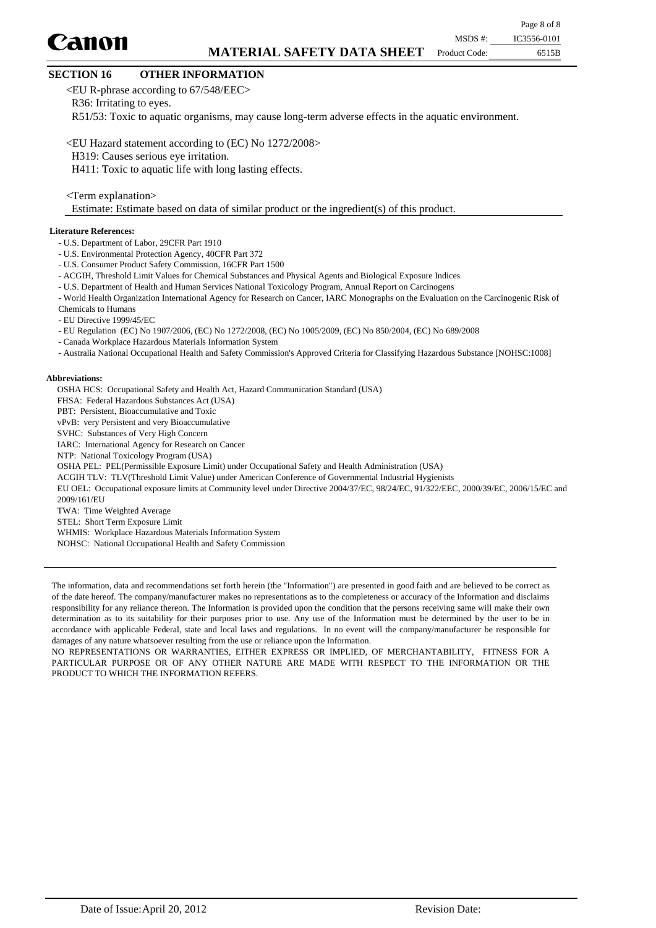## **MATERIAL SAFETY DATA SHEET**

Product Code:

## **SECTION 16 OTHER INFORMATION**

<EU R-phrase according to 67/548/EEC>

R36: Irritating to eyes.

R51/53: Toxic to aquatic organisms, may cause long-term adverse effects in the aquatic environment.

<EU Hazard statement according to (EC) No 1272/2008>

H319: Causes serious eye irritation.

H411: Toxic to aquatic life with long lasting effects.

<Term explanation>

Estimate: Estimate based on data of similar product or the ingredient(s) of this product.

#### **Literature References:**

Canon

- U.S. Department of Labor, 29CFR Part 1910
- U.S. Environmental Protection Agency, 40CFR Part 372
- U.S. Consumer Product Safety Commission, 16CFR Part 1500
- ACGIH, Threshold Limit Values for Chemical Substances and Physical Agents and Biological Exposure Indices
- U.S. Department of Health and Human Services National Toxicology Program, Annual Report on Carcinogens
- World Health Organization International Agency for Research on Cancer, IARC Monographs on the Evaluation on the Carcinogenic Risk of Chemicals to Humans
- EU Directive 1999/45/EC
- EU Regulation (EC) No 1907/2006, (EC) No 1272/2008, (EC) No 1005/2009, (EC) No 850/2004, (EC) No 689/2008
- Canada Workplace Hazardous Materials Information System
- Australia National Occupational Health and Safety Commission's Approved Criteria for Classifying Hazardous Substance [NOHSC:1008]

#### **Abbreviations:**

OSHA HCS: Occupational Safety and Health Act, Hazard Communication Standard (USA) FHSA: Federal Hazardous Substances Act (USA) PBT: Persistent, Bioaccumulative and Toxic vPvB: very Persistent and very Bioaccumulative SVHC: Substances of Very High Concern IARC: International Agency for Research on Cancer NTP: National Toxicology Program (USA) OSHA PEL: PEL(Permissible Exposure Limit) under Occupational Safety and Health Administration (USA) ACGIH TLV: TLV(Threshold Limit Value) under American Conference of Governmental Industrial Hygienists EU OEL: Occupational exposure limits at Community level under Directive 2004/37/EC, 98/24/EC, 91/322/EEC, 2000/39/EC, 2006/15/EC and 2009/161/EU TWA: Time Weighted Average STEL: Short Term Exposure Limit WHMIS: Workplace Hazardous Materials Information System

NOHSC: National Occupational Health and Safety Commission

The information, data and recommendations set forth herein (the "Information") are presented in good faith and are believed to be correct as of the date hereof. The company/manufacturer makes no representations as to the completeness or accuracy of the Information and disclaims responsibility for any reliance thereon. The Information is provided upon the condition that the persons receiving same will make their own determination as to its suitability for their purposes prior to use. Any use of the Information must be determined by the user to be in accordance with applicable Federal, state and local laws and regulations. In no event will the company/manufacturer be responsible for damages of any nature whatsoever resulting from the use or reliance upon the Information.

NO REPRESENTATIONS OR WARRANTIES, EITHER EXPRESS OR IMPLIED, OF MERCHANTABILITY, FITNESS FOR A PARTICULAR PURPOSE OR OF ANY OTHER NATURE ARE MADE WITH RESPECT TO THE INFORMATION OR THE PRODUCT TO WHICH THE INFORMATION REFERS.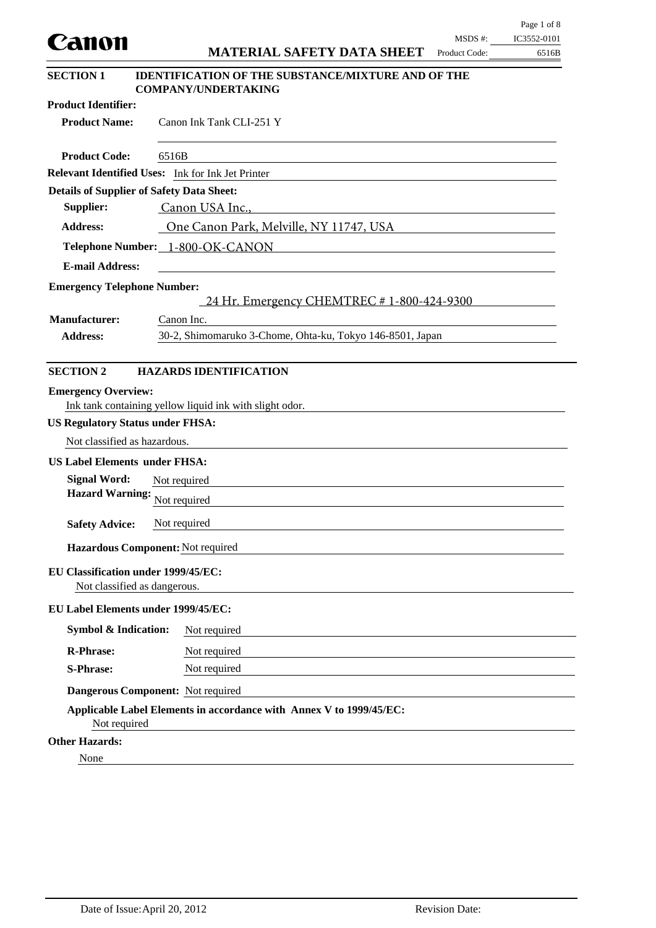|                                                   |              |                                                                                                                       |                          | Page 1 of 8          |
|---------------------------------------------------|--------------|-----------------------------------------------------------------------------------------------------------------------|--------------------------|----------------------|
| canon                                             |              | <b>MATERIAL SAFETY DATA SHEET</b>                                                                                     | MSDS #:<br>Product Code: | IC3552-0101<br>6516B |
| <b>SECTION 1</b>                                  |              | <b>IDENTIFICATION OF THE SUBSTANCE/MIXTURE AND OF THE</b>                                                             |                          |                      |
|                                                   |              | <b>COMPANY/UNDERTAKING</b>                                                                                            |                          |                      |
| <b>Product Identifier:</b>                        |              |                                                                                                                       |                          |                      |
| <b>Product Name:</b>                              |              | Canon Ink Tank CLI-251 Y                                                                                              |                          |                      |
| <b>Product Code:</b>                              | 6516B        |                                                                                                                       |                          |                      |
| Relevant Identified Uses: Ink for Ink Jet Printer |              |                                                                                                                       |                          |                      |
| <b>Details of Supplier of Safety Data Sheet:</b>  |              |                                                                                                                       |                          |                      |
| Supplier:                                         |              | Canon USA Inc.,<br><u> 1989 - Andrea Stadt, fransk politik (d. 1989)</u>                                              |                          |                      |
| <b>Address:</b>                                   |              | One Canon Park, Melville, NY 11747, USA                                                                               |                          |                      |
| Telephone Number: 1-800-OK-CANON                  |              |                                                                                                                       |                          |                      |
| <b>E-mail Address:</b>                            |              | <u> 1980 - Jan Barbara Barat, martin da basar da basar da basar da basar da basar da basar da basar da basar da b</u> |                          |                      |
| <b>Emergency Telephone Number:</b>                |              | 24 Hr. Emergency CHEMTREC # 1-800-424-9300                                                                            |                          |                      |
| <b>Manufacturer:</b>                              | Canon Inc.   |                                                                                                                       |                          |                      |
| <b>Address:</b>                                   |              | 30-2, Shimomaruko 3-Chome, Ohta-ku, Tokyo 146-8501, Japan                                                             |                          |                      |
|                                                   |              |                                                                                                                       |                          |                      |
| <b>SECTION 2</b>                                  |              | <b>HAZARDS IDENTIFICATION</b>                                                                                         |                          |                      |
| <b>Emergency Overview:</b>                        |              |                                                                                                                       |                          |                      |
|                                                   |              | Ink tank containing yellow liquid ink with slight odor.                                                               |                          |                      |
| <b>US Regulatory Status under FHSA:</b>           |              |                                                                                                                       |                          |                      |
| Not classified as hazardous.                      |              |                                                                                                                       |                          |                      |
| <b>US Label Elements under FHSA:</b>              |              |                                                                                                                       |                          |                      |
| <b>Signal Word:</b>                               | Not required |                                                                                                                       |                          |                      |
| Hazard Warning: Not required                      |              |                                                                                                                       |                          |                      |
| <b>Safety Advice:</b>                             | Not required |                                                                                                                       |                          |                      |
| Hazardous Component: Not required                 |              |                                                                                                                       |                          |                      |
| <b>EU Classification under 1999/45/EC:</b>        |              |                                                                                                                       |                          |                      |
| Not classified as dangerous.                      |              |                                                                                                                       |                          |                      |
| <b>EU Label Elements under 1999/45/EC:</b>        |              |                                                                                                                       |                          |                      |
| <b>Symbol &amp; Indication:</b>                   |              | Not required                                                                                                          |                          |                      |
| <b>R-Phrase:</b>                                  |              | Not required                                                                                                          |                          |                      |
| <b>S-Phrase:</b>                                  |              | Not required                                                                                                          |                          |                      |
| Dangerous Component: Not required                 |              |                                                                                                                       |                          |                      |
| Not required                                      |              | Applicable Label Elements in accordance with Annex V to 1999/45/EC:                                                   |                          |                      |
| <b>Other Hazards:</b>                             |              |                                                                                                                       |                          |                      |
| None                                              |              |                                                                                                                       |                          |                      |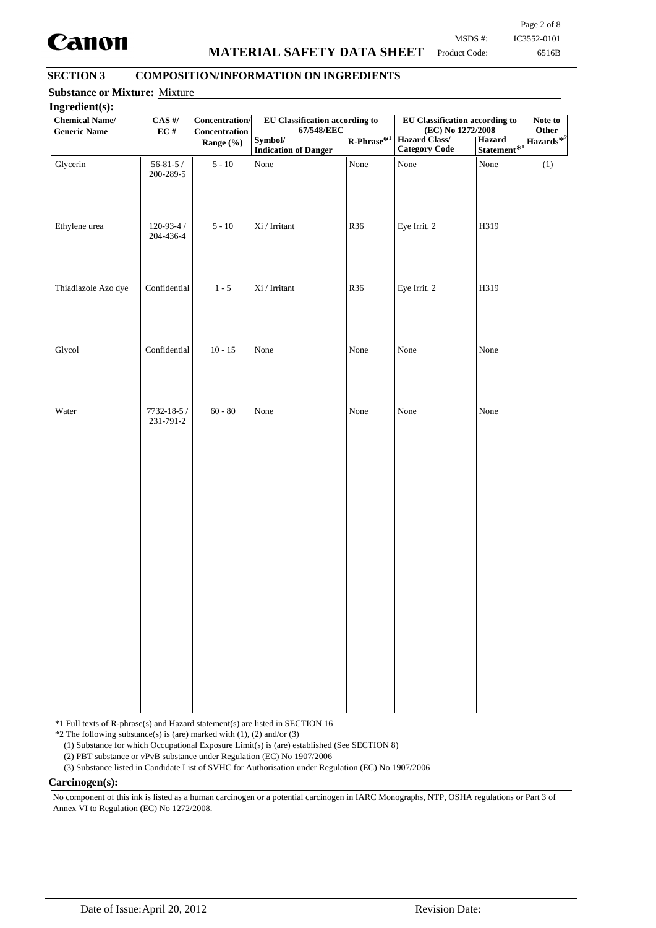

## **MATERIAL SAFETY DATA SHEET**

Page 2 of 8 MSDS #: IC3552-0101

Product Code:

## 6516B

## **SECTION 3 COMPOSITION/INFORMATION ON INGREDIENTS**

| Ingredient(s):<br><b>Chemical Name/</b><br><b>Generic Name</b> | $\mathbf{CAS}$ #/<br>EC#     | Concentration/<br>Concentration<br>Range (%) | <b>EU Classification according to</b><br>67/548/EEC<br>Symbol/<br><b>Indication of Danger</b> | $\mathbf{R}\text{-Phrase}^{*1}$ | EU Classification according to<br>(EC) No 1272/2008<br><b>Hazard Class/</b><br><b>Category Code</b> | Hazard<br>$Statement$ <sup>*1</sup> | Note to<br>Other<br>Hazards <sup>*2</sup> |
|----------------------------------------------------------------|------------------------------|----------------------------------------------|-----------------------------------------------------------------------------------------------|---------------------------------|-----------------------------------------------------------------------------------------------------|-------------------------------------|-------------------------------------------|
| Glycerin                                                       | $56 - 81 - 5/$<br>200-289-5  | $5 - 10$                                     | None                                                                                          | None                            | None                                                                                                | None                                | (1)                                       |
| Ethylene urea                                                  | $120 - 93 - 4/$<br>204-436-4 | $5 - 10$                                     | $\rm{Xi}$ / Irritant                                                                          | R36                             | Eye Irrit. 2                                                                                        | H319                                |                                           |
| Thiadiazole Azo dye                                            | Confidential                 | $1 - 5$                                      | $\rm{Xi}$ / Irritant                                                                          | R36                             | Eye Irrit. 2                                                                                        | H319                                |                                           |
| Glycol                                                         | Confidential                 | $10 - 15$                                    | None                                                                                          | None                            | None                                                                                                | None                                |                                           |
| Water                                                          | 7732-18-5 /<br>231-791-2     | $60 - 80$                                    | None                                                                                          | None                            | None                                                                                                | None                                |                                           |
|                                                                |                              |                                              |                                                                                               |                                 |                                                                                                     |                                     |                                           |
|                                                                |                              |                                              |                                                                                               |                                 |                                                                                                     |                                     |                                           |
|                                                                |                              |                                              |                                                                                               |                                 |                                                                                                     |                                     |                                           |
|                                                                |                              |                                              |                                                                                               |                                 |                                                                                                     |                                     |                                           |
|                                                                |                              |                                              |                                                                                               |                                 |                                                                                                     |                                     |                                           |

\*1 Full texts of R-phrase(s) and Hazard statement(s) are listed in SECTION 16

 $*2$  The following substance(s) is (are) marked with (1), (2) and/or (3)

(1) Substance for which Occupational Exposure Limit(s) is (are) established (See SECTION 8)

(2) PBT substance or vPvB substance under Regulation (EC) No 1907/2006

(3) Substance listed in Candidate List of SVHC for Authorisation under Regulation (EC) No 1907/2006

**Carcinogen(s):**

No component of this ink is listed as a human carcinogen or a potential carcinogen in IARC Monographs, NTP, OSHA regulations or Part 3 of Annex VI to Regulation (EC) No 1272/2008.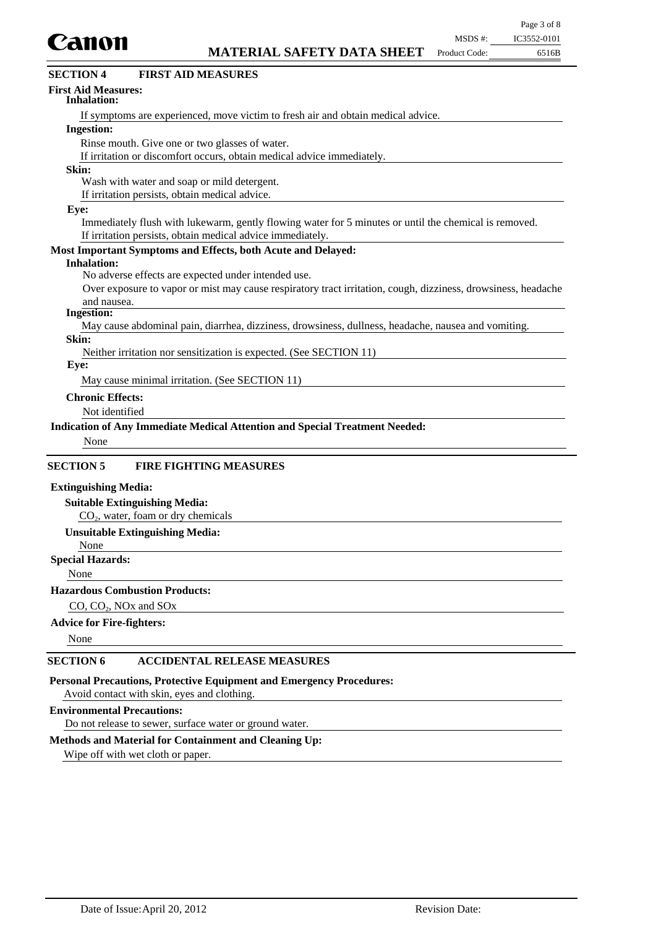

| Canon                                                                                                         | MSDS #:       | IC3552-0101 |
|---------------------------------------------------------------------------------------------------------------|---------------|-------------|
| <b>MATERIAL SAFETY DATA SHEET</b>                                                                             | Product Code: | 6516B       |
| <b>FIRST AID MEASURES</b><br><b>SECTION 4</b>                                                                 |               |             |
| <b>First Aid Measures:</b><br><b>Inhalation:</b>                                                              |               |             |
| If symptoms are experienced, move victim to fresh air and obtain medical advice.                              |               |             |
| <b>Ingestion:</b>                                                                                             |               |             |
| Rinse mouth. Give one or two glasses of water.                                                                |               |             |
| If irritation or discomfort occurs, obtain medical advice immediately.                                        |               |             |
| Skin:                                                                                                         |               |             |
| Wash with water and soap or mild detergent.                                                                   |               |             |
| If irritation persists, obtain medical advice.                                                                |               |             |
| Eye:                                                                                                          |               |             |
| Immediately flush with lukewarm, gently flowing water for 5 minutes or until the chemical is removed.         |               |             |
| If irritation persists, obtain medical advice immediately.                                                    |               |             |
| Most Important Symptoms and Effects, both Acute and Delayed:                                                  |               |             |
| <b>Inhalation:</b>                                                                                            |               |             |
| No adverse effects are expected under intended use.                                                           |               |             |
| Over exposure to vapor or mist may cause respiratory tract irritation, cough, dizziness, drowsiness, headache |               |             |
| and nausea.                                                                                                   |               |             |
| <b>Ingestion:</b>                                                                                             |               |             |
| May cause abdominal pain, diarrhea, dizziness, drowsiness, dullness, headache, nausea and vomiting.           |               |             |
| Skin:                                                                                                         |               |             |
| Neither irritation nor sensitization is expected. (See SECTION 11)<br>Eye:                                    |               |             |
| May cause minimal irritation. (See SECTION 11)                                                                |               |             |
| <b>Chronic Effects:</b>                                                                                       |               |             |
| Not identified                                                                                                |               |             |
| Indication of Any Immediate Medical Attention and Special Treatment Needed:                                   |               |             |
| None                                                                                                          |               |             |
|                                                                                                               |               |             |
| <b>SECTION 5</b><br><b>FIRE FIGHTING MEASURES</b>                                                             |               |             |
| <b>Extinguishing Media:</b>                                                                                   |               |             |
| <b>Suitable Extinguishing Media:</b>                                                                          |               |             |
| $CO2$ , water, foam or dry chemicals                                                                          |               |             |
| <b>Unsuitable Extinguishing Media:</b>                                                                        |               |             |
| None                                                                                                          |               |             |
| <b>Special Hazards:</b>                                                                                       |               |             |

None

#### **Hazardous Combustion Products:**

CO,  $CO<sub>2</sub>$ , NOx and SOx

## **Advice for Fire-fighters:**

None

## **SECTION 6 ACCIDENTAL RELEASE MEASURES**

**Personal Precautions, Protective Equipment and Emergency Procedures:**

Avoid contact with skin, eyes and clothing.

### **Environmental Precautions:**

Do not release to sewer, surface water or ground water.

## **Methods and Material for Containment and Cleaning Up:**

Wipe off with wet cloth or paper.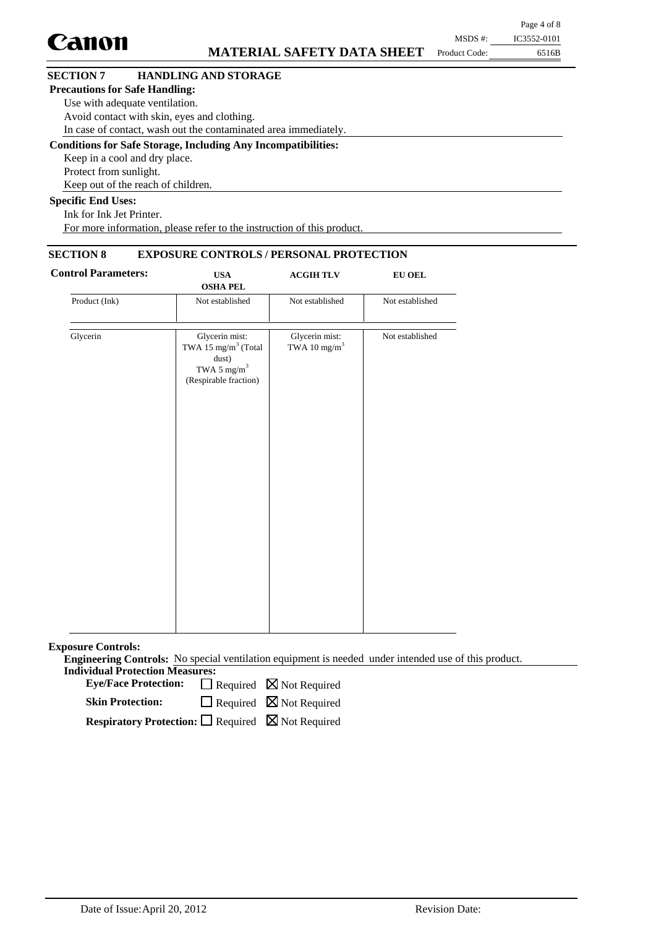|                                       |                                                                      |               | Page 4 of 8 |
|---------------------------------------|----------------------------------------------------------------------|---------------|-------------|
| <b>Canon</b>                          |                                                                      | MSDS #:       | IC3552-0101 |
|                                       | <b>MATERIAL SAFETY DATA SHEET</b>                                    | Product Code: | 6516B       |
| <b>SECTION 7</b>                      | <b>HANDLING AND STORAGE</b>                                          |               |             |
| <b>Precautions for Safe Handling:</b> |                                                                      |               |             |
| Use with adequate ventilation.        |                                                                      |               |             |
|                                       | Avoid contact with skin, eyes and clothing.                          |               |             |
|                                       | In case of contact, wash out the contaminated area immediately.      |               |             |
|                                       | <b>Conditions for Safe Storage, Including Any Incompatibilities:</b> |               |             |
| Keep in a cool and dry place.         |                                                                      |               |             |
| Protect from sunlight.                |                                                                      |               |             |
|                                       | Keep out of the reach of children.                                   |               |             |
| <b>Specific End Uses:</b>             |                                                                      |               |             |
| <b>TICTITIN'</b>                      |                                                                      |               |             |

Ink for Ink Jet Printer. For more information, please refer to the instruction of this product.

## **SECTION 8 EXPOSURE CONTROLS / PERSONAL PROTECTION**

| <b>Control Parameters:</b> | <b>USA</b><br><b>OSHA PEL</b>                                                                                  | <b>ACGIHTLV</b>                            | <b>EU OEL</b>   |
|----------------------------|----------------------------------------------------------------------------------------------------------------|--------------------------------------------|-----------------|
| Product (Ink)              | Not established                                                                                                | Not established                            | Not established |
| Glycerin                   | Glycerin mist:<br>TWA 15 $\mathrm{mg/m}^3$ (Total<br>dust)<br>TWA 5 mg/m <sup>3</sup><br>(Respirable fraction) | Glycerin mist:<br>TWA 10 mg/m <sup>3</sup> | Not established |
|                            |                                                                                                                |                                            |                 |
|                            |                                                                                                                |                                            |                 |

**Exposure Controls:**

**Engineering Controls:** No special ventilation equipment is needed under intended use of this product. **Individual Protection Measures:**

Eye/Face Protection:  $\Box$  Required  $\boxtimes$  Not Required

 $\Box$  Required  $\boxtimes$  Not Required **Skin Protection:**

**Respiratory Protection:** □ Required ⊠ Not Required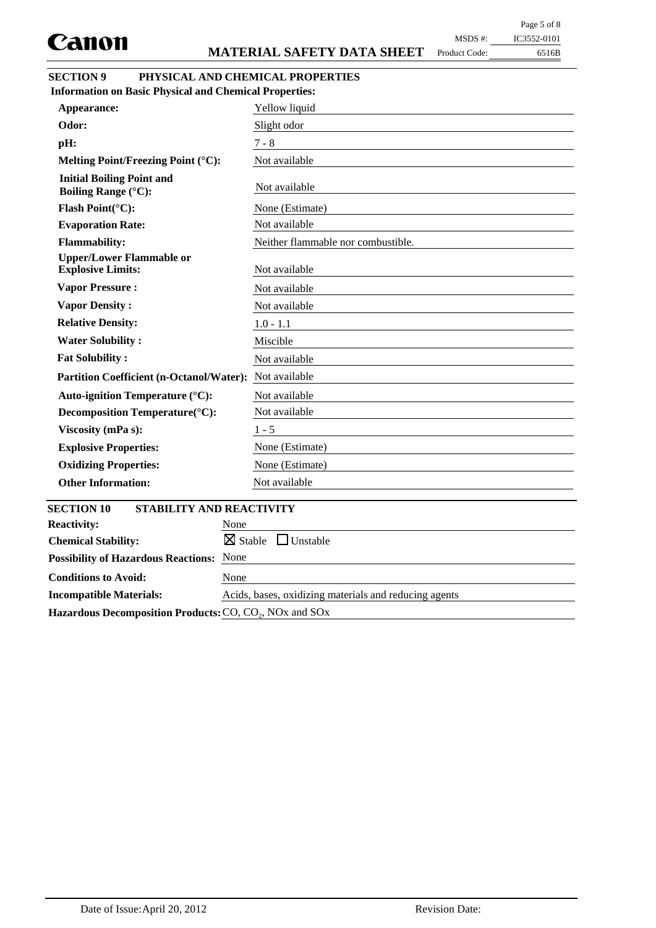Product Code:

## 6516B MSDS #: IC3552-0101

| <b>SECTION 9</b> | PHYSICAL AND CHEMICAL PROPERTIES |
|------------------|----------------------------------|
|                  |                                  |

| <b>Information on Basic Physical and Chemical Properties:</b>  |                                       |
|----------------------------------------------------------------|---------------------------------------|
| Appearance:                                                    | Yellow liquid                         |
| Odor:                                                          | Slight odor                           |
| pH:                                                            | $7 - 8$                               |
| Melting Point/Freezing Point (°C):                             | Not available                         |
| <b>Initial Boiling Point and</b><br><b>Boiling Range (°C):</b> | Not available                         |
| Flash Point(°C):                                               | None (Estimate)                       |
| <b>Evaporation Rate:</b>                                       | Not available                         |
| <b>Flammability:</b>                                           | Neither flammable nor combustible.    |
| <b>Upper/Lower Flammable or</b><br><b>Explosive Limits:</b>    | Not available                         |
| <b>Vapor Pressure:</b>                                         | Not available                         |
| <b>Vapor Density:</b>                                          | Not available                         |
| <b>Relative Density:</b>                                       | $1.0 - 1.1$                           |
| <b>Water Solubility:</b>                                       | Miscible                              |
| <b>Fat Solubility:</b>                                         | Not available                         |
| <b>Partition Coefficient (n-Octanol/Water):</b>                | Not available                         |
| Auto-ignition Temperature (°C):                                | Not available                         |
| Decomposition Temperature(°C):                                 | Not available                         |
| Viscosity (mPa s):                                             | $1 - 5$                               |
| <b>Explosive Properties:</b>                                   | None (Estimate)                       |
| <b>Oxidizing Properties:</b>                                   | None (Estimate)                       |
| <b>Other Information:</b>                                      | Not available                         |
| <b>SECTION 10</b><br><b>STABILITY AND REACTIVITY</b>           |                                       |
| <b>Reactivity:</b><br>None                                     |                                       |
| <b>Chemical Stability:</b>                                     | $\boxtimes$ Stable<br>$\Box$ Unstable |
| None<br><b>Possibility of Hazardous Reactions:</b>             |                                       |
| <b>Conditions to Avoid:</b><br>None                            |                                       |

**Incompatible Materials:** Acids, bases, oxidizing materials and reducing agents Hazardous Decomposition Products: CO, CO<sub>2</sub>, NO<sub>x</sub> and SO<sub>x</sub>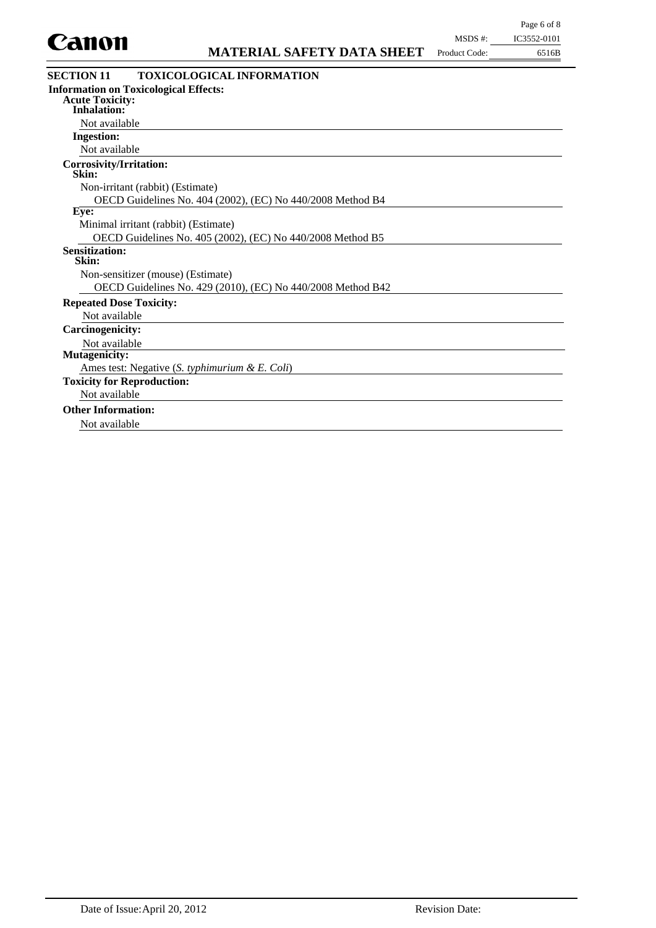

| <b>Information on Toxicological Effects:</b><br><b>Acute Toxicity:</b><br><b>Inhalation:</b><br>Not available<br><b>Ingestion:</b><br>Not available<br>Corrosivity/Irritation:<br>Skin:<br>Non-irritant (rabbit) (Estimate)<br>OECD Guidelines No. 404 (2002), (EC) No 440/2008 Method B4<br>Eye:<br>Minimal irritant (rabbit) (Estimate)<br>OECD Guidelines No. 405 (2002), (EC) No 440/2008 Method B5<br><b>Sensitization:</b><br>Skin:<br>Non-sensitizer (mouse) (Estimate)<br>OECD Guidelines No. 429 (2010), (EC) No 440/2008 Method B42<br><b>Repeated Dose Toxicity:</b><br>Not available<br>Carcinogenicity:<br>Not available<br><b>Mutagenicity:</b> |
|---------------------------------------------------------------------------------------------------------------------------------------------------------------------------------------------------------------------------------------------------------------------------------------------------------------------------------------------------------------------------------------------------------------------------------------------------------------------------------------------------------------------------------------------------------------------------------------------------------------------------------------------------------------|
|                                                                                                                                                                                                                                                                                                                                                                                                                                                                                                                                                                                                                                                               |
|                                                                                                                                                                                                                                                                                                                                                                                                                                                                                                                                                                                                                                                               |
|                                                                                                                                                                                                                                                                                                                                                                                                                                                                                                                                                                                                                                                               |
|                                                                                                                                                                                                                                                                                                                                                                                                                                                                                                                                                                                                                                                               |
|                                                                                                                                                                                                                                                                                                                                                                                                                                                                                                                                                                                                                                                               |
|                                                                                                                                                                                                                                                                                                                                                                                                                                                                                                                                                                                                                                                               |
|                                                                                                                                                                                                                                                                                                                                                                                                                                                                                                                                                                                                                                                               |
|                                                                                                                                                                                                                                                                                                                                                                                                                                                                                                                                                                                                                                                               |
|                                                                                                                                                                                                                                                                                                                                                                                                                                                                                                                                                                                                                                                               |
|                                                                                                                                                                                                                                                                                                                                                                                                                                                                                                                                                                                                                                                               |
|                                                                                                                                                                                                                                                                                                                                                                                                                                                                                                                                                                                                                                                               |
|                                                                                                                                                                                                                                                                                                                                                                                                                                                                                                                                                                                                                                                               |
|                                                                                                                                                                                                                                                                                                                                                                                                                                                                                                                                                                                                                                                               |
|                                                                                                                                                                                                                                                                                                                                                                                                                                                                                                                                                                                                                                                               |
|                                                                                                                                                                                                                                                                                                                                                                                                                                                                                                                                                                                                                                                               |
|                                                                                                                                                                                                                                                                                                                                                                                                                                                                                                                                                                                                                                                               |
|                                                                                                                                                                                                                                                                                                                                                                                                                                                                                                                                                                                                                                                               |
|                                                                                                                                                                                                                                                                                                                                                                                                                                                                                                                                                                                                                                                               |
|                                                                                                                                                                                                                                                                                                                                                                                                                                                                                                                                                                                                                                                               |
|                                                                                                                                                                                                                                                                                                                                                                                                                                                                                                                                                                                                                                                               |
| Ames test: Negative (S. typhimurium & E. Coli)                                                                                                                                                                                                                                                                                                                                                                                                                                                                                                                                                                                                                |
| <b>Toxicity for Reproduction:</b>                                                                                                                                                                                                                                                                                                                                                                                                                                                                                                                                                                                                                             |
| Not available                                                                                                                                                                                                                                                                                                                                                                                                                                                                                                                                                                                                                                                 |
| <b>Other Information:</b>                                                                                                                                                                                                                                                                                                                                                                                                                                                                                                                                                                                                                                     |
| Not available                                                                                                                                                                                                                                                                                                                                                                                                                                                                                                                                                                                                                                                 |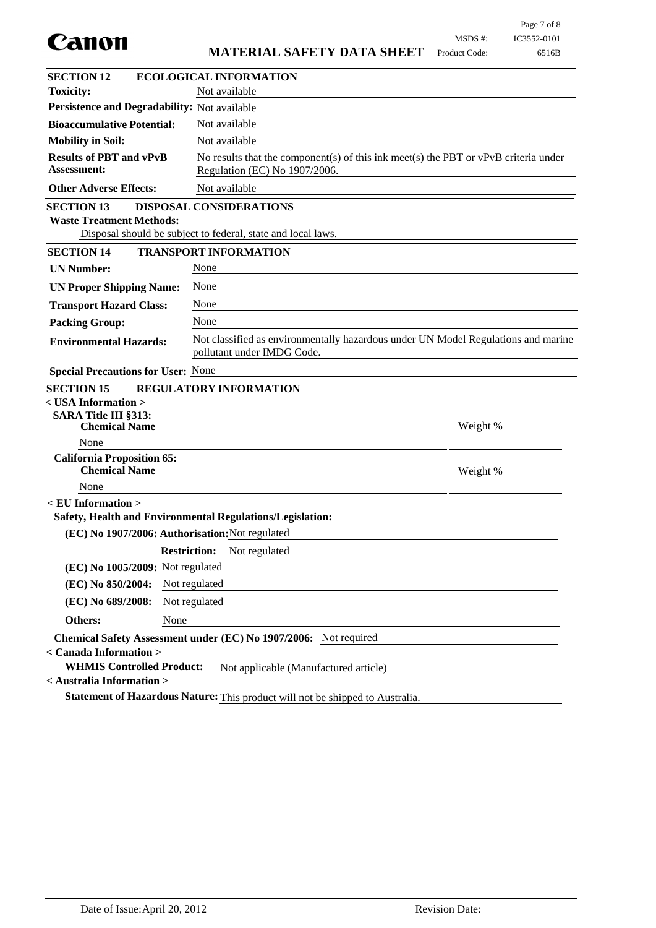| Canon                                                      |                                                                                                                        | MSDS #:         | IC3552-0101 |
|------------------------------------------------------------|------------------------------------------------------------------------------------------------------------------------|-----------------|-------------|
|                                                            | <b>MATERIAL SAFETY DATA SHEET</b>                                                                                      | Product Code:   | 6516B       |
| <b>SECTION 12</b>                                          | <b>ECOLOGICAL INFORMATION</b>                                                                                          |                 |             |
| <b>Toxicity:</b>                                           | Not available                                                                                                          |                 |             |
| Persistence and Degradability: Not available               |                                                                                                                        |                 |             |
| <b>Bioaccumulative Potential:</b>                          | Not available                                                                                                          |                 |             |
| <b>Mobility in Soil:</b>                                   | Not available                                                                                                          |                 |             |
| <b>Results of PBT and vPvB</b><br><b>Assessment:</b>       | No results that the component(s) of this ink meet(s) the PBT or $vPvB$ criteria under<br>Regulation (EC) No 1907/2006. |                 |             |
| <b>Other Adverse Effects:</b>                              | Not available                                                                                                          |                 |             |
| <b>SECTION 13</b><br><b>Waste Treatment Methods:</b>       | <b>DISPOSAL CONSIDERATIONS</b><br>Disposal should be subject to federal, state and local laws.                         |                 |             |
| <b>SECTION 14</b>                                          | <b>TRANSPORT INFORMATION</b>                                                                                           |                 |             |
| <b>UN Number:</b>                                          | None                                                                                                                   |                 |             |
| <b>UN Proper Shipping Name:</b>                            | None                                                                                                                   |                 |             |
| <b>Transport Hazard Class:</b>                             | None                                                                                                                   |                 |             |
| <b>Packing Group:</b>                                      | None                                                                                                                   |                 |             |
| <b>Environmental Hazards:</b>                              | Not classified as environmentally hazardous under UN Model Regulations and marine<br>pollutant under IMDG Code.        |                 |             |
| <b>Special Precautions for User: None</b>                  |                                                                                                                        |                 |             |
| <b>SECTION 15</b>                                          | <b>REGULATORY INFORMATION</b>                                                                                          |                 |             |
| $<$ USA Information $>$                                    |                                                                                                                        |                 |             |
| <b>SARA Title III §313:</b><br><b>Chemical Name</b>        |                                                                                                                        | Weight %        |             |
| None                                                       |                                                                                                                        |                 |             |
| <b>California Proposition 65:</b><br><b>Chemical Name</b>  |                                                                                                                        | <u>Weight %</u> |             |
| None                                                       |                                                                                                                        |                 |             |
| < EU Information >                                         | Safety, Health and Environmental Regulations/Legislation:                                                              |                 |             |
| (EC) No 1907/2006: Authorisation: Not regulated            |                                                                                                                        |                 |             |
|                                                            | <b>Restriction:</b><br>Not regulated                                                                                   |                 |             |
| (EC) No 1005/2009: Not regulated                           |                                                                                                                        |                 |             |
| (EC) No 850/2004:                                          | Not regulated                                                                                                          |                 |             |
| (EC) No 689/2008:                                          | Not regulated                                                                                                          |                 |             |
| None<br>Others:                                            |                                                                                                                        |                 |             |
|                                                            | Chemical Safety Assessment under (EC) No 1907/2006: Not required                                                       |                 |             |
| < Canada Information ><br><b>WHMIS Controlled Product:</b> | Not applicable (Manufactured article)                                                                                  |                 |             |
| < Australia Information >                                  |                                                                                                                        |                 |             |
|                                                            | Statement of Hazardous Nature: This product will not be shipped to Australia.                                          |                 |             |

Page 7 of 8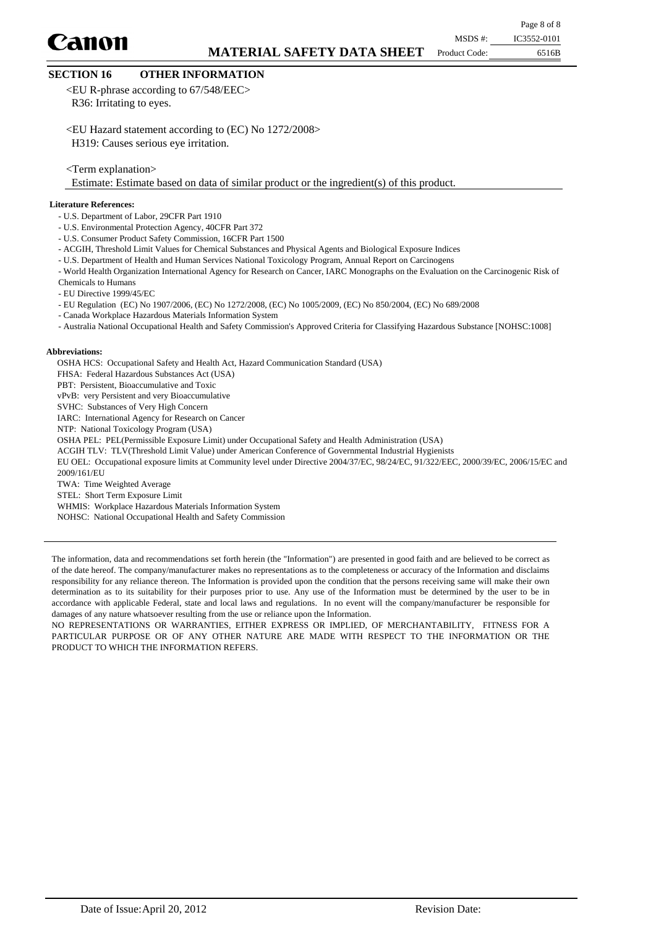Canon

Page 8 of 8

Product Code:

6516B MSDS #: IC3552-0101

## **SECTION 16 OTHER INFORMATION**

<EU R-phrase according to 67/548/EEC> R36: Irritating to eyes.

<EU Hazard statement according to (EC) No 1272/2008> H319: Causes serious eye irritation.

<Term explanation>

Estimate: Estimate based on data of similar product or the ingredient(s) of this product.

#### **Literature References:**

- U.S. Department of Labor, 29CFR Part 1910
- U.S. Environmental Protection Agency, 40CFR Part 372
- U.S. Consumer Product Safety Commission, 16CFR Part 1500
- ACGIH, Threshold Limit Values for Chemical Substances and Physical Agents and Biological Exposure Indices
- U.S. Department of Health and Human Services National Toxicology Program, Annual Report on Carcinogens
- World Health Organization International Agency for Research on Cancer, IARC Monographs on the Evaluation on the Carcinogenic Risk of
- Chemicals to Humans
- EU Directive 1999/45/EC
- EU Regulation (EC) No 1907/2006, (EC) No 1272/2008, (EC) No 1005/2009, (EC) No 850/2004, (EC) No 689/2008
- Canada Workplace Hazardous Materials Information System
- Australia National Occupational Health and Safety Commission's Approved Criteria for Classifying Hazardous Substance [NOHSC:1008]

#### **Abbreviations:**

OSHA HCS: Occupational Safety and Health Act, Hazard Communication Standard (USA) FHSA: Federal Hazardous Substances Act (USA) PBT: Persistent, Bioaccumulative and Toxic vPvB: very Persistent and very Bioaccumulative SVHC: Substances of Very High Concern IARC: International Agency for Research on Cancer NTP: National Toxicology Program (USA) OSHA PEL: PEL(Permissible Exposure Limit) under Occupational Safety and Health Administration (USA) ACGIH TLV: TLV(Threshold Limit Value) under American Conference of Governmental Industrial Hygienists EU OEL: Occupational exposure limits at Community level under Directive 2004/37/EC, 98/24/EC, 91/322/EEC, 2000/39/EC, 2006/15/EC and 2009/161/EU TWA: Time Weighted Average STEL: Short Term Exposure Limit

WHMIS: Workplace Hazardous Materials Information System

NOHSC: National Occupational Health and Safety Commission

The information, data and recommendations set forth herein (the "Information") are presented in good faith and are believed to be correct as of the date hereof. The company/manufacturer makes no representations as to the completeness or accuracy of the Information and disclaims responsibility for any reliance thereon. The Information is provided upon the condition that the persons receiving same will make their own determination as to its suitability for their purposes prior to use. Any use of the Information must be determined by the user to be in accordance with applicable Federal, state and local laws and regulations. In no event will the company/manufacturer be responsible for damages of any nature whatsoever resulting from the use or reliance upon the Information.

NO REPRESENTATIONS OR WARRANTIES, EITHER EXPRESS OR IMPLIED, OF MERCHANTABILITY, FITNESS FOR A PARTICULAR PURPOSE OR OF ANY OTHER NATURE ARE MADE WITH RESPECT TO THE INFORMATION OR THE PRODUCT TO WHICH THE INFORMATION REFERS.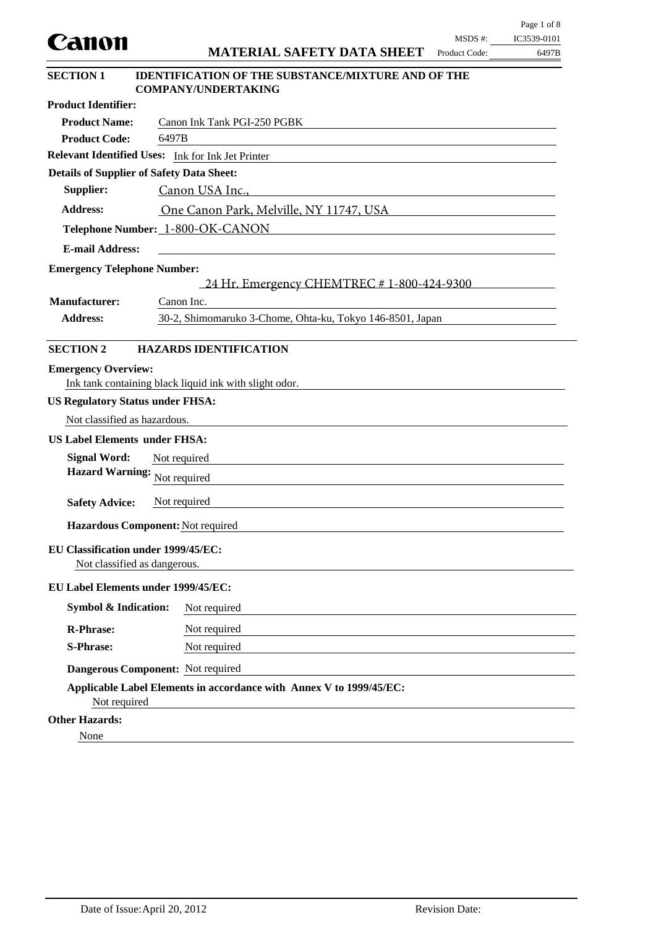| Canon                                                                        |                                                                                         | MSDS #:       | IC3539-0101 |  |  |
|------------------------------------------------------------------------------|-----------------------------------------------------------------------------------------|---------------|-------------|--|--|
|                                                                              | <b>MATERIAL SAFETY DATA SHEET</b>                                                       | Product Code: | 6497B       |  |  |
| <b>SECTION 1</b>                                                             | <b>IDENTIFICATION OF THE SUBSTANCE/MIXTURE AND OF THE</b><br><b>COMPANY/UNDERTAKING</b> |               |             |  |  |
| <b>Product Identifier:</b>                                                   |                                                                                         |               |             |  |  |
| <b>Product Name:</b>                                                         | Canon Ink Tank PGI-250 PGBK                                                             |               |             |  |  |
| <b>Product Code:</b>                                                         | 6497B                                                                                   |               |             |  |  |
|                                                                              | Relevant Identified Uses: Ink for Ink Jet Printer                                       |               |             |  |  |
| <b>Details of Supplier of Safety Data Sheet:</b>                             |                                                                                         |               |             |  |  |
| Supplier:                                                                    | Canon USA Inc.,                                                                         |               |             |  |  |
| <b>Address:</b>                                                              | One Canon Park, Melville, NY 11747, USA                                                 |               |             |  |  |
|                                                                              | Telephone Number: 1-800-OK-CANON                                                        |               |             |  |  |
| <b>E-mail Address:</b>                                                       |                                                                                         |               |             |  |  |
| <b>Emergency Telephone Number:</b>                                           |                                                                                         |               |             |  |  |
|                                                                              | 24 Hr. Emergency CHEMTREC # 1-800-424-9300                                              |               |             |  |  |
| <b>Manufacturer:</b>                                                         | Canon Inc.                                                                              |               |             |  |  |
| 30-2, Shimomaruko 3-Chome, Ohta-ku, Tokyo 146-8501, Japan<br><b>Address:</b> |                                                                                         |               |             |  |  |
| <b>SECTION 2</b>                                                             | <b>HAZARDS IDENTIFICATION</b>                                                           |               |             |  |  |
| <b>Emergency Overview:</b>                                                   | Ink tank containing black liquid ink with slight odor.                                  |               |             |  |  |
| <b>US Regulatory Status under FHSA:</b>                                      |                                                                                         |               |             |  |  |
| Not classified as hazardous.                                                 |                                                                                         |               |             |  |  |
| <b>US Label Elements under FHSA:</b>                                         |                                                                                         |               |             |  |  |
| <b>Signal Word:</b>                                                          | Not required                                                                            |               |             |  |  |
| <b>Hazard Warning:</b>                                                       | Not required                                                                            |               |             |  |  |
| <b>Safety Advice:</b>                                                        | Not required                                                                            |               |             |  |  |
|                                                                              | Hazardous Component: Not required                                                       |               |             |  |  |
| EU Classification under 1999/45/EC:<br>Not classified as dangerous.          |                                                                                         |               |             |  |  |
| EU Label Elements under 1999/45/EC:                                          |                                                                                         |               |             |  |  |
| <b>Symbol &amp; Indication:</b>                                              | Not required                                                                            |               |             |  |  |
| <b>R-Phrase:</b>                                                             | Not required                                                                            |               |             |  |  |
| <b>S-Phrase:</b>                                                             | Not required                                                                            |               |             |  |  |
|                                                                              | Dangerous Component: Not required                                                       |               |             |  |  |
| Not required                                                                 | Applicable Label Elements in accordance with Annex V to 1999/45/EC:                     |               |             |  |  |
| <b>Other Hazards:</b>                                                        |                                                                                         |               |             |  |  |
| None                                                                         |                                                                                         |               |             |  |  |

Page 1 of 8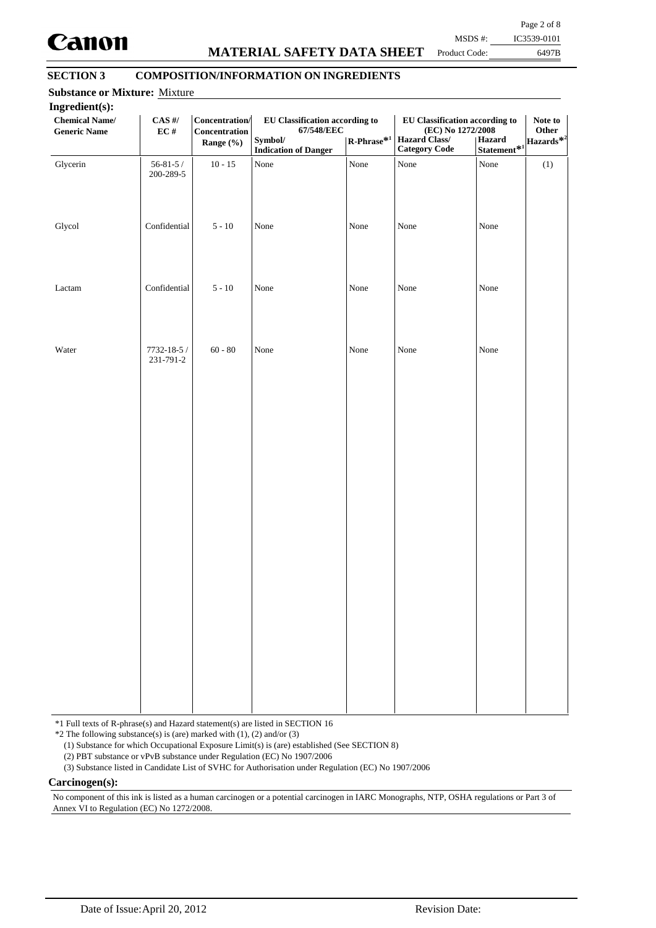

## **MATERIAL SAFETY DATA SHEET**

Page 2 of 8 MSDS #: IC3539-0101

Product Code:

6497B

## **SECTION 3 COMPOSITION/INFORMATION ON INGREDIENTS**

| Ingredient(s):<br><b>Chemical Name/</b><br><b>Generic Name</b> | $\mathbf{CAS}$ #/<br>$\mathbf{EC}$ # | Concentration/<br>Concentration<br>Range (%) | EU Classification according to<br>67/548/EEC<br>Symbol/<br><b>Indication of Danger</b> | $\mathbf{R}\text{-Phrase}^{*1}$ | <b>EU Classification according to</b><br>(EC) No 1272/2008<br>Hazard Class/<br><b>Category Code</b> | Statement <sup>*1</sup><br>Statement <sup>*1</sup> | Note to<br>Other |
|----------------------------------------------------------------|--------------------------------------|----------------------------------------------|----------------------------------------------------------------------------------------|---------------------------------|-----------------------------------------------------------------------------------------------------|----------------------------------------------------|------------------|
| Glycerin                                                       | $56 - 81 - 5/$<br>200-289-5          | $10 - 15$                                    | None                                                                                   | None                            | None                                                                                                | None                                               | (1)              |
| Glycol                                                         | Confidential                         | $5 - 10$                                     | None                                                                                   | None                            | None                                                                                                | None                                               |                  |
| Lactam                                                         | Confidential                         | $5 - 10$                                     | None                                                                                   | None                            | None                                                                                                | None                                               |                  |
| Water                                                          | 7732-18-5 /<br>231-791-2             | $60 - 80$                                    | None                                                                                   | None                            | None                                                                                                | None                                               |                  |
|                                                                |                                      |                                              |                                                                                        |                                 |                                                                                                     |                                                    |                  |
|                                                                |                                      |                                              |                                                                                        |                                 |                                                                                                     |                                                    |                  |
|                                                                |                                      |                                              |                                                                                        |                                 |                                                                                                     |                                                    |                  |
|                                                                |                                      |                                              |                                                                                        |                                 |                                                                                                     |                                                    |                  |
|                                                                |                                      |                                              |                                                                                        |                                 |                                                                                                     |                                                    |                  |

\*1 Full texts of R-phrase(s) and Hazard statement(s) are listed in SECTION 16

 $*2$  The following substance(s) is (are) marked with (1), (2) and/or (3)

(1) Substance for which Occupational Exposure Limit(s) is (are) established (See SECTION 8)

(2) PBT substance or vPvB substance under Regulation (EC) No 1907/2006

(3) Substance listed in Candidate List of SVHC for Authorisation under Regulation (EC) No 1907/2006

**Carcinogen(s):**

No component of this ink is listed as a human carcinogen or a potential carcinogen in IARC Monographs, NTP, OSHA regulations or Part 3 of Annex VI to Regulation (EC) No 1272/2008.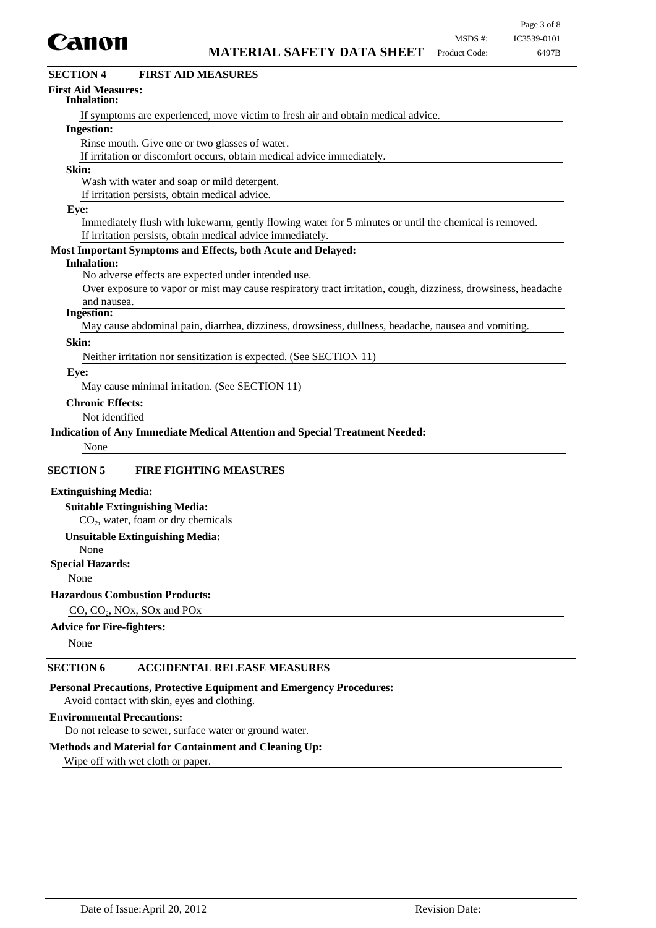

| Canon                                            |                                                                                                               | MSDS #:       | IC3539-0101 |
|--------------------------------------------------|---------------------------------------------------------------------------------------------------------------|---------------|-------------|
|                                                  | <b>MATERIAL SAFETY DATA SHEET</b>                                                                             | Product Code: | 6497B       |
| <b>SECTION 4</b>                                 | <b>FIRST AID MEASURES</b>                                                                                     |               |             |
| <b>First Aid Measures:</b><br><b>Inhalation:</b> |                                                                                                               |               |             |
|                                                  | If symptoms are experienced, move victim to fresh air and obtain medical advice.                              |               |             |
| <b>Ingestion:</b>                                |                                                                                                               |               |             |
|                                                  | Rinse mouth. Give one or two glasses of water.                                                                |               |             |
|                                                  | If irritation or discomfort occurs, obtain medical advice immediately.                                        |               |             |
| Skin:                                            |                                                                                                               |               |             |
|                                                  | Wash with water and soap or mild detergent.                                                                   |               |             |
|                                                  | If irritation persists, obtain medical advice.                                                                |               |             |
| Eye:                                             |                                                                                                               |               |             |
|                                                  | Immediately flush with lukewarm, gently flowing water for 5 minutes or until the chemical is removed.         |               |             |
|                                                  | If irritation persists, obtain medical advice immediately.                                                    |               |             |
|                                                  | Most Important Symptoms and Effects, both Acute and Delayed:                                                  |               |             |
| <b>Inhalation:</b>                               |                                                                                                               |               |             |
|                                                  | No adverse effects are expected under intended use.                                                           |               |             |
|                                                  | Over exposure to vapor or mist may cause respiratory tract irritation, cough, dizziness, drowsiness, headache |               |             |
| and nausea.                                      |                                                                                                               |               |             |
| <b>Ingestion:</b>                                |                                                                                                               |               |             |
|                                                  | May cause abdominal pain, diarrhea, dizziness, drowsiness, dullness, headache, nausea and vomiting.           |               |             |
| Skin:                                            |                                                                                                               |               |             |
|                                                  | Neither irritation nor sensitization is expected. (See SECTION 11)                                            |               |             |
| Eye:                                             |                                                                                                               |               |             |
|                                                  | May cause minimal irritation. (See SECTION 11)                                                                |               |             |
| <b>Chronic Effects:</b>                          |                                                                                                               |               |             |
| Not identified                                   |                                                                                                               |               |             |
|                                                  | Indication of Any Immediate Medical Attention and Special Treatment Needed:                                   |               |             |
|                                                  |                                                                                                               |               |             |
| None                                             |                                                                                                               |               |             |
| <b>SECTION 5</b>                                 | <b>FIRE FIGHTING MEASURES</b>                                                                                 |               |             |
| <b>Extinguishing Media:</b>                      |                                                                                                               |               |             |
|                                                  | <b>Suitable Extinguishing Media:</b>                                                                          |               |             |
|                                                  | $CO2$ , water, foam or dry chemicals                                                                          |               |             |
|                                                  | <b>Unsuitable Extinguishing Media:</b>                                                                        |               |             |
| None                                             |                                                                                                               |               |             |
| <b>Special Hazards:</b>                          |                                                                                                               |               |             |
|                                                  |                                                                                                               |               |             |

None

## **Hazardous Combustion Products:**

CO, CO<sub>2</sub>, NO<sub>x</sub>, SO<sub>x</sub> and PO<sub>x</sub>

## **Advice for Fire-fighters:**

None

## **SECTION 6 ACCIDENTAL RELEASE MEASURES**

**Personal Precautions, Protective Equipment and Emergency Procedures:**

Avoid contact with skin, eyes and clothing.

## **Environmental Precautions:**

Do not release to sewer, surface water or ground water.

## **Methods and Material for Containment and Cleaning Up:**

Wipe off with wet cloth or paper.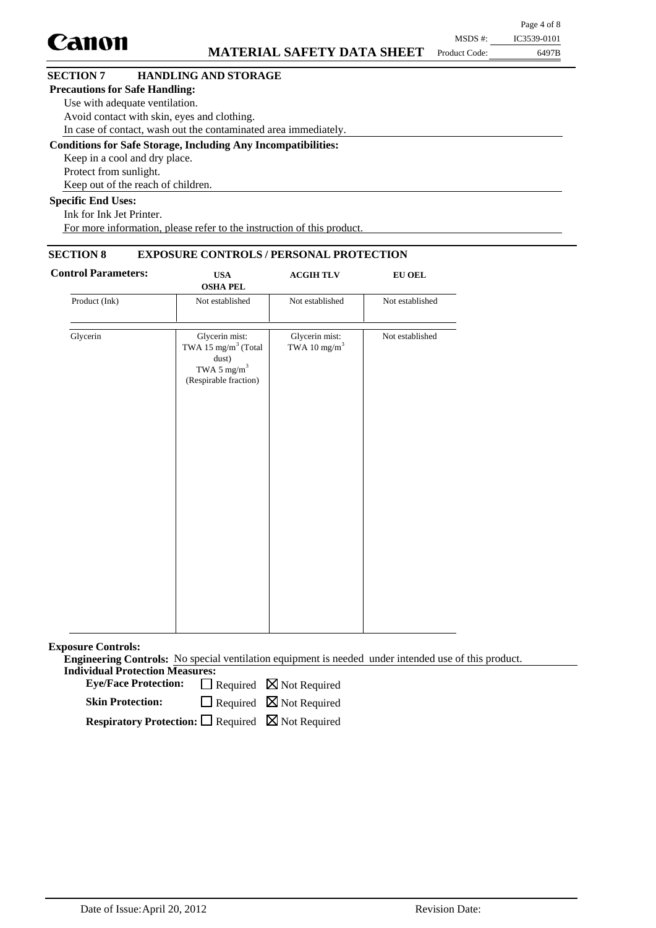|                                       |                                                                      |               | Page 4 of 8 |
|---------------------------------------|----------------------------------------------------------------------|---------------|-------------|
| <b>Canon</b>                          |                                                                      | MSDS #:       | IC3539-0101 |
|                                       | <b>MATERIAL SAFETY DATA SHEET</b>                                    | Product Code: | 6497B       |
| <b>SECTION 7</b>                      | <b>HANDLING AND STORAGE</b>                                          |               |             |
| <b>Precautions for Safe Handling:</b> |                                                                      |               |             |
| Use with adequate ventilation.        |                                                                      |               |             |
|                                       | Avoid contact with skin, eyes and clothing.                          |               |             |
|                                       | In case of contact, wash out the contaminated area immediately.      |               |             |
|                                       | <b>Conditions for Safe Storage, Including Any Incompatibilities:</b> |               |             |
| Keep in a cool and dry place.         |                                                                      |               |             |
| Protect from sunlight.                |                                                                      |               |             |
|                                       | Keep out of the reach of children.                                   |               |             |
| <b>Specific End Uses:</b>             |                                                                      |               |             |
| <b>TICTITIN'</b>                      |                                                                      |               |             |

Ink for Ink Jet Printer. For more information, please refer to the instruction of this product.

## **SECTION 8 EXPOSURE CONTROLS / PERSONAL PROTECTION**

| <b>Control Parameters:</b> | <b>USA</b><br><b>OSHA PEL</b>                                                                                  | <b>ACGIHTLV</b>                            | <b>EU OEL</b>   |  |  |
|----------------------------|----------------------------------------------------------------------------------------------------------------|--------------------------------------------|-----------------|--|--|
| Product (Ink)              | Not established                                                                                                | Not established                            | Not established |  |  |
| Glycerin                   | Glycerin mist:<br>TWA 15 mg/m <sup>3</sup> (Total<br>dust)<br>TWA 5 mg/m <sup>3</sup><br>(Respirable fraction) | Glycerin mist:<br>TWA 10 mg/m <sup>3</sup> | Not established |  |  |
|                            |                                                                                                                |                                            |                 |  |  |
|                            |                                                                                                                |                                            |                 |  |  |

**Exposure Controls:**

**Engineering Controls:** No special ventilation equipment is needed under intended use of this product. **Individual Protection Measures:**

Eye/Face Protection:  $\Box$  Required  $\boxtimes$  Not Required

 $\Box$  Required  $\boxtimes$  Not Required **Skin Protection:**

**Respiratory Protection:** □ Required ⊠ Not Required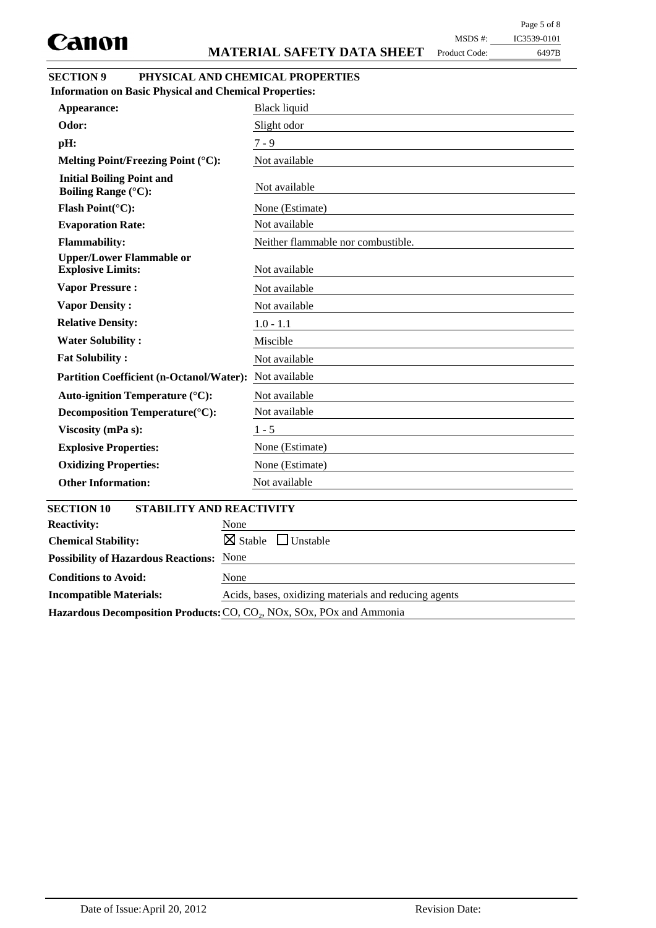Product Code:

## MSDS #: IC3539-0101

6497B

## **SECTION 9 PHYSICAL AND CHEMICAL PROPERTIES**

| <b>Information on Basic Physical and Chemical Properties:</b>                      |                                    |
|------------------------------------------------------------------------------------|------------------------------------|
| Appearance:                                                                        | <b>Black liquid</b>                |
| Odor:                                                                              | Slight odor                        |
| pH:                                                                                | $7 - 9$                            |
| Melting Point/Freezing Point (°C):                                                 | Not available                      |
| <b>Initial Boiling Point and</b><br><b>Boiling Range (°C):</b>                     | Not available                      |
| Flash Point(°C):                                                                   | None (Estimate)                    |
| <b>Evaporation Rate:</b>                                                           | Not available                      |
| <b>Flammability:</b>                                                               | Neither flammable nor combustible. |
| <b>Upper/Lower Flammable or</b><br><b>Explosive Limits:</b>                        | Not available                      |
| <b>Vapor Pressure:</b>                                                             | Not available                      |
| <b>Vapor Density:</b>                                                              | Not available                      |
| <b>Relative Density:</b>                                                           | $1.0 - 1.1$                        |
| <b>Water Solubility:</b>                                                           | Miscible                           |
| <b>Fat Solubility:</b>                                                             | Not available                      |
| <b>Partition Coefficient (n-Octanol/Water):</b>                                    | Not available                      |
| <b>Auto-ignition Temperature (°C):</b>                                             | Not available                      |
| Decomposition Temperature(°C):                                                     | Not available                      |
| Viscosity (mPa s):                                                                 | $1 - 5$                            |
| <b>Explosive Properties:</b>                                                       | None (Estimate)                    |
| <b>Oxidizing Properties:</b>                                                       | None (Estimate)                    |
| <b>Other Information:</b>                                                          | Not available                      |
|                                                                                    |                                    |
| <b>SECTION 10</b><br><b>STABILITY AND REACTIVITY</b><br><b>Reactivity:</b><br>None |                                    |
| $\boxtimes$ Stable<br><b>Chemical Stability:</b>                                   | $\Box$ Unstable                    |
| <b>Possibility of Hazardous Reactions: None</b>                                    |                                    |
|                                                                                    |                                    |

Hazardous Decomposition Products: CO, CO<sub>2</sub>, NOx, SOx, POx and Ammonia

**Incompatible Materials:** Acids, bases, oxidizing materials and reducing agents

**Conditions to Avoid:** None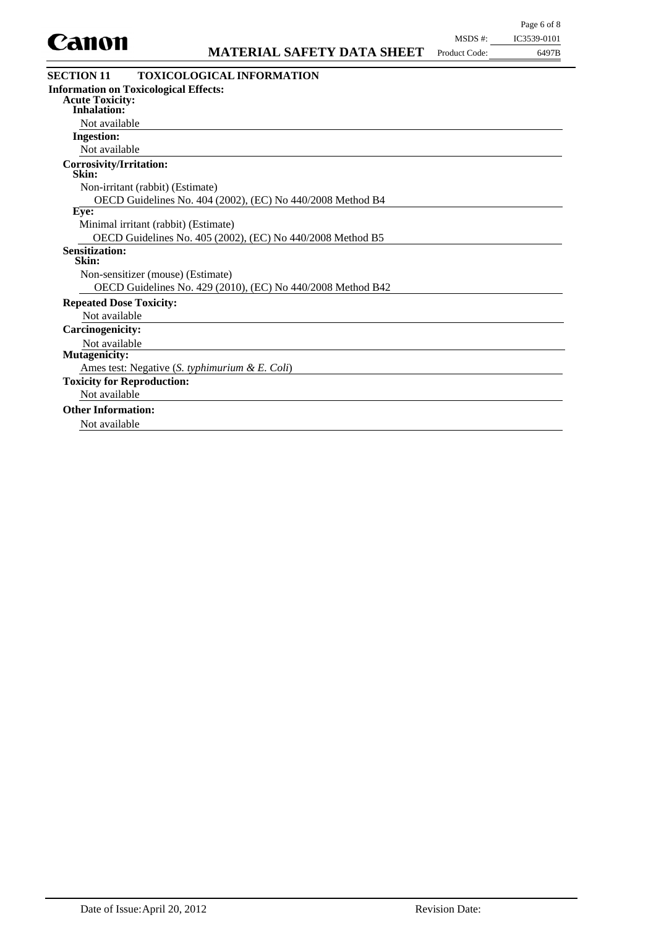

| CAINII                                       | <b>MATERIAL SAFETY DATA SHEET</b>                          | Product Code: | 6497B |
|----------------------------------------------|------------------------------------------------------------|---------------|-------|
| <b>SECTION 11</b>                            | <b>TOXICOLOGICAL INFORMATION</b>                           |               |       |
| <b>Acute Toxicity:</b><br><b>Inhalation:</b> | <b>Information on Toxicological Effects:</b>               |               |       |
| Not available                                |                                                            |               |       |
| <b>Ingestion:</b>                            |                                                            |               |       |
| Not available                                |                                                            |               |       |
| Corrosivity/Irritation:<br>Skin:             |                                                            |               |       |
|                                              | Non-irritant (rabbit) (Estimate)                           |               |       |
|                                              | OECD Guidelines No. 404 (2002), (EC) No 440/2008 Method B4 |               |       |
| Eye:                                         |                                                            |               |       |
|                                              | Minimal irritant (rabbit) (Estimate)                       |               |       |
|                                              | OECD Guidelines No. 405 (2002), (EC) No 440/2008 Method B5 |               |       |

## **Sensitization:**

|  | Skin: |  |  |  |
|--|-------|--|--|--|

Non-sensitizer (mouse) (Estimate)

OECD Guidelines No. 429 (2010), (EC) No 440/2008 Method B42

## **Repeated Dose Toxicity:**

Not available

**Carcinogenicity:**

## Not available

**Mutagenicity:**

Ames test: Negative (*S. typhimurium & E. Coli*)

**Toxicity for Reproduction:**

## Not available

## **Other Information:**

Not available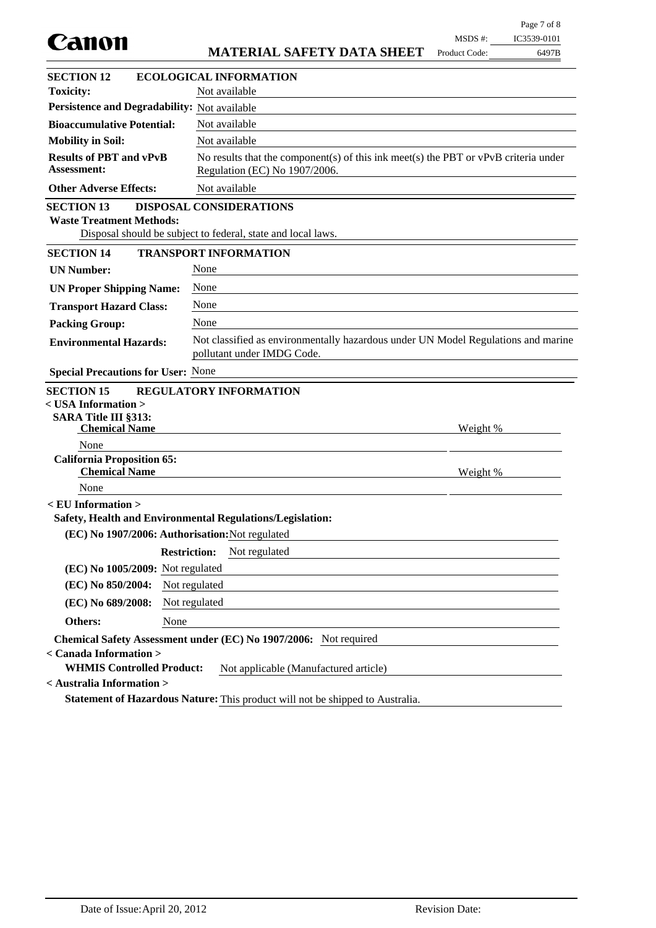| Canon                                                                                 |                     |                                                                                                                        | MSDS #:       | IC3539-0101 |
|---------------------------------------------------------------------------------------|---------------------|------------------------------------------------------------------------------------------------------------------------|---------------|-------------|
|                                                                                       |                     | <b>MATERIAL SAFETY DATA SHEET</b>                                                                                      | Product Code: | 6497B       |
| <b>SECTION 12</b>                                                                     |                     | <b>ECOLOGICAL INFORMATION</b>                                                                                          |               |             |
| <b>Toxicity:</b>                                                                      |                     | Not available                                                                                                          |               |             |
| Persistence and Degradability: Not available                                          |                     |                                                                                                                        |               |             |
| <b>Bioaccumulative Potential:</b>                                                     |                     | Not available                                                                                                          |               |             |
| <b>Mobility in Soil:</b>                                                              |                     | Not available                                                                                                          |               |             |
| <b>Results of PBT and vPvB</b><br><b>Assessment:</b>                                  |                     | No results that the component(s) of this ink meet(s) the PBT or $vPvB$ criteria under<br>Regulation (EC) No 1907/2006. |               |             |
| <b>Other Adverse Effects:</b>                                                         |                     | Not available                                                                                                          |               |             |
| <b>SECTION 13</b><br><b>Waste Treatment Methods:</b>                                  |                     | <b>DISPOSAL CONSIDERATIONS</b><br>Disposal should be subject to federal, state and local laws.                         |               |             |
| <b>SECTION 14</b>                                                                     |                     | <b>TRANSPORT INFORMATION</b>                                                                                           |               |             |
| <b>UN Number:</b>                                                                     | None                |                                                                                                                        |               |             |
| <b>UN Proper Shipping Name:</b>                                                       | None                |                                                                                                                        |               |             |
| <b>Transport Hazard Class:</b>                                                        | None                |                                                                                                                        |               |             |
| <b>Packing Group:</b>                                                                 | None                |                                                                                                                        |               |             |
| <b>Environmental Hazards:</b>                                                         |                     | Not classified as environmentally hazardous under UN Model Regulations and marine<br>pollutant under IMDG Code.        |               |             |
| <b>Special Precautions for User: None</b>                                             |                     |                                                                                                                        |               |             |
| <b>SECTION 15</b>                                                                     |                     | <b>REGULATORY INFORMATION</b>                                                                                          |               |             |
| < USA Information >                                                                   |                     |                                                                                                                        |               |             |
| <b>SARA Title III §313:</b><br><b>Chemical Name</b>                                   |                     |                                                                                                                        | Weight %      |             |
| None                                                                                  |                     |                                                                                                                        |               |             |
| <b>California Proposition 65:</b><br><b>Chemical Name</b>                             |                     |                                                                                                                        | Weight %      |             |
| None                                                                                  |                     |                                                                                                                        |               |             |
| $\le$ EU Information $>$<br>Safety, Health and Environmental Regulations/Legislation: |                     |                                                                                                                        |               |             |
| (EC) No 1907/2006: Authorisation: Not regulated                                       |                     |                                                                                                                        |               |             |
|                                                                                       | <b>Restriction:</b> | Not regulated                                                                                                          |               |             |
| (EC) No 1005/2009: Not regulated                                                      |                     |                                                                                                                        |               |             |
| (EC) No 850/2004:                                                                     | Not regulated       |                                                                                                                        |               |             |
| (EC) No 689/2008:                                                                     | Not regulated       |                                                                                                                        |               |             |
| Others:                                                                               | None                |                                                                                                                        |               |             |
|                                                                                       |                     | Chemical Safety Assessment under (EC) No 1907/2006: Not required                                                       |               |             |
| < Canada Information >                                                                |                     |                                                                                                                        |               |             |
| <b>WHMIS Controlled Product:</b>                                                      |                     | Not applicable (Manufactured article)                                                                                  |               |             |
| < Australia Information >                                                             |                     |                                                                                                                        |               |             |
|                                                                                       |                     | Statement of Hazardous Nature: This product will not be shipped to Australia.                                          |               |             |

Page 7 of 8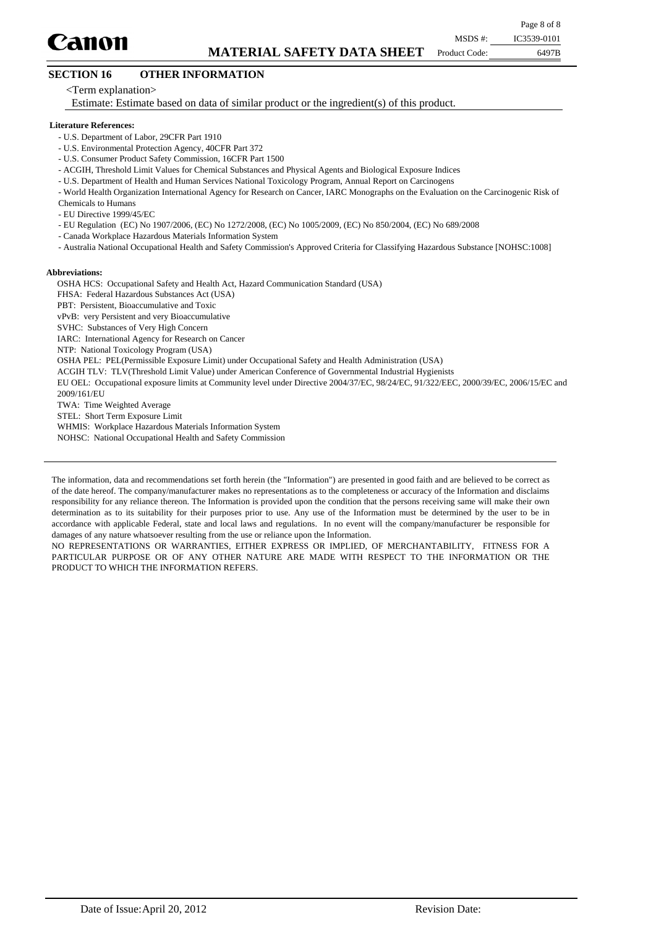

Product Code:

## **SECTION 16 OTHER INFORMATION**

<Term explanation>

Estimate: Estimate based on data of similar product or the ingredient(s) of this product.

#### **Literature References:**

- U.S. Department of Labor, 29CFR Part 1910
- U.S. Environmental Protection Agency, 40CFR Part 372
- U.S. Consumer Product Safety Commission, 16CFR Part 1500
- ACGIH, Threshold Limit Values for Chemical Substances and Physical Agents and Biological Exposure Indices
- U.S. Department of Health and Human Services National Toxicology Program, Annual Report on Carcinogens
- World Health Organization International Agency for Research on Cancer, IARC Monographs on the Evaluation on the Carcinogenic Risk of

Chemicals to Humans

- EU Directive 1999/45/EC

- EU Regulation (EC) No 1907/2006, (EC) No 1272/2008, (EC) No 1005/2009, (EC) No 850/2004, (EC) No 689/2008

- Canada Workplace Hazardous Materials Information System
- Australia National Occupational Health and Safety Commission's Approved Criteria for Classifying Hazardous Substance [NOHSC:1008]

#### **Abbreviations:**

OSHA HCS: Occupational Safety and Health Act, Hazard Communication Standard (USA)

FHSA: Federal Hazardous Substances Act (USA)

PBT: Persistent, Bioaccumulative and Toxic

vPvB: very Persistent and very Bioaccumulative

SVHC: Substances of Very High Concern

IARC: International Agency for Research on Cancer

NTP: National Toxicology Program (USA)

OSHA PEL: PEL(Permissible Exposure Limit) under Occupational Safety and Health Administration (USA)

ACGIH TLV: TLV(Threshold Limit Value) under American Conference of Governmental Industrial Hygienists

EU OEL: Occupational exposure limits at Community level under Directive 2004/37/EC, 98/24/EC, 91/322/EEC, 2000/39/EC, 2006/15/EC and 2009/161/EU

TWA: Time Weighted Average

STEL: Short Term Exposure Limit

WHMIS: Workplace Hazardous Materials Information System

NOHSC: National Occupational Health and Safety Commission

The information, data and recommendations set forth herein (the "Information") are presented in good faith and are believed to be correct as of the date hereof. The company/manufacturer makes no representations as to the completeness or accuracy of the Information and disclaims responsibility for any reliance thereon. The Information is provided upon the condition that the persons receiving same will make their own determination as to its suitability for their purposes prior to use. Any use of the Information must be determined by the user to be in accordance with applicable Federal, state and local laws and regulations. In no event will the company/manufacturer be responsible for damages of any nature whatsoever resulting from the use or reliance upon the Information.

NO REPRESENTATIONS OR WARRANTIES, EITHER EXPRESS OR IMPLIED, OF MERCHANTABILITY, FITNESS FOR A PARTICULAR PURPOSE OR OF ANY OTHER NATURE ARE MADE WITH RESPECT TO THE INFORMATION OR THE PRODUCT TO WHICH THE INFORMATION REFERS.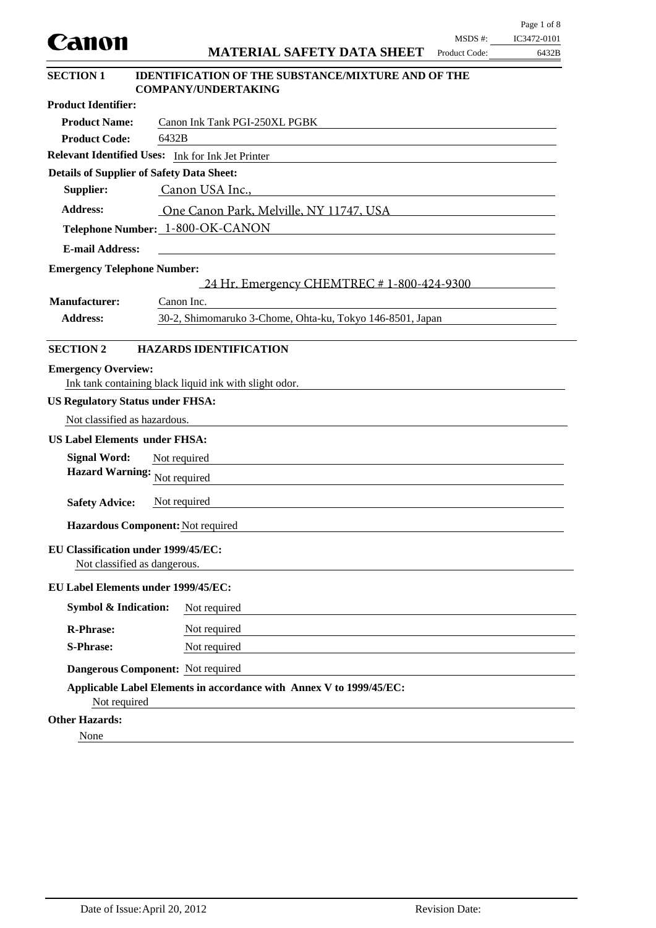|                                                  |                                                                                         |                         | Page 1 of 8          |
|--------------------------------------------------|-----------------------------------------------------------------------------------------|-------------------------|----------------------|
| Canon                                            | <b>MATERIAL SAFETY DATA SHEET</b>                                                       | MSDS#:<br>Product Code: | IC3472-0101<br>6432B |
|                                                  |                                                                                         |                         |                      |
| <b>SECTION 1</b>                                 | <b>IDENTIFICATION OF THE SUBSTANCE/MIXTURE AND OF THE</b><br><b>COMPANY/UNDERTAKING</b> |                         |                      |
| <b>Product Identifier:</b>                       |                                                                                         |                         |                      |
| <b>Product Name:</b>                             | Canon Ink Tank PGI-250XL PGBK                                                           |                         |                      |
| <b>Product Code:</b>                             | 6432B                                                                                   |                         |                      |
|                                                  | Relevant Identified Uses: Ink for Ink Jet Printer                                       |                         |                      |
| <b>Details of Supplier of Safety Data Sheet:</b> |                                                                                         |                         |                      |
| Supplier:                                        | Canon USA Inc.,                                                                         |                         |                      |
| <b>Address:</b>                                  | One Canon Park, Melville, NY 11747, USA                                                 |                         |                      |
|                                                  | Telephone Number: 1-800-OK-CANON                                                        |                         |                      |
| <b>E-mail Address:</b>                           |                                                                                         |                         |                      |
| <b>Emergency Telephone Number:</b>               |                                                                                         |                         |                      |
|                                                  | 24 Hr. Emergency CHEMTREC # 1-800-424-9300                                              |                         |                      |
| <b>Manufacturer:</b>                             | Canon Inc.                                                                              |                         |                      |
| <b>Address:</b>                                  | 30-2, Shimomaruko 3-Chome, Ohta-ku, Tokyo 146-8501, Japan                               |                         |                      |
|                                                  |                                                                                         |                         |                      |
| <b>SECTION 2</b>                                 | <b>HAZARDS IDENTIFICATION</b>                                                           |                         |                      |
| <b>Emergency Overview:</b>                       |                                                                                         |                         |                      |
|                                                  | Ink tank containing black liquid ink with slight odor.                                  |                         |                      |
| <b>US Regulatory Status under FHSA:</b>          |                                                                                         |                         |                      |
| Not classified as hazardous.                     |                                                                                         |                         |                      |
| <b>US Label Elements under FHSA:</b>             |                                                                                         |                         |                      |
| <b>Signal Word:</b>                              | Not required                                                                            |                         |                      |
| <b>Hazard Warning:</b>                           | Not required                                                                            |                         |                      |
|                                                  |                                                                                         |                         |                      |
| <b>Safety Advice:</b>                            | Not required                                                                            |                         |                      |
| Hazardous Component: Not required                |                                                                                         |                         |                      |
| EU Classification under 1999/45/EC:              |                                                                                         |                         |                      |
| Not classified as dangerous.                     |                                                                                         |                         |                      |
| EU Label Elements under 1999/45/EC:              |                                                                                         |                         |                      |
| <b>Symbol &amp; Indication:</b>                  | Not required                                                                            |                         |                      |
| <b>R-Phrase:</b>                                 | Not required                                                                            |                         |                      |
| <b>S-Phrase:</b>                                 | Not required                                                                            |                         |                      |
|                                                  |                                                                                         |                         |                      |
| Dangerous Component: Not required                |                                                                                         |                         |                      |
| Not required                                     | Applicable Label Elements in accordance with Annex V to 1999/45/EC:                     |                         |                      |
| <b>Other Hazards:</b>                            |                                                                                         |                         |                      |
| None                                             |                                                                                         |                         |                      |

 $\equiv$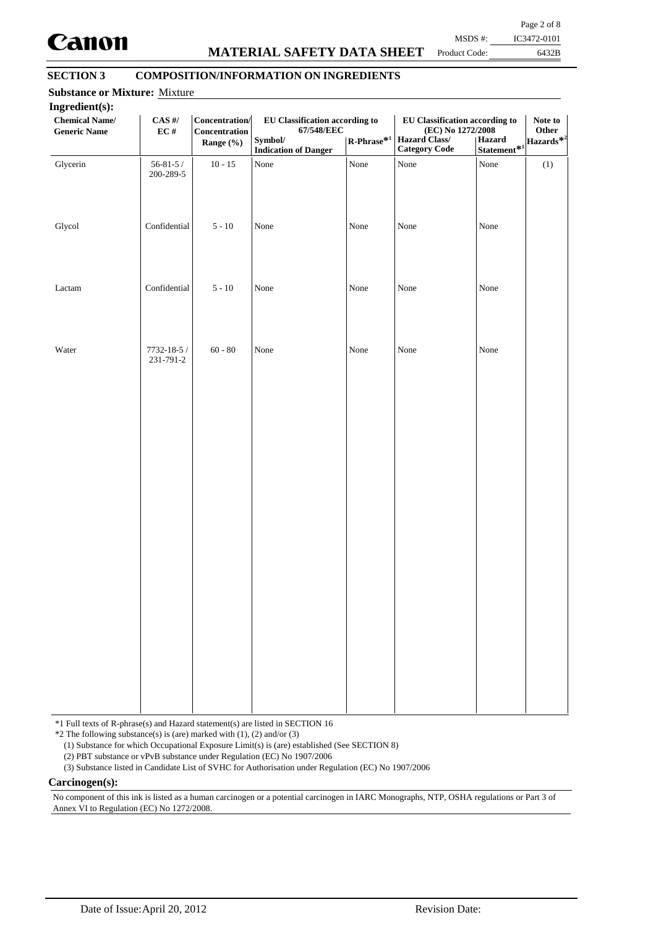

## **MATERIAL SAFETY DATA SHEET**

Page 2 of 8 MSDS #: IC3472-0101

Product Code:

6432B

## **SECTION 3 COMPOSITION/INFORMATION ON INGREDIENTS**

| Ingredient(s):<br><b>Chemical Name/</b><br><b>Generic Name</b> | $\mathbf{CAS}$ #/<br>$\mathbf{EC}$ # | Concentration/<br>Concentration<br>Range (%) | EU Classification according to<br>67/548/EEC<br>Symbol/<br><b>Indication of Danger</b> | $\mathbf{R}\text{-Phrase}^{*1}$ | <b>EU Classification according to</b><br>(EC) No 1272/2008<br>Hazard Class/<br><b>Category Code</b> | Statement <sup>*1</sup><br>Statement <sup>*1</sup> | Note to<br>Other |
|----------------------------------------------------------------|--------------------------------------|----------------------------------------------|----------------------------------------------------------------------------------------|---------------------------------|-----------------------------------------------------------------------------------------------------|----------------------------------------------------|------------------|
| Glycerin                                                       | $56 - 81 - 5/$<br>200-289-5          | $10 - 15$                                    | None                                                                                   | None                            | None                                                                                                | None                                               | (1)              |
| Glycol                                                         | Confidential                         | $5 - 10$                                     | None                                                                                   | None                            | None                                                                                                | None                                               |                  |
| Lactam                                                         | Confidential                         | $5 - 10$                                     | None                                                                                   | None                            | None                                                                                                | None                                               |                  |
| Water                                                          | 7732-18-5 /<br>231-791-2             | $60 - 80$                                    | None                                                                                   | None                            | None                                                                                                | None                                               |                  |
|                                                                |                                      |                                              |                                                                                        |                                 |                                                                                                     |                                                    |                  |
|                                                                |                                      |                                              |                                                                                        |                                 |                                                                                                     |                                                    |                  |
|                                                                |                                      |                                              |                                                                                        |                                 |                                                                                                     |                                                    |                  |
|                                                                |                                      |                                              |                                                                                        |                                 |                                                                                                     |                                                    |                  |
|                                                                |                                      |                                              |                                                                                        |                                 |                                                                                                     |                                                    |                  |

\*1 Full texts of R-phrase(s) and Hazard statement(s) are listed in SECTION 16

 $*2$  The following substance(s) is (are) marked with (1), (2) and/or (3)

(1) Substance for which Occupational Exposure Limit(s) is (are) established (See SECTION 8)

(2) PBT substance or vPvB substance under Regulation (EC) No 1907/2006

(3) Substance listed in Candidate List of SVHC for Authorisation under Regulation (EC) No 1907/2006

#### **Carcinogen(s):**

No component of this ink is listed as a human carcinogen or a potential carcinogen in IARC Monographs, NTP, OSHA regulations or Part 3 of Annex VI to Regulation (EC) No 1272/2008.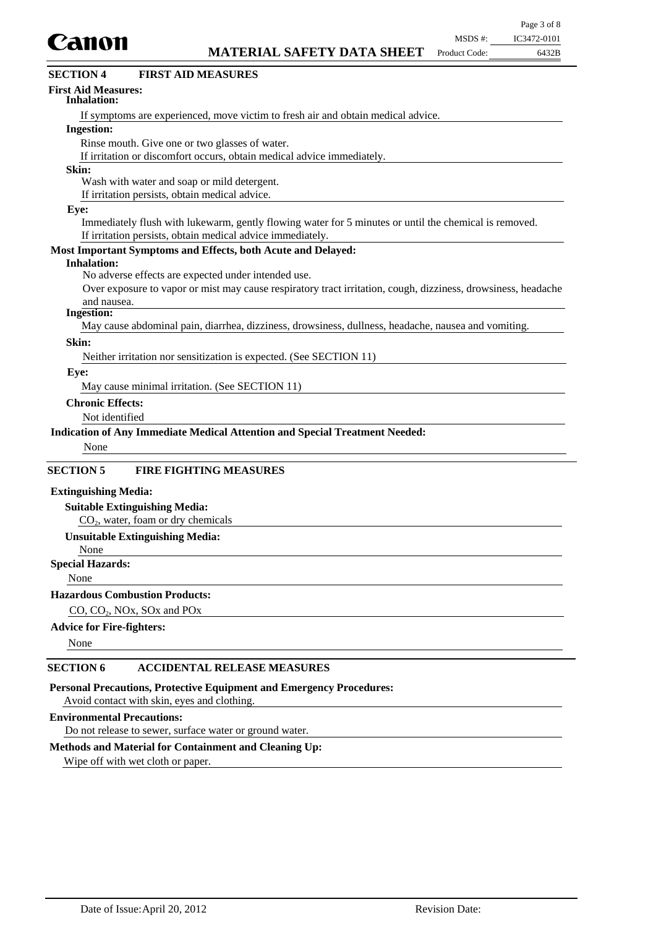

| UМIIVII                                        | <b>MATERIAL SAFETY DATA SHEET</b>                                                                             | Product Code: | 6432B |
|------------------------------------------------|---------------------------------------------------------------------------------------------------------------|---------------|-------|
| <b>SECTION 4</b>                               | <b>FIRST AID MEASURES</b>                                                                                     |               |       |
| <b>First Aid Measures:</b><br>Inhalation:      |                                                                                                               |               |       |
|                                                | If symptoms are experienced, move victim to fresh air and obtain medical advice.                              |               |       |
| <b>Ingestion:</b>                              |                                                                                                               |               |       |
| Rinse mouth. Give one or two glasses of water. |                                                                                                               |               |       |
|                                                | If irritation or discomfort occurs, obtain medical advice immediately.                                        |               |       |
| Skin:                                          |                                                                                                               |               |       |
| Wash with water and soap or mild detergent.    |                                                                                                               |               |       |
| If irritation persists, obtain medical advice. |                                                                                                               |               |       |
| Eye:                                           |                                                                                                               |               |       |
|                                                | Immediately flush with lukewarm, gently flowing water for 5 minutes or until the chemical is removed.         |               |       |
|                                                | If irritation persists, obtain medical advice immediately.                                                    |               |       |
|                                                | Most Important Symptoms and Effects, both Acute and Delayed:                                                  |               |       |
| <b>Inhalation:</b>                             |                                                                                                               |               |       |
|                                                | No adverse effects are expected under intended use.                                                           |               |       |
|                                                | Over exposure to vapor or mist may cause respiratory tract irritation, cough, dizziness, drowsiness, headache |               |       |
| and nausea.                                    |                                                                                                               |               |       |
| <b>Ingestion:</b>                              |                                                                                                               |               |       |
|                                                | May cause abdominal pain, diarrhea, dizziness, drowsiness, dullness, headache, nausea and vomiting.           |               |       |
| Skin:                                          |                                                                                                               |               |       |
|                                                | Neither irritation nor sensitization is expected. (See SECTION 11)                                            |               |       |
| Eye:                                           |                                                                                                               |               |       |
| May cause minimal irritation. (See SECTION 11) |                                                                                                               |               |       |

**Chronic Effects:**

#### Not identified

#### **Indication of Any Immediate Medical Attention and Special Treatment Needed:**

None

### **SECTION 5 FIRE FIGHTING MEASURES**

#### **Extinguishing Media:**

#### **Suitable Extinguishing Media:**

 $CO<sub>2</sub>$ , water, foam or dry chemicals

## **Unsuitable Extinguishing Media:**

## None

**Special Hazards:**

None

## **Hazardous Combustion Products:**

CO, CO<sub>2</sub>, NO<sub>x</sub>, SO<sub>x</sub> and PO<sub>x</sub>

### **Advice for Fire-fighters:**

None

### **SECTION 6 ACCIDENTAL RELEASE MEASURES**

**Personal Precautions, Protective Equipment and Emergency Procedures:**

Avoid contact with skin, eyes and clothing.

#### **Environmental Precautions:**

Do not release to sewer, surface water or ground water.

#### **Methods and Material for Containment and Cleaning Up:**

Wipe off with wet cloth or paper.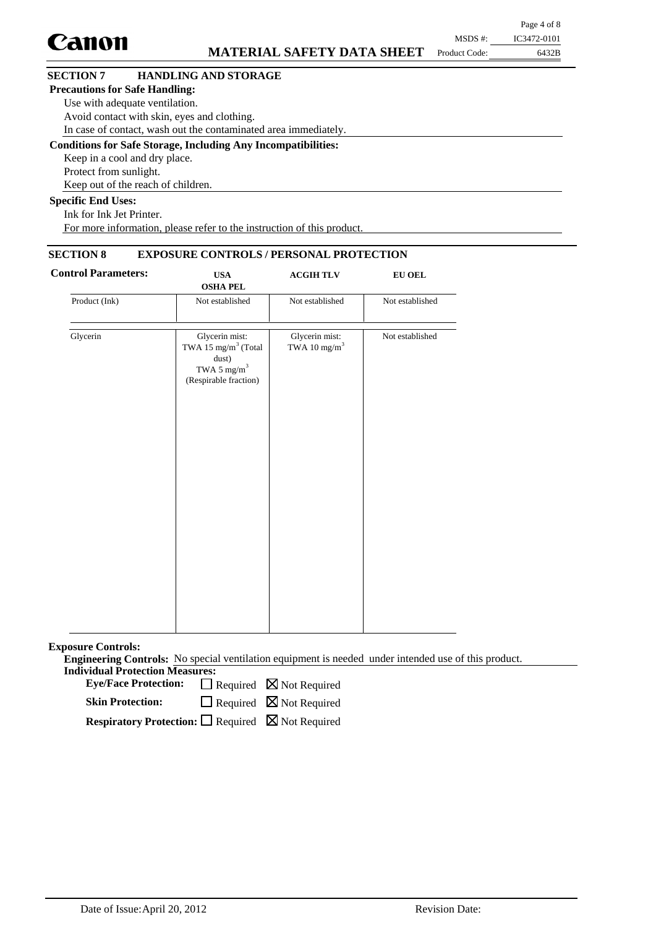|                                       |                                                                      |               | Page 4 of 8 |
|---------------------------------------|----------------------------------------------------------------------|---------------|-------------|
| <b>Canon</b>                          |                                                                      | MSDS #:       | IC3472-0101 |
|                                       | <b>MATERIAL SAFETY DATA SHEET</b>                                    | Product Code: | 6432B       |
| <b>SECTION 7</b>                      | <b>HANDLING AND STORAGE</b>                                          |               |             |
| <b>Precautions for Safe Handling:</b> |                                                                      |               |             |
|                                       | Use with adequate ventilation.                                       |               |             |
|                                       | Avoid contact with skin, eyes and clothing.                          |               |             |
|                                       | In case of contact, wash out the contaminated area immediately.      |               |             |
|                                       | <b>Conditions for Safe Storage, Including Any Incompatibilities:</b> |               |             |
| Keep in a cool and dry place.         |                                                                      |               |             |
| Protect from sunlight.                |                                                                      |               |             |
|                                       | Keep out of the reach of children.                                   |               |             |
| <b>Specific End Uses:</b>             |                                                                      |               |             |
| Ink for Ink Jet Printer.              |                                                                      |               |             |

For more information, please refer to the instruction of this product.

## **SECTION 8 EXPOSURE CONTROLS / PERSONAL PROTECTION**

| <b>Control Parameters:</b> | <b>USA</b><br><b>OSHA PEL</b>                                                                                  | <b>ACGIHTLV</b>                            | ${\bf EU}$ OEL  |
|----------------------------|----------------------------------------------------------------------------------------------------------------|--------------------------------------------|-----------------|
| Product (Ink)              | Not established                                                                                                | Not established                            | Not established |
| Glycerin                   | Glycerin mist:<br>TWA 15 mg/m <sup>3</sup> (Total<br>dust)<br>TWA 5 mg/m <sup>3</sup><br>(Respirable fraction) | Glycerin mist:<br>TWA 10 mg/m <sup>3</sup> | Not established |
|                            |                                                                                                                |                                            |                 |

**Exposure Controls:**

**Engineering Controls:** No special ventilation equipment is needed under intended use of this product. **Individual Protection Measures:**

Eye/Face Protection:  $\Box$  Required  $\boxtimes$  Not Required

 $\Box$  Required  $\boxtimes$  Not Required **Skin Protection:**

**Respiratory Protection:** □ Required ⊠ Not Required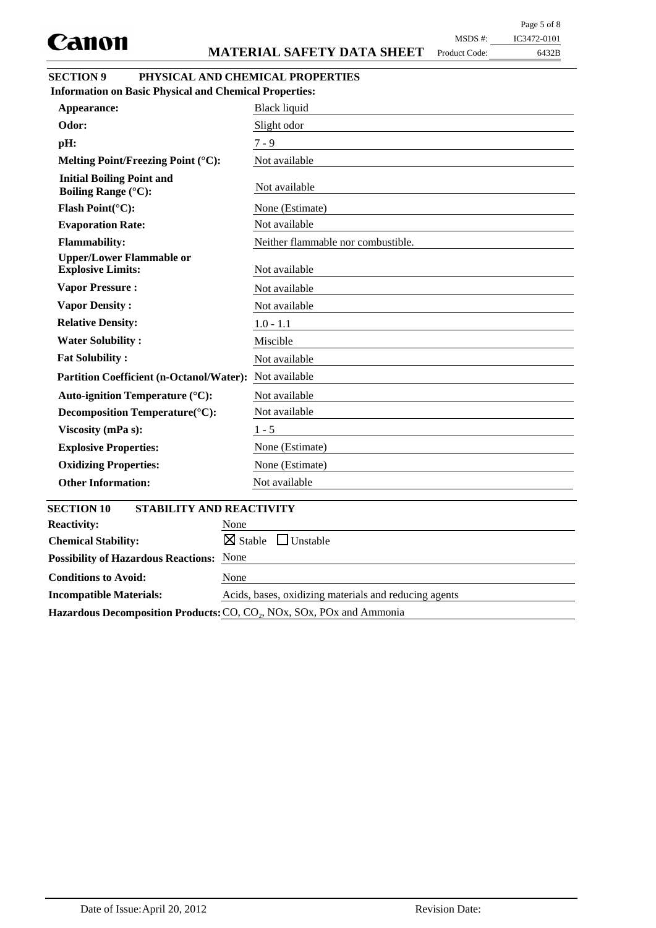Product Code:

## 6432B MSDS #: IC3472-0101

| <b>SECTION 9</b> | PHYSICAL AND CHEMICAL PROPERTIES |
|------------------|----------------------------------|
|                  |                                  |

| <b>Information on Basic Physical and Chemical Properties:</b>  |                                       |
|----------------------------------------------------------------|---------------------------------------|
| Appearance:                                                    | <b>Black liquid</b>                   |
| Odor:                                                          | Slight odor                           |
| pH:                                                            | $7 - 9$                               |
| Melting Point/Freezing Point (°C):                             | Not available                         |
| <b>Initial Boiling Point and</b><br><b>Boiling Range (°C):</b> | Not available                         |
| Flash Point(°C):                                               | None (Estimate)                       |
| <b>Evaporation Rate:</b>                                       | Not available                         |
| <b>Flammability:</b>                                           | Neither flammable nor combustible.    |
| <b>Upper/Lower Flammable or</b><br><b>Explosive Limits:</b>    | Not available                         |
| <b>Vapor Pressure:</b>                                         | Not available                         |
| <b>Vapor Density:</b>                                          | Not available                         |
| <b>Relative Density:</b>                                       | $1.0 - 1.1$                           |
| <b>Water Solubility:</b>                                       | Miscible                              |
| <b>Fat Solubility:</b>                                         | Not available                         |
| <b>Partition Coefficient (n-Octanol/Water):</b>                | Not available                         |
| Auto-ignition Temperature (°C):                                | Not available                         |
| Decomposition Temperature(°C):                                 | Not available                         |
| Viscosity (mPa s):                                             | $1 - 5$                               |
| <b>Explosive Properties:</b>                                   | None (Estimate)                       |
| <b>Oxidizing Properties:</b>                                   | None (Estimate)                       |
| <b>Other Information:</b>                                      | Not available                         |
| <b>SECTION 10</b><br><b>STABILITY AND REACTIVITY</b>           |                                       |
| <b>Reactivity:</b><br>None                                     |                                       |
| <b>Chemical Stability:</b>                                     | $\boxtimes$ Stable<br>$\Box$ Unstable |
| None<br><b>Possibility of Hazardous Reactions:</b>             |                                       |
| <b>Conditions to Avoid:</b><br>None                            |                                       |

Hazardous Decomposition Products: CO, CO<sub>2</sub>, NOx, SOx, POx and Ammonia

**Incompatible Materials:** Acids, bases, oxidizing materials and reducing agents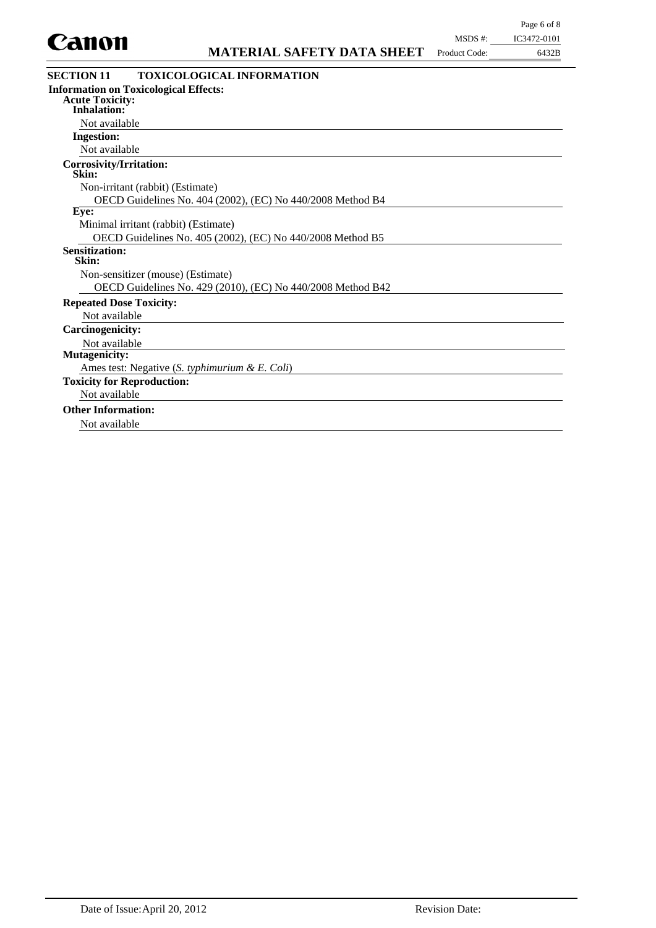

| wuwi                                         | <b>MATERIAL SAFETY DATA SHEET</b>                           | Product Code: | 6432B |
|----------------------------------------------|-------------------------------------------------------------|---------------|-------|
| <b>SECTION 11</b>                            | <b>TOXICOLOGICAL INFORMATION</b>                            |               |       |
| <b>Information on Toxicological Effects:</b> |                                                             |               |       |
| <b>Acute Toxicity:</b><br><b>Inhalation:</b> |                                                             |               |       |
| Not available                                |                                                             |               |       |
| <b>Ingestion:</b>                            |                                                             |               |       |
| Not available                                |                                                             |               |       |
| <b>Corrosivity/Irritation:</b><br>Skin:      |                                                             |               |       |
| Non-irritant (rabbit) (Estimate)             |                                                             |               |       |
|                                              | OECD Guidelines No. 404 (2002), (EC) No 440/2008 Method B4  |               |       |
| Eye:                                         |                                                             |               |       |
| Minimal irritant (rabbit) (Estimate)         |                                                             |               |       |
|                                              | OECD Guidelines No. 405 (2002), (EC) No 440/2008 Method B5  |               |       |
| <b>Sensitization:</b><br>Skin:               |                                                             |               |       |
| Non-sensitizer (mouse) (Estimate)            |                                                             |               |       |
|                                              | OECD Guidelines No. 429 (2010), (EC) No 440/2008 Method B42 |               |       |
| <b>Repeated Dose Toxicity:</b>               |                                                             |               |       |
| Not available                                |                                                             |               |       |
| <b>Carcinogenicity:</b>                      |                                                             |               |       |
| Not available                                |                                                             |               |       |
| <b>Mutagenicity:</b>                         |                                                             |               |       |
|                                              | Ames test: Negative (S. typhimurium & E. Coli)              |               |       |
| <b>Toxicity for Reproduction:</b>            |                                                             |               |       |
| Not available                                |                                                             |               |       |
| <b>Other Information:</b>                    |                                                             |               |       |

Not available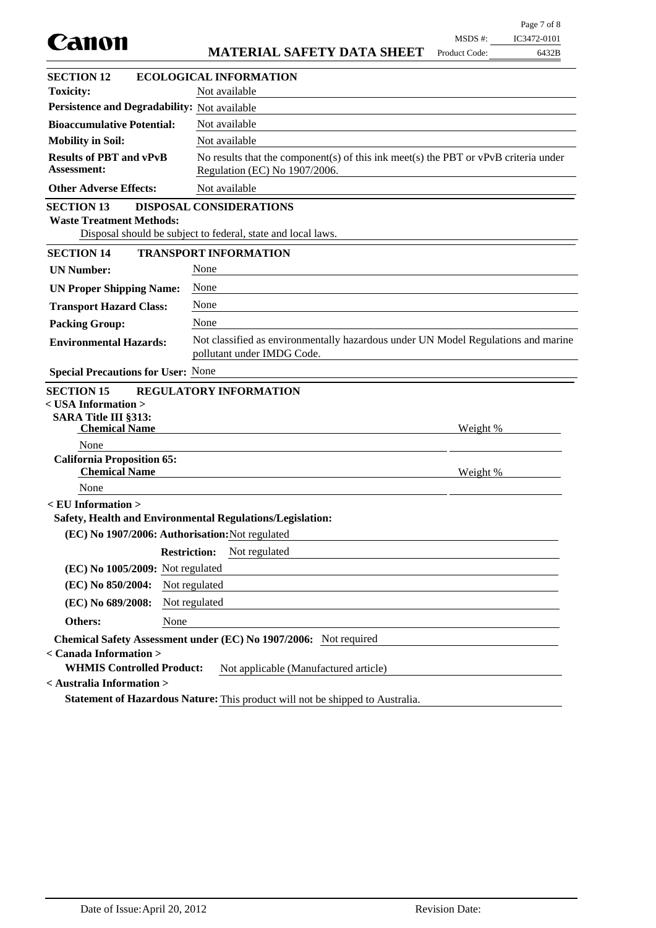| Canon                                                                                           |                                                                                                                        | MSDS #:       | IC3472-0101 |
|-------------------------------------------------------------------------------------------------|------------------------------------------------------------------------------------------------------------------------|---------------|-------------|
|                                                                                                 | <b>MATERIAL SAFETY DATA SHEET</b>                                                                                      | Product Code: | 6432B       |
| <b>SECTION 12</b>                                                                               | <b>ECOLOGICAL INFORMATION</b>                                                                                          |               |             |
| <b>Toxicity:</b>                                                                                | Not available                                                                                                          |               |             |
| Persistence and Degradability: Not available                                                    |                                                                                                                        |               |             |
| <b>Bioaccumulative Potential:</b>                                                               | Not available                                                                                                          |               |             |
| <b>Mobility in Soil:</b>                                                                        | Not available                                                                                                          |               |             |
| <b>Results of PBT and vPvB</b><br><b>Assessment:</b>                                            | No results that the component(s) of this ink meet(s) the PBT or $vPvB$ criteria under<br>Regulation (EC) No 1907/2006. |               |             |
| <b>Other Adverse Effects:</b>                                                                   | Not available                                                                                                          |               |             |
| <b>SECTION 13</b><br><b>Waste Treatment Methods:</b>                                            | DISPOSAL CONSIDERATIONS<br>Disposal should be subject to federal, state and local laws.                                |               |             |
| <b>SECTION 14</b>                                                                               | <b>TRANSPORT INFORMATION</b>                                                                                           |               |             |
| <b>UN Number:</b>                                                                               | None                                                                                                                   |               |             |
| <b>UN Proper Shipping Name:</b>                                                                 | None                                                                                                                   |               |             |
| <b>Transport Hazard Class:</b>                                                                  | None                                                                                                                   |               |             |
| <b>Packing Group:</b>                                                                           | None                                                                                                                   |               |             |
| <b>Environmental Hazards:</b>                                                                   | Not classified as environmentally hazardous under UN Model Regulations and marine<br>pollutant under IMDG Code.        |               |             |
| <b>Special Precautions for User: None</b>                                                       |                                                                                                                        |               |             |
| <b>SECTION 15</b><br>< USA Information ><br><b>SARA Title III §313:</b><br><b>Chemical Name</b> | <b>REGULATORY INFORMATION</b>                                                                                          | Weight %      |             |
| None                                                                                            |                                                                                                                        |               |             |
| <b>California Proposition 65:</b><br><b>Chemical Name</b>                                       |                                                                                                                        | Weight %      |             |
| None                                                                                            |                                                                                                                        |               |             |
| $\le$ EU Information $>$                                                                        | Safety, Health and Environmental Regulations/Legislation:                                                              |               |             |
| (EC) No 1907/2006: Authorisation: Not regulated                                                 |                                                                                                                        |               |             |
|                                                                                                 | <b>Restriction:</b><br>Not regulated                                                                                   |               |             |
| (EC) No 1005/2009: Not regulated                                                                |                                                                                                                        |               |             |
| (EC) No 850/2004:                                                                               | Not regulated                                                                                                          |               |             |
| (EC) No 689/2008:                                                                               | Not regulated                                                                                                          |               |             |
| Others:<br>None                                                                                 |                                                                                                                        |               |             |
| < Canada Information ><br><b>WHMIS Controlled Product:</b>                                      | Chemical Safety Assessment under (EC) No 1907/2006: Not required<br>Not applicable (Manufactured article)              |               |             |
| < Australia Information >                                                                       | Statement of Hazardous Nature: This product will not be shipped to Australia.                                          |               |             |

Page 7 of 8